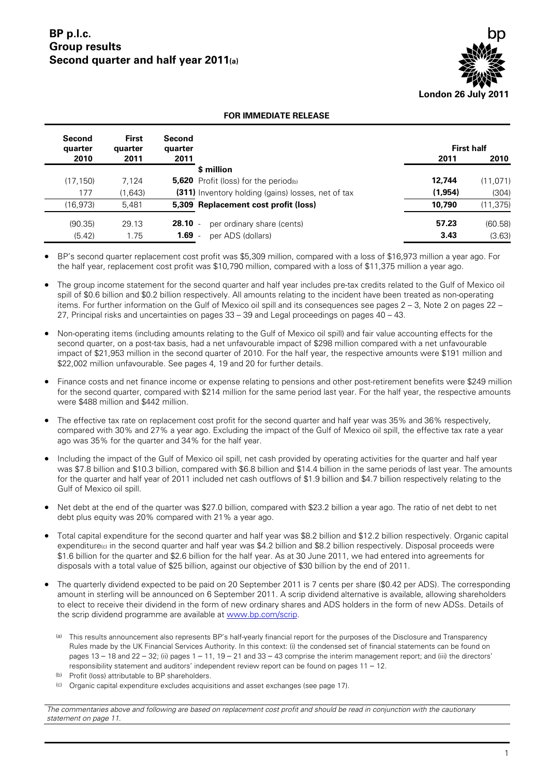## **BP p.l.c. Group results Second quarter and half year 2011(a)**



## **FOR IMMEDIATE RELEASE**

| <b>Second</b><br>quarter | First<br>quarter | <b>Second</b><br>quarter |                                                    |          | <b>First half</b> |
|--------------------------|------------------|--------------------------|----------------------------------------------------|----------|-------------------|
| 2010                     | 2011             | 2011                     |                                                    | 2011     | 2010              |
|                          |                  |                          | \$ million                                         |          |                   |
| (17, 150)                | 7.124            |                          | <b>5,620</b> Profit (loss) for the period(b)       | 12.744   | (11, 071)         |
| 177                      | (1,643)          |                          | (311) Inventory holding (gains) losses, net of tax | (1, 954) | (304)             |
| (16.973)                 | 5.481            |                          | 5,309 Replacement cost profit (loss)               | 10.790   | (11, 375)         |
| (90.35)                  | 29.13            | 28.10                    | per ordinary share (cents)                         | 57.23    | (60.58)           |
| (5.42)                   | 1.75             | 1.69                     | per ADS (dollars)                                  | 3.43     | (3.63)            |

 BP's second quarter replacement cost profit was \$5,309 million, compared with a loss of \$16,973 million a year ago. For the half year, replacement cost profit was \$10,790 million, compared with a loss of \$11,375 million a year ago.

 The group income statement for the second quarter and half year includes pre-tax credits related to the Gulf of Mexico oil spill of \$0.6 billion and \$0.2 billion respectively. All amounts relating to the incident have been treated as non-operating items. For further information on the Gulf of Mexico oil spill and its consequences see pages 2 – 3, Note 2 on pages 22 – 27, Principal risks and uncertainties on pages 33 – 39 and Legal proceedings on pages 40 – 43.

- Non-operating items (including amounts relating to the Gulf of Mexico oil spill) and fair value accounting effects for the second quarter, on a post-tax basis, had a net unfavourable impact of \$298 million compared with a net unfavourable impact of \$21,953 million in the second quarter of 2010. For the half year, the respective amounts were \$191 million and \$22,002 million unfavourable. See pages 4, 19 and 20 for further details.
- Finance costs and net finance income or expense relating to pensions and other post-retirement benefits were \$249 million for the second quarter, compared with \$214 million for the same period last year. For the half year, the respective amounts were \$488 million and \$442 million.
- The effective tax rate on replacement cost profit for the second quarter and half year was 35% and 36% respectively, compared with 30% and 27% a year ago. Excluding the impact of the Gulf of Mexico oil spill, the effective tax rate a year ago was 35% for the quarter and 34% for the half year.
- Including the impact of the Gulf of Mexico oil spill, net cash provided by operating activities for the quarter and half year was \$7.8 billion and \$10.3 billion, compared with \$6.8 billion and \$14.4 billion in the same periods of last year. The amounts for the quarter and half year of 2011 included net cash outflows of \$1.9 billion and \$4.7 billion respectively relating to the Gulf of Mexico oil spill.
- Net debt at the end of the quarter was \$27.0 billion, compared with \$23.2 billion a year ago. The ratio of net debt to net debt plus equity was 20% compared with 21% a year ago.
- Total capital expenditure for the second quarter and half year was \$8.2 billion and \$12.2 billion respectively. Organic capital expenditure(c) in the second quarter and half year was \$4.2 billion and \$8.2 billion respectively. Disposal proceeds were \$1.6 billion for the quarter and \$2.6 billion for the half year. As at 30 June 2011, we had entered into agreements for disposals with a total value of \$25 billion, against our objective of \$30 billion by the end of 2011.
- The quarterly dividend expected to be paid on 20 September 2011 is 7 cents per share (\$0.42 per ADS). The corresponding amount in sterling will be announced on 6 September 2011. A scrip dividend alternative is available, allowing shareholders to elect to receive their dividend in the form of new ordinary shares and ADS holders in the form of new ADSs. Details of the scrip dividend programme are available at [www.bp.com/scrip](http://www.bp.com/scrip).
	- (a) This results announcement also represents BP's half-yearly financial report for the purposes of the Disclosure and Transparency Rules made by the UK Financial Services Authority. In this context: (i) the condensed set of financial statements can be found on pages 13 – 18 and 22 – 32; (ii) pages 1 – 11, 19 – 21 and 33 – 43 comprise the interim management report; and (iii) the directors' responsibility statement and auditors' independent review report can be found on pages 11 – 12.
	- (b) Profit (loss) attributable to BP shareholders.
	- (c) Organic capital expenditure excludes acquisitions and asset exchanges (see page 17).

*The commentaries above and following are based on replacement cost profit and should be read in conjunction with the cautionary statement on page 11.*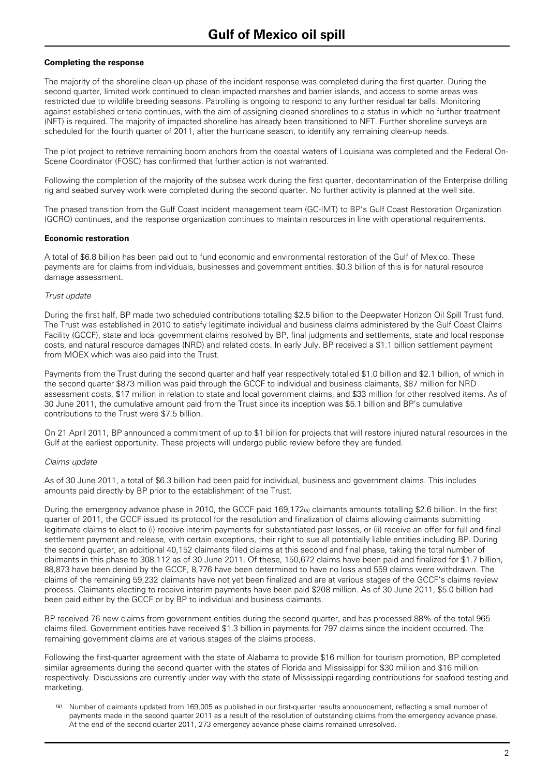## **Completing the response**

The majority of the shoreline clean-up phase of the incident response was completed during the first quarter. During the second quarter, limited work continued to clean impacted marshes and barrier islands, and access to some areas was restricted due to wildlife breeding seasons. Patrolling is ongoing to respond to any further residual tar balls. Monitoring against established criteria continues, with the aim of assigning cleaned shorelines to a status in which no further treatment (NFT) is required. The majority of impacted shoreline has already been transitioned to NFT. Further shoreline surveys are scheduled for the fourth quarter of 2011, after the hurricane season, to identify any remaining clean-up needs.

The pilot project to retrieve remaining boom anchors from the coastal waters of Louisiana was completed and the Federal On-Scene Coordinator (FOSC) has confirmed that further action is not warranted.

Following the completion of the majority of the subsea work during the first quarter, decontamination of the Enterprise drilling rig and seabed survey work were completed during the second quarter. No further activity is planned at the well site.

The phased transition from the Gulf Coast incident management team (GC-IMT) to BP's Gulf Coast Restoration Organization (GCRO) continues, and the response organization continues to maintain resources in line with operational requirements.

#### **Economic restoration**

A total of \$6.8 billion has been paid out to fund economic and environmental restoration of the Gulf of Mexico. These payments are for claims from individuals, businesses and government entities. \$0.3 billion of this is for natural resource damage assessment.

### *Trust update*

During the first half, BP made two scheduled contributions totalling \$2.5 billion to the Deepwater Horizon Oil Spill Trust fund. The Trust was established in 2010 to satisfy legitimate individual and business claims administered by the Gulf Coast Claims Facility (GCCF), state and local government claims resolved by BP, final judgments and settlements, state and local response costs, and natural resource damages (NRD) and related costs. In early July, BP received a \$1.1 billion settlement payment from MOEX which was also paid into the Trust.

Payments from the Trust during the second quarter and half year respectively totalled \$1.0 billion and \$2.1 billion, of which in the second quarter \$873 million was paid through the GCCF to individual and business claimants, \$87 million for NRD assessment costs, \$17 million in relation to state and local government claims, and \$33 million for other resolved items. As of 30 June 2011, the cumulative amount paid from the Trust since its inception was \$5.1 billion and BP's cumulative contributions to the Trust were \$7.5 billion.

On 21 April 2011, BP announced a commitment of up to \$1 billion for projects that will restore injured natural resources in the Gulf at the earliest opportunity. These projects will undergo public review before they are funded.

#### *Claims update*

As of 30 June 2011, a total of \$6.3 billion had been paid for individual, business and government claims. This includes amounts paid directly by BP prior to the establishment of the Trust.

During the emergency advance phase in 2010, the GCCF paid 169,172(a) claimants amounts totalling \$2.6 billion. In the first quarter of 2011, the GCCF issued its protocol for the resolution and finalization of claims allowing claimants submitting legitimate claims to elect to (i) receive interim payments for substantiated past losses, or (ii) receive an offer for full and final settlement payment and release, with certain exceptions, their right to sue all potentially liable entities including BP. During the second quarter, an additional 40,152 claimants filed claims at this second and final phase, taking the total number of claimants in this phase to 308,112 as of 30 June 2011. Of these, 150,672 claims have been paid and finalized for \$1.7 billion, 88,873 have been denied by the GCCF, 8,776 have been determined to have no loss and 559 claims were withdrawn. The claims of the remaining 59,232 claimants have not yet been finalized and are at various stages of the GCCF's claims review process. Claimants electing to receive interim payments have been paid \$208 million. As of 30 June 2011, \$5.0 billion had been paid either by the GCCF or by BP to individual and business claimants.

BP received 76 new claims from government entities during the second quarter, and has processed 88% of the total 965 claims filed. Government entities have received \$1.3 billion in payments for 797 claims since the incident occurred. The remaining government claims are at various stages of the claims process.

Following the first-quarter agreement with the state of Alabama to provide \$16 million for tourism promotion, BP completed similar agreements during the second quarter with the states of Florida and Mississippi for \$30 million and \$16 million respectively. Discussions are currently under way with the state of Mississippi regarding contributions for seafood testing and marketing.

(a) Number of claimants updated from 169,005 as published in our first-quarter results announcement, reflecting a small number of payments made in the second quarter 2011 as a result of the resolution of outstanding claims from the emergency advance phase. At the end of the second quarter 2011, 273 emergency advance phase claims remained unresolved.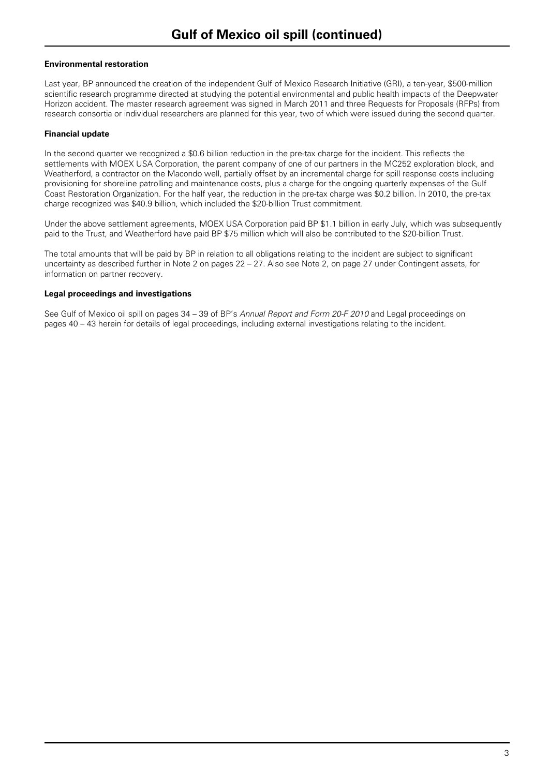## **Environmental restoration**

Last year, BP announced the creation of the independent Gulf of Mexico Research Initiative (GRI), a ten-year, \$500-million scientific research programme directed at studying the potential environmental and public health impacts of the Deepwater Horizon accident. The master research agreement was signed in March 2011 and three Requests for Proposals (RFPs) from research consortia or individual researchers are planned for this year, two of which were issued during the second quarter.

## **Financial update**

In the second quarter we recognized a \$0.6 billion reduction in the pre-tax charge for the incident. This reflects the settlements with MOEX USA Corporation, the parent company of one of our partners in the MC252 exploration block, and Weatherford, a contractor on the Macondo well, partially offset by an incremental charge for spill response costs including provisioning for shoreline patrolling and maintenance costs, plus a charge for the ongoing quarterly expenses of the Gulf Coast Restoration Organization. For the half year, the reduction in the pre-tax charge was \$0.2 billion. In 2010, the pre-tax charge recognized was \$40.9 billion, which included the \$20-billion Trust commitment.

Under the above settlement agreements, MOEX USA Corporation paid BP \$1.1 billion in early July, which was subsequently paid to the Trust, and Weatherford have paid BP \$75 million which will also be contributed to the \$20-billion Trust.

The total amounts that will be paid by BP in relation to all obligations relating to the incident are subject to significant uncertainty as described further in Note 2 on pages 22 – 27. Also see Note 2, on page 27 under Contingent assets, for information on partner recovery.

### **Legal proceedings and investigations**

See Gulf of Mexico oil spill on pages 34 – 39 of BP's *Annual Report and Form 20-F 2010* and Legal proceedings on pages 40 – 43 herein for details of legal proceedings, including external investigations relating to the incident.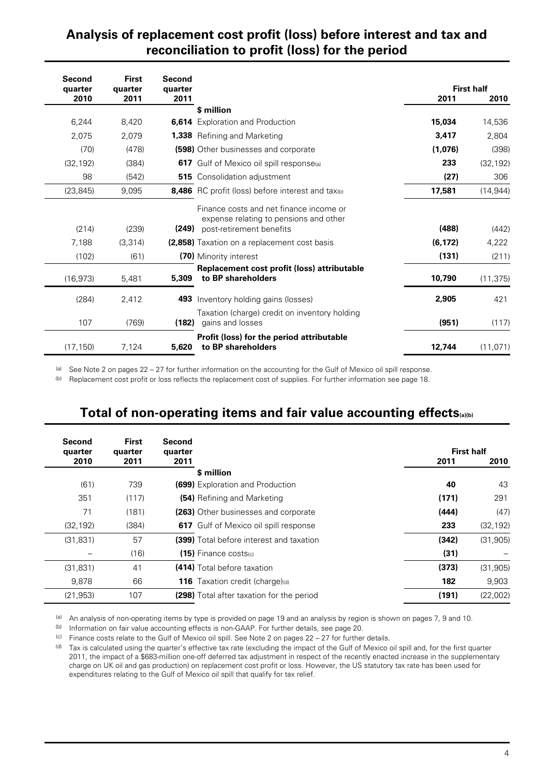## **Analysis of replacement cost profit (loss) before interest and tax and reconciliation to profit (loss) for the period**

| Second<br>quarter | <b>First</b><br>quarter | Second<br>quarter |                                                                                                               |          | <b>First half</b> |
|-------------------|-------------------------|-------------------|---------------------------------------------------------------------------------------------------------------|----------|-------------------|
| 2010              | 2011                    | 2011              |                                                                                                               | 2011     | 2010              |
|                   |                         |                   | \$ million                                                                                                    |          |                   |
| 6,244             | 8,420                   |                   | 6,614 Exploration and Production                                                                              | 15,034   | 14,536            |
| 2,075             | 2,079                   |                   | <b>1,338</b> Refining and Marketing                                                                           | 3,417    | 2,804             |
| (70)              | (478)                   |                   | (598) Other businesses and corporate                                                                          | (1,076)  | (398)             |
| (32, 192)         | (384)                   |                   | 617 Gulf of Mexico oil spill response(a)                                                                      | 233      | (32, 192)         |
| 98                | (542)                   |                   | <b>515</b> Consolidation adjustment                                                                           | (27)     | 306               |
| (23, 845)         | 9,095                   |                   | <b>8,486</b> RC profit (loss) before interest and tax(b)                                                      | 17,581   | (14, 944)         |
| (214)             | (239)                   | (249)             | Finance costs and net finance income or<br>expense relating to pensions and other<br>post-retirement benefits | (488)    | (442)             |
| 7,188             | (3,314)                 |                   | (2,858) Taxation on a replacement cost basis                                                                  | (6, 172) | 4,222             |
| (102)             | (61)                    |                   | (70) Minority interest                                                                                        | (131)    | (211)             |
| (16, 973)         | 5,481                   | 5,309             | Replacement cost profit (loss) attributable<br>to BP shareholders                                             | 10,790   | (11, 375)         |
| (284)             | 2,412                   |                   | <b>493</b> Inventory holding gains (losses)                                                                   | 2,905    | 421               |
| 107               | (769)                   | (182)             | Taxation (charge) credit on inventory holding<br>gains and losses                                             | (951)    | (117)             |
| (17, 150)         | 7,124                   | 5,620             | Profit (loss) for the period attributable<br>to BP shareholders                                               | 12,744   | (11, 071)         |

(a) See Note 2 on pages  $22 - 27$  for further information on the accounting for the Gulf of Mexico oil spill response.

(b) Replacement cost profit or loss reflects the replacement cost of supplies. For further information see page 18.

## **Total of non-operating items and fair value accounting effects(a)(b)**

| Second<br>quarter | First<br>quarter | Second<br>quarter |                                              |       | <b>First half</b> |
|-------------------|------------------|-------------------|----------------------------------------------|-------|-------------------|
| 2010              | 2011             | 2011              |                                              | 2011  | 2010              |
|                   |                  |                   | \$ million                                   |       |                   |
| (61)              | 739              |                   | (699) Exploration and Production             | 40    | 43                |
| 351               | (117)            |                   | (54) Refining and Marketing                  | (171) | 291               |
| 71                | (181)            |                   | (263) Other businesses and corporate         | (444) | (47)              |
| (32, 192)         | (384)            |                   | <b>617</b> Gulf of Mexico oil spill response | 233   | (32, 192)         |
| (31, 831)         | 57               |                   | (399) Total before interest and taxation     | (342) | (31, 905)         |
|                   | (16)             |                   | $(15)$ Finance costs(c)                      | (31)  |                   |
| (31, 831)         | 41               |                   | (414) Total before taxation                  | (373) | (31, 905)         |
| 9.878             | 66               |                   | <b>116</b> Taxation credit (charge)(d)       | 182   | 9,903             |
| (21, 953)         | 107              |                   | (298) Total after taxation for the period    | (191) | (22,002)          |

(a) An analysis of non-operating items by type is provided on page 19 and an analysis by region is shown on pages 7, 9 and 10.

(b) Information on fair value accounting effects is non-GAAP. For further details, see page 20.

(c) Finance costs relate to the Gulf of Mexico oil spill. See Note 2 on pages 22 – 27 for further details.

(d) Tax is calculated using the quarter's effective tax rate (excluding the impact of the Gulf of Mexico oil spill and, for the first quarter 2011, the impact of a \$683-million one-off deferred tax adjustment in respect of the recently enacted increase in the supplementary charge on UK oil and gas production) on replacement cost profit or loss. However, the US statutory tax rate has been used for expenditures relating to the Gulf of Mexico oil spill that qualify for tax relief.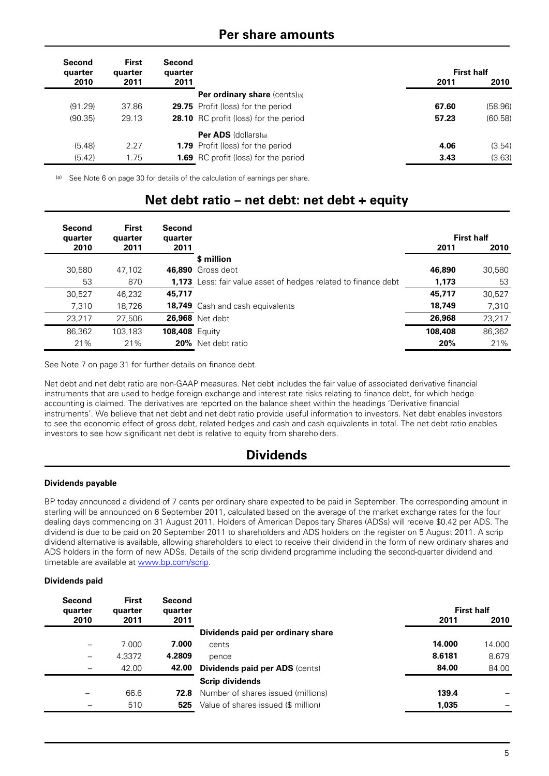## **Per share amounts**

| Second<br>quarter | First<br>quarter | Second<br>quarter |                                              | <b>First half</b> |         |
|-------------------|------------------|-------------------|----------------------------------------------|-------------------|---------|
| 2010              | 2011             | 2011              |                                              | 2011              | 2010    |
|                   |                  |                   | <b>Per ordinary share</b> (cents)(a)         |                   |         |
| (91.29)           | 37.86            |                   | <b>29.75</b> Profit (loss) for the period    | 67.60             | (58.96) |
| (90.35)           | 29.13            |                   | <b>28.10</b> RC profit (loss) for the period | 57.23             | (60.58) |
|                   |                  |                   | <b>Per ADS</b> (dollars)(a)                  |                   |         |
| (5.48)            | 2.27             |                   | <b>1.79</b> Profit (loss) for the period     | 4.06              | (3.54)  |
| (5.42)            | 1.75             |                   | <b>1.69</b> RC profit (loss) for the period  | 3.43              | (3.63)  |

(a) See Note 6 on page 30 for details of the calculation of earnings per share.

## **Net debt ratio – net debt: net debt + equity**

| Second<br>quarter | <b>First</b><br>quarter | <b>Second</b><br>quarter |                                                                       |         | <b>First half</b> |
|-------------------|-------------------------|--------------------------|-----------------------------------------------------------------------|---------|-------------------|
| 2010              | 2011                    | 2011                     |                                                                       | 2011    | 2010              |
|                   |                         |                          | \$ million                                                            |         |                   |
| 30.580            | 47,102                  |                          | 46,890 Gross debt                                                     | 46,890  | 30,580            |
| 53                | 870                     |                          | <b>1,173</b> Less: fair value asset of hedges related to finance debt | 1,173   | 53                |
| 30,527            | 46,232                  | 45,717                   |                                                                       | 45,717  | 30,527            |
| 7,310             | 18,726                  |                          | <b>18,749</b> Cash and cash equivalents                               | 18,749  | 7,310             |
| 23,217            | 27,506                  |                          | <b>26,968</b> Net debt                                                | 26,968  | 23,217            |
| 86,362            | 103,183                 | <b>108,408 Equity</b>    |                                                                       | 108,408 | 86,362            |
| 21%               | 21%                     |                          | 20% Net debt ratio                                                    | 20%     | 21%               |

See Note 7 on page 31 for further details on finance debt.

Net debt and net debt ratio are non-GAAP measures. Net debt includes the fair value of associated derivative financial instruments that are used to hedge foreign exchange and interest rate risks relating to finance debt, for which hedge accounting is claimed. The derivatives are reported on the balance sheet within the headings 'Derivative financial instruments'. We believe that net debt and net debt ratio provide useful information to investors. Net debt enables investors to see the economic effect of gross debt, related hedges and cash and cash equivalents in total. The net debt ratio enables investors to see how significant net debt is relative to equity from shareholders.

## **Dividends**

## **Dividends payable**

BP today announced a dividend of 7 cents per ordinary share expected to be paid in September. The corresponding amount in sterling will be announced on 6 September 2011, calculated based on the average of the market exchange rates for the four dealing days commencing on 31 August 2011. Holders of American Depositary Shares (ADSs) will receive \$0.42 per ADS. The dividend is due to be paid on 20 September 2011 to shareholders and ADS holders on the register on 5 August 2011. A scrip dividend alternative is available, allowing shareholders to elect to receive their dividend in the form of new ordinary shares and ADS holders in the form of new ADSs. Details of the scrip dividend programme including the second-quarter dividend and timetable are available at www.bp.com/scrip.

## **Dividends paid**

| <b>Second</b><br>quarter | <b>First</b><br>quarter | Second<br>quarter |                                       |        | <b>First half</b> |
|--------------------------|-------------------------|-------------------|---------------------------------------|--------|-------------------|
| 2010                     | 2011                    | 2011              |                                       | 2011   | 2010              |
|                          |                         |                   | Dividends paid per ordinary share     |        |                   |
| $\overline{\phantom{0}}$ | 7.000                   | 7.000             | cents                                 | 14.000 | 14.000            |
| -                        | 4.3372                  | 4.2809            | pence                                 | 8.6181 | 8.679             |
| -                        | 42.00                   | 42.00             | <b>Dividends paid per ADS (cents)</b> | 84.00  | 84.00             |
|                          |                         |                   | <b>Scrip dividends</b>                |        |                   |
|                          | 66.6                    | 72.8              | Number of shares issued (millions)    | 139.4  |                   |
| -                        | 510                     | 525               | Value of shares issued (\$ million)   | 1,035  |                   |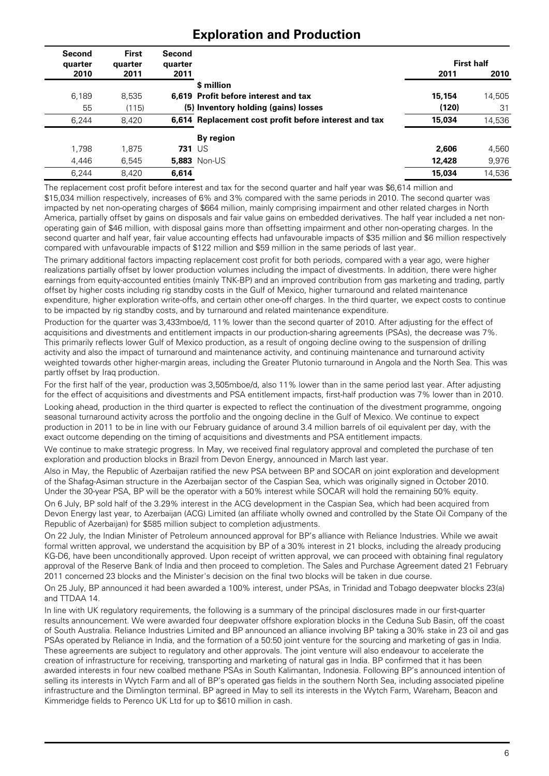## **Exploration and Production**

| Second<br>quarter | <b>First</b><br>quarter | Second<br>quarter |                                                       | <b>First half</b> |        |
|-------------------|-------------------------|-------------------|-------------------------------------------------------|-------------------|--------|
| 2010              | 2011                    | 2011              |                                                       | 2011              | 2010   |
|                   |                         |                   | \$ million                                            |                   |        |
| 6,189             | 8,535                   |                   | 6,619 Profit before interest and tax                  | 15.154            | 14,505 |
| 55                | (115)                   |                   | (5) Inventory holding (gains) losses                  | (120)             | 31     |
| 6,244             | 8,420                   |                   | 6,614 Replacement cost profit before interest and tax | 15,034            | 14,536 |
|                   |                         |                   | By region                                             |                   |        |
| 1,798             | 1.875                   | <b>731 US</b>     |                                                       | 2,606             | 4,560  |
| 4,446             | 6,545                   |                   | <b>5.883 Non-US</b>                                   | 12,428            | 9.976  |
| 6,244             | 8,420                   | 6,614             |                                                       | 15,034            | 14.536 |

The replacement cost profit before interest and tax for the second quarter and half year was \$6,614 million and \$15,034 million respectively, increases of 6% and 3% compared with the same periods in 2010. The second quarter was impacted by net non-operating charges of \$664 million, mainly comprising impairment and other related charges in North America, partially offset by gains on disposals and fair value gains on embedded derivatives. The half year included a net nonoperating gain of \$46 million, with disposal gains more than offsetting impairment and other non-operating charges. In the second quarter and half year, fair value accounting effects had unfavourable impacts of \$35 million and \$6 million respectively

compared with unfavourable impacts of \$122 million and \$59 million in the same periods of last year. The primary additional factors impacting replacement cost profit for both periods, compared with a year ago, were higher realizations partially offset by lower production volumes including the impact of divestments. In addition, there were higher earnings from equity-accounted entities (mainly TNK-BP) and an improved contribution from gas marketing and trading, partly offset by higher costs including rig standby costs in the Gulf of Mexico, higher turnaround and related maintenance expenditure, higher exploration write-offs, and certain other one-off charges. In the third quarter, we expect costs to continue to be impacted by rig standby costs, and by turnaround and related maintenance expenditure.

Production for the quarter was 3,433mboe/d, 11% lower than the second quarter of 2010. After adjusting for the effect of acquisitions and divestments and entitlement impacts in our production-sharing agreements (PSAs), the decrease was 7%. This primarily reflects lower Gulf of Mexico production, as a result of ongoing decline owing to the suspension of drilling activity and also the impact of turnaround and maintenance activity, and continuing maintenance and turnaround activity weighted towards other higher-margin areas, including the Greater Plutonio turnaround in Angola and the North Sea. This was partly offset by Iraq production.

For the first half of the year, production was 3,505mboe/d, also 11% lower than in the same period last year. After adjusting for the effect of acquisitions and divestments and PSA entitlement impacts, first-half production was 7% lower than in 2010.

Looking ahead, production in the third quarter is expected to reflect the continuation of the divestment programme, ongoing seasonal turnaround activity across the portfolio and the ongoing decline in the Gulf of Mexico. We continue to expect production in 2011 to be in line with our February guidance of around 3.4 million barrels of oil equivalent per day, with the exact outcome depending on the timing of acquisitions and divestments and PSA entitlement impacts.

We continue to make strategic progress. In May, we received final regulatory approval and completed the purchase of ten exploration and production blocks in Brazil from Devon Energy, announced in March last year.

Also in May, the Republic of Azerbaijan ratified the new PSA between BP and SOCAR on joint exploration and development of the Shafag-Asiman structure in the Azerbaijan sector of the Caspian Sea, which was originally signed in October 2010. Under the 30-year PSA, BP will be the operator with a 50% interest while SOCAR will hold the remaining 50% equity. On 6 July, BP sold half of the 3.29% interest in the ACG development in the Caspian Sea, which had been acquired from Devon Energy last year, to Azerbaijan (ACG) Limited (an affiliate wholly owned and controlled by the State Oil Company of the Republic of Azerbaijan) for \$585 million subject to completion adjustments.

On 22 July, the Indian Minister of Petroleum announced approval for BP's alliance with Reliance Industries. While we await formal written approval, we understand the acquisition by BP of a 30% interest in 21 blocks, including the already producing KG-D6, have been unconditionally approved. Upon receipt of written approval, we can proceed with obtaining final regulatory approval of the Reserve Bank of India and then proceed to completion. The Sales and Purchase Agreement dated 21 February 2011 concerned 23 blocks and the Minister's decision on the final two blocks will be taken in due course.

On 25 July, BP announced it had been awarded a 100% interest, under PSAs, in Trinidad and Tobago deepwater blocks 23(a) and TTDAA 14.

In line with UK regulatory requirements, the following is a summary of the principal disclosures made in our first-quarter results announcement. We were awarded four deepwater offshore exploration blocks in the Ceduna Sub Basin, off the coast of South Australia. Reliance Industries Limited and BP announced an alliance involving BP taking a 30% stake in 23 oil and gas PSAs operated by Reliance in India, and the formation of a 50:50 joint venture for the sourcing and marketing of gas in India. These agreements are subject to regulatory and other approvals. The joint venture will also endeavour to accelerate the creation of infrastructure for receiving, transporting and marketing of natural gas in India. BP confirmed that it has been awarded interests in four new coalbed methane PSAs in South Kalimantan, Indonesia. Following BP's announced intention of selling its interests in Wytch Farm and all of BP's operated gas fields in the southern North Sea, including associated pipeline infrastructure and the Dimlington terminal. BP agreed in May to sell its interests in the Wytch Farm, Wareham, Beacon and Kimmeridge fields to Perenco UK Ltd for up to \$610 million in cash.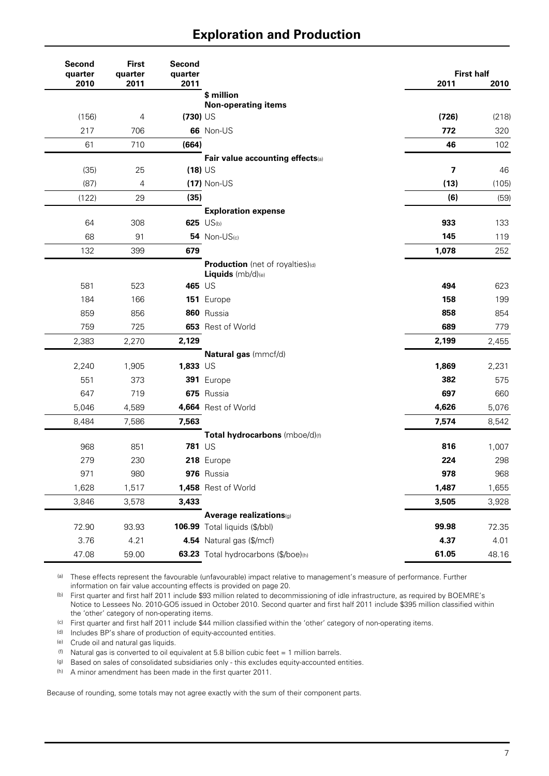| <b>Exploration and Production</b> |  |  |  |
|-----------------------------------|--|--|--|
|-----------------------------------|--|--|--|

| Second<br>quarter | <b>First</b><br>quarter | Second<br>quarter |                                      | <b>First half</b> |       |
|-------------------|-------------------------|-------------------|--------------------------------------|-------------------|-------|
| 2010              | 2011                    | 2011              |                                      | 2011              | 2010  |
|                   |                         |                   | \$ million                           |                   |       |
|                   |                         |                   | <b>Non-operating items</b>           |                   |       |
| (156)             | 4                       | $(730)$ US        |                                      | (726)             | (218) |
| 217               | 706                     |                   | 66 Non-US                            | 772               | 320   |
| 61                | 710                     | (664)             |                                      | 46                | 102   |
| (35)              | 25                      | $(18)$ US         | Fair value accounting effects(a)     | 7                 | 46    |
| (87)              | $\overline{4}$          |                   | $(17)$ Non-US                        | (13)              | (105) |
| (122)             | 29                      | (35)              |                                      | (6)               |       |
|                   |                         |                   | <b>Exploration expense</b>           |                   | (59)  |
| 64                | 308                     |                   | 625 US(b)                            | 933               | 133   |
| 68                | 91                      |                   | <b>54</b> Non-US(c)                  | 145               | 119   |
| 132               | 399                     | 679               |                                      | 1,078             | 252   |
|                   |                         |                   | Production (net of royalties)(d)     |                   |       |
|                   |                         |                   | Liquids (mb/d)(e)                    |                   |       |
| 581               | 523                     | 465 US            |                                      | 494               | 623   |
| 184               | 166                     |                   | 151 Europe                           | 158               | 199   |
| 859               | 856                     |                   | 860 Russia                           | 858               | 854   |
| 759               | 725                     |                   | 653 Rest of World                    | 689               | 779   |
| 2,383             | 2,270                   | 2,129             |                                      | 2,199             | 2,455 |
|                   |                         |                   | Natural gas (mmcf/d)                 |                   |       |
| 2,240             | 1,905                   | 1,833 US          |                                      | 1,869             | 2,231 |
| 551               | 373                     |                   | 391 Europe                           | 382               | 575   |
| 647               | 719                     |                   | 675 Russia                           | 697               | 660   |
| 5,046             | 4,589                   |                   | 4,664 Rest of World                  | 4,626             | 5,076 |
| 8,484             | 7,586                   | 7,563             |                                      | 7,574             | 8,542 |
|                   |                         |                   | Total hydrocarbons (mboe/d)(f)       |                   |       |
| 968               | 851                     | 781 US            |                                      | 816               | 1,007 |
| 279               | 230                     |                   | 218 Europe                           | 224               | 298   |
| 971               | 980                     |                   | 976 Russia                           | 978               | 968   |
| 1,628             | 1,517                   |                   | 1,458 Rest of World                  | 1,487             | 1,655 |
| 3,846             | 3,578                   | 3,433             |                                      | 3,505             | 3,928 |
|                   |                         |                   | Average realizations(g)              |                   |       |
| 72.90             | 93.93                   |                   | 106.99 Total liquids (\$/bbl)        | 99.98             | 72.35 |
| 3.76              | 4.21                    |                   | 4.54 Natural gas (\$/mcf)            | 4.37              | 4.01  |
| 47.08             | 59.00                   |                   | 63.23 Total hydrocarbons (\$/boe)(h) | 61.05             | 48.16 |

(a) These effects represent the favourable (unfavourable) impact relative to management's measure of performance. Further information on fair value accounting effects is provided on page 20.

(b) First quarter and first half 2011 include \$93 million related to decommissioning of idle infrastructure, as required by BOEMRE's Notice to Lessees No. 2010-GO5 issued in October 2010. Second quarter and first half 2011 include \$395 million classified within the 'other' category of non-operating items.

(c) First quarter and first half 2011 include \$44 million classified within the 'other' category of non-operating items.

(d) Includes BP's share of production of equity-accounted entities.

(e) Crude oil and natural gas liquids.

(f) Natural gas is converted to oil equivalent at 5.8 billion cubic feet = 1 million barrels.

(g) Based on sales of consolidated subsidiaries only - this excludes equity-accounted entities.

(h) A minor amendment has been made in the first quarter 2011.

Because of rounding, some totals may not agree exactly with the sum of their component parts.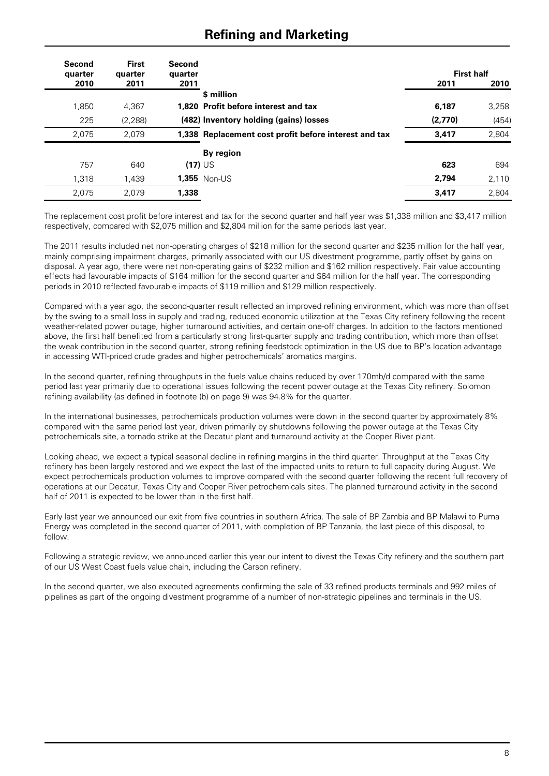## **Refining and Marketing**

| <b>Second</b><br>quarter | <b>First</b><br>quarter | Second<br>quarter |                                                       | <b>First half</b> |       |
|--------------------------|-------------------------|-------------------|-------------------------------------------------------|-------------------|-------|
| 2010                     | 2011                    | 2011              |                                                       | 2011              | 2010  |
|                          |                         |                   | \$ million                                            |                   |       |
| 1,850                    | 4.367                   |                   | 1.820 Profit before interest and tax                  | 6,187             | 3,258 |
| 225                      | (2, 288)                |                   | (482) Inventory holding (gains) losses                | (2,770)           | (454) |
| 2,075                    | 2.079                   |                   | 1,338 Replacement cost profit before interest and tax | 3,417             | 2,804 |
|                          |                         |                   | By region                                             |                   |       |
| 757                      | 640                     |                   | $(17)$ US                                             | 623               | 694   |
| 1,318                    | 1,439                   |                   | <b>1,355 Non-US</b>                                   | 2,794             | 2,110 |
| 2,075                    | 2.079                   | 1,338             |                                                       | 3,417             | 2.804 |

The replacement cost profit before interest and tax for the second quarter and half year was \$1,338 million and \$3,417 million respectively, compared with \$2,075 million and \$2,804 million for the same periods last year.

The 2011 results included net non-operating charges of \$218 million for the second quarter and \$235 million for the half year, mainly comprising impairment charges, primarily associated with our US divestment programme, partly offset by gains on disposal. A year ago, there were net non-operating gains of \$232 million and \$162 million respectively. Fair value accounting effects had favourable impacts of \$164 million for the second quarter and \$64 million for the half year. The corresponding periods in 2010 reflected favourable impacts of \$119 million and \$129 million respectively.

Compared with a year ago, the second-quarter result reflected an improved refining environment, which was more than offset by the swing to a small loss in supply and trading, reduced economic utilization at the Texas City refinery following the recent weather-related power outage, higher turnaround activities, and certain one-off charges. In addition to the factors mentioned above, the first half benefited from a particularly strong first-quarter supply and trading contribution, which more than offset the weak contribution in the second quarter, strong refining feedstock optimization in the US due to BP's location advantage in accessing WTI-priced crude grades and higher petrochemicals' aromatics margins.

In the second quarter, refining throughputs in the fuels value chains reduced by over 170mb/d compared with the same period last year primarily due to operational issues following the recent power outage at the Texas City refinery. Solomon refining availability (as defined in footnote (b) on page 9) was 94.8% for the quarter.

In the international businesses, petrochemicals production volumes were down in the second quarter by approximately 8% compared with the same period last year, driven primarily by shutdowns following the power outage at the Texas City petrochemicals site, a tornado strike at the Decatur plant and turnaround activity at the Cooper River plant.

Looking ahead, we expect a typical seasonal decline in refining margins in the third quarter. Throughput at the Texas City refinery has been largely restored and we expect the last of the impacted units to return to full capacity during August. We expect petrochemicals production volumes to improve compared with the second quarter following the recent full recovery of operations at our Decatur, Texas City and Cooper River petrochemicals sites. The planned turnaround activity in the second half of 2011 is expected to be lower than in the first half.

Early last year we announced our exit from five countries in southern Africa. The sale of BP Zambia and BP Malawi to Puma Energy was completed in the second quarter of 2011, with completion of BP Tanzania, the last piece of this disposal, to follow.

Following a strategic review, we announced earlier this year our intent to divest the Texas City refinery and the southern part of our US West Coast fuels value chain, including the Carson refinery.

In the second quarter, we also executed agreements confirming the sale of 33 refined products terminals and 992 miles of pipelines as part of the ongoing divestment programme of a number of non-strategic pipelines and terminals in the US.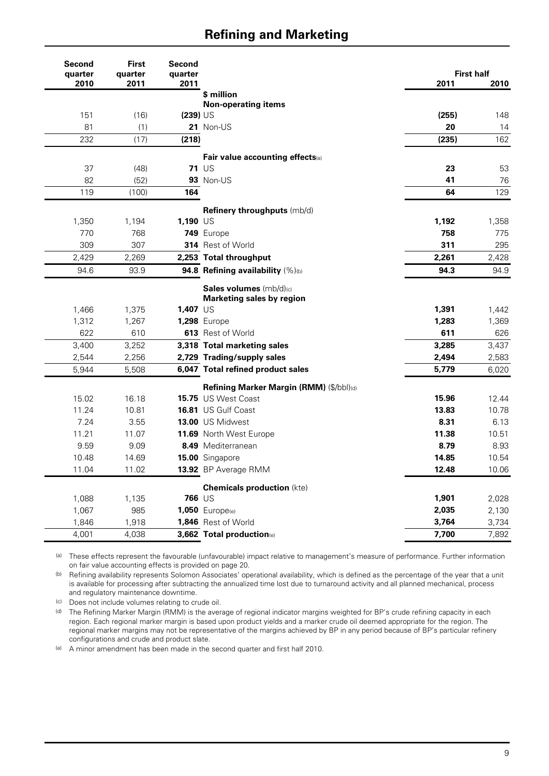## **Refining and Marketing**

| Second          | <b>First</b>    | Second          |                                                             |                           |       |
|-----------------|-----------------|-----------------|-------------------------------------------------------------|---------------------------|-------|
| quarter<br>2010 | quarter<br>2011 | quarter<br>2011 |                                                             | <b>First half</b><br>2011 | 2010  |
|                 |                 |                 | \$ million                                                  |                           |       |
|                 |                 |                 | <b>Non-operating items</b>                                  |                           |       |
| 151             | (16)            | $(239)$ US      |                                                             | (255)                     | 148   |
| 81              | (1)             |                 | 21 Non-US                                                   | 20                        | 14    |
| 232             | (17)            | (218)           |                                                             | (235)                     | 162   |
|                 |                 |                 | Fair value accounting effects(a)                            |                           |       |
| 37              | (48)            |                 | <b>71 US</b>                                                | 23                        | 53    |
| 82              | (52)            |                 | 93 Non-US                                                   | 41                        | 76    |
| 119             | (100)           | 164             |                                                             | 64                        | 129   |
|                 |                 |                 | <b>Refinery throughputs (mb/d)</b>                          |                           |       |
| 1,350           | 1,194           | 1,190 US        |                                                             | 1,192                     | 1,358 |
| 770             | 768             |                 | 749 Europe                                                  | 758                       | 775   |
| 309             | 307             |                 | 314 Rest of World                                           | 311                       | 295   |
| 2,429           | 2,269           |                 | 2,253 Total throughput                                      | 2,261                     | 2,428 |
| 94.6            | 93.9            |                 | 94.8 Refining availability (%)(b)                           | 94.3                      | 94.9  |
|                 |                 |                 | Sales volumes (mb/d)(c)<br><b>Marketing sales by region</b> |                           |       |
| 1,466           | 1,375           | $1.407$ US      |                                                             | 1,391                     | 1,442 |
| 1,312           | 1,267           |                 | <b>1,298 Europe</b>                                         | 1,283                     | 1,369 |
| 622             | 610             |                 | 613 Rest of World                                           | 611                       | 626   |
| 3,400           | 3,252           |                 | 3,318 Total marketing sales                                 | 3,285                     | 3,437 |
| 2,544           | 2,256           |                 | 2,729 Trading/supply sales                                  | 2,494                     | 2,583 |
| 5,944           | 5,508           |                 | 6,047 Total refined product sales                           | 5,779                     | 6,020 |
|                 |                 |                 | Refining Marker Margin (RMM) (\$/bbl)(d)                    |                           |       |
| 15.02           | 16.18           |                 | 15.75 US West Coast                                         | 15.96                     | 12.44 |
| 11.24           | 10.81           |                 | 16.81 US Gulf Coast                                         | 13.83                     | 10.78 |
| 7.24            | 3.55            |                 | 13.00 US Midwest                                            | 8.31                      | 6.13  |
| 11.21           | 11.07           |                 | 11.69 North West Europe                                     | 11.38                     | 10.51 |
| 9.59            | 9.09            |                 | 8.49 Mediterranean                                          | 8.79                      | 8.93  |
| 10.48           | 14.69           |                 | 15.00 Singapore                                             | 14.85                     | 10.54 |
| 11.04           | 11.02           |                 | 13.92 BP Average RMM                                        | 12.48                     | 10.06 |
|                 |                 |                 | <b>Chemicals production (kte)</b>                           |                           |       |
| 1,088           | 1,135           | 766 US          |                                                             | 1,901                     | 2,028 |
| 1,067           | 985             |                 | <b>1,050</b> Europe(e)                                      | 2,035                     | 2,130 |
| 1,846           | 1,918           |                 | 1,846 Rest of World                                         | 3,764                     | 3,734 |
| 4,001           | 4,038           |                 | 3,662 Total production(e)                                   | 7,700                     | 7,892 |

(a) These effects represent the favourable (unfavourable) impact relative to management's measure of performance. Further information on fair value accounting effects is provided on page 20.

(b) Refining availability represents Solomon Associates' operational availability, which is defined as the percentage of the year that a unit is available for processing after subtracting the annualized time lost due to turnaround activity and all planned mechanical, process and regulatory maintenance downtime.

(c) Does not include volumes relating to crude oil.

(d) The Refining Marker Margin (RMM) is the average of regional indicator margins weighted for BP's crude refining capacity in each region. Each regional marker margin is based upon product yields and a marker crude oil deemed appropriate for the region. The regional marker margins may not be representative of the margins achieved by BP in any period because of BP's particular refinery configurations and crude and product slate.

(e) A minor amendment has been made in the second quarter and first half 2010.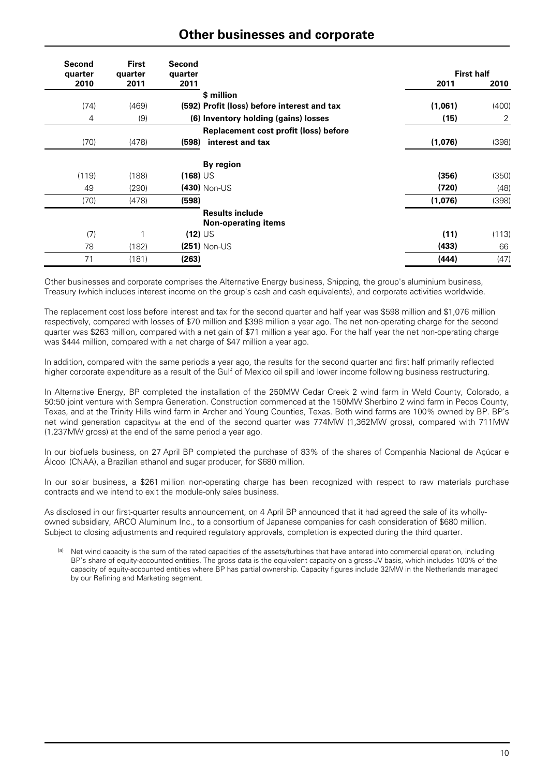| <b>Second</b><br>quarter | <b>First</b><br>quarter | Second<br>quarter |                                                      | <b>First half</b> |                |
|--------------------------|-------------------------|-------------------|------------------------------------------------------|-------------------|----------------|
| 2010                     | 2011                    | 2011              |                                                      | 2011              | 2010           |
|                          |                         |                   | \$ million                                           |                   |                |
| (74)                     | (469)                   |                   | (592) Profit (loss) before interest and tax          | (1,061)           | (400)          |
| 4                        | (9)                     |                   | (6) Inventory holding (gains) losses                 | (15)              | $\overline{2}$ |
|                          |                         |                   | Replacement cost profit (loss) before                |                   |                |
| (70)                     | (478)                   | (598)             | interest and tax                                     | (1,076)           | (398)          |
|                          |                         |                   | By region                                            |                   |                |
| (119)                    | (188)                   | $(168)$ US        |                                                      | (356)             | (350)          |
| 49                       | (290)                   |                   | $(430)$ Non-US                                       | (720)             | (48)           |
| (70)                     | (478)                   | (598)             |                                                      | (1,076)           | (398)          |
|                          |                         |                   | <b>Results include</b><br><b>Non-operating items</b> |                   |                |
| (7)                      |                         |                   | $(12)$ US                                            | (11)              | (113)          |
| 78                       | (182)                   |                   | $(251)$ Non-US                                       | (433)             | 66             |
| 71                       | (181)                   | (263)             |                                                      | (444)             | (47)           |

## **Other businesses and corporate**

Other businesses and corporate comprises the Alternative Energy business, Shipping, the group's aluminium business, Treasury (which includes interest income on the group's cash and cash equivalents), and corporate activities worldwide.

The replacement cost loss before interest and tax for the second quarter and half year was \$598 million and \$1,076 million respectively, compared with losses of \$70 million and \$398 million a year ago. The net non-operating charge for the second quarter was \$263 million, compared with a net gain of \$71 million a year ago. For the half year the net non-operating charge was \$444 million, compared with a net charge of \$47 million a year ago.

In addition, compared with the same periods a year ago, the results for the second quarter and first half primarily reflected higher corporate expenditure as a result of the Gulf of Mexico oil spill and lower income following business restructuring.

In Alternative Energy, BP completed the installation of the 250MW Cedar Creek 2 wind farm in Weld County, Colorado, a 50:50 joint venture with Sempra Generation. Construction commenced at the 150MW Sherbino 2 wind farm in Pecos County, Texas, and at the Trinity Hills wind farm in Archer and Young Counties, Texas. Both wind farms are 100% owned by BP. BP's net wind generation capacity(a) at the end of the second quarter was 774MW (1,362MW gross), compared with 711MW (1,237MW gross) at the end of the same period a year ago.

In our biofuels business, on 27 April BP completed the purchase of 83% of the shares of Companhia Nacional de Açúcar e Álcool (CNAA), a Brazilian ethanol and sugar producer, for \$680 million.

In our solar business, a \$261 million non-operating charge has been recognized with respect to raw materials purchase contracts and we intend to exit the module-only sales business.

As disclosed in our first-quarter results announcement, on 4 April BP announced that it had agreed the sale of its whollyowned subsidiary, ARCO Aluminum Inc., to a consortium of Japanese companies for cash consideration of \$680 million. Subject to closing adjustments and required regulatory approvals, completion is expected during the third quarter.

Net wind capacity is the sum of the rated capacities of the assets/turbines that have entered into commercial operation, including BP's share of equity-accounted entities. The gross data is the equivalent capacity on a gross-JV basis, which includes 100% of the capacity of equity-accounted entities where BP has partial ownership. Capacity figures include 32MW in the Netherlands managed by our Refining and Marketing segment.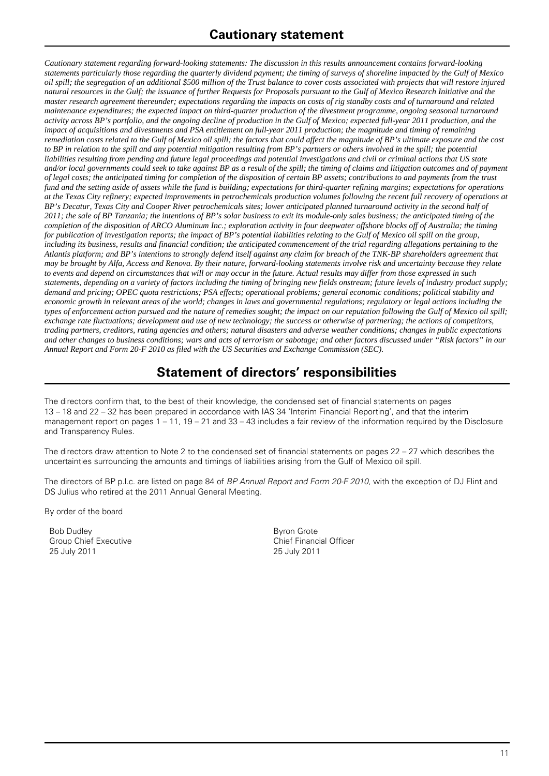*Cautionary statement regarding forward-looking statements: The discussion in this results announcement contains forward-looking statements particularly those regarding the quarterly dividend payment; the timing of surveys of shoreline impacted by the Gulf of Mexico oil spill; the segregation of an additional \$500 million of the Trust balance to cover costs associated with projects that will restore injured natural resources in the Gulf; the issuance of further Requests for Proposals pursuant to the Gulf of Mexico Research Initiative and the master research agreement thereunder; expectations regarding the impacts on costs of rig standby costs and of turnaround and related maintenance expenditures; the expected impact on third-quarter production of the divestment programme, ongoing seasonal turnaround activity across BP's portfolio, and the ongoing decline of production in the Gulf of Mexico; expected full-year 2011 production, and the impact of acquisitions and divestments and PSA entitlement on full-year 2011 production; the magnitude and timing of remaining remediation costs related to the Gulf of Mexico oil spill; the factors that could affect the magnitude of BP's ultimate exposure and the cost to BP in relation to the spill and any potential mitigation resulting from BP's partners or others involved in the spill; the potential liabilities resulting from pending and future legal proceedings and potential investigations and civil or criminal actions that US state and/or local governments could seek to take against BP as a result of the spill; the timing of claims and litigation outcomes and of payment of legal costs; the anticipated timing for completion of the disposition of certain BP assets; contributions to and payments from the trust fund and the setting aside of assets while the fund is building; expectations for third-quarter refining margins; expectations for operations at the Texas City refinery; expected improvements in petrochemicals production volumes following the recent full recovery of operations at BP's Decatur, Texas City and Cooper River petrochemicals sites; lower anticipated planned turnaround activity in the second half of 2011; the sale of BP Tanzania; the intentions of BP's solar business to exit its module-only sales business; the anticipated timing of the completion of the disposition of ARCO Aluminum Inc.; exploration activity in four deepwater offshore blocks off of Australia; the timing for publication of investigation reports; the impact of BP's potential liabilities relating to the Gulf of Mexico oil spill on the group, including its business, results and financial condition; the anticipated commencement of the trial regarding allegations pertaining to the Atlantis platform; and BP's intentions to strongly defend itself against any claim for breach of the TNK-BP shareholders agreement that may be brought by Alfa, Access and Renova. By their nature, forward-looking statements involve risk and uncertainty because they relate to events and depend on circumstances that will or may occur in the future. Actual results may differ from those expressed in such statements, depending on a variety of factors including the timing of bringing new fields onstream; future levels of industry product supply; demand and pricing; OPEC quota restrictions; PSA effects; operational problems; general economic conditions; political stability and economic growth in relevant areas of the world; changes in laws and governmental regulations; regulatory or legal actions including the types of enforcement action pursued and the nature of remedies sought; the impact on our reputation following the Gulf of Mexico oil spill; exchange rate fluctuations; development and use of new technology; the success or otherwise of partnering; the actions of competitors, trading partners, creditors, rating agencies and others; natural disasters and adverse weather conditions; changes in public expectations and other changes to business conditions; wars and acts of terrorism or sabotage; and other factors discussed under "Risk factors" in our Annual Report and Form 20-F 2010 as filed with the US Securities and Exchange Commission (SEC).* 

## **Statement of directors' responsibilities**

The directors confirm that, to the best of their knowledge*,* the condensed set of financial statements on pages 13 – 18 and 22 – 32 has been prepared in accordance with IAS 34 'Interim Financial Reporting', and that the interim management report on pages 1 – 11, 19 – 21 and 33 – 43 includes a fair review of the information required by the Disclosure and Transparency Rules.

The directors draw attention to Note 2 to the condensed set of financial statements on pages 22 – 27 which describes the uncertainties surrounding the amounts and timings of liabilities arising from the Gulf of Mexico oil spill.

The directors of BP p.l.c. are listed on page 84 of *BP Annual Report and Form 20-F 2010,* with the exception of DJ Flint and DS Julius who retired at the 2011 Annual General Meeting.

By order of the board

Bob Dudley<br>Group Chief Executive **Byron Group Chief Executive**<br>Chief Einancial Officer Group Chief Executive 25 July 2011 25 July 2011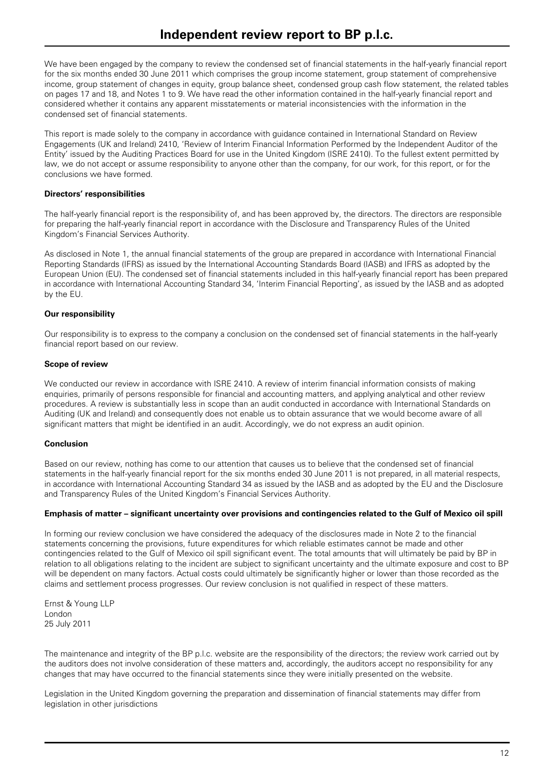We have been engaged by the company to review the condensed set of financial statements in the half-yearly financial report for the six months ended 30 June 2011 which comprises the group income statement, group statement of comprehensive income, group statement of changes in equity, group balance sheet, condensed group cash flow statement, the related tables on pages 17 and 18, and Notes 1 to 9. We have read the other information contained in the half-yearly financial report and considered whether it contains any apparent misstatements or material inconsistencies with the information in the condensed set of financial statements.

This report is made solely to the company in accordance with guidance contained in International Standard on Review Engagements (UK and Ireland) 2410, 'Review of Interim Financial Information Performed by the Independent Auditor of the Entity' issued by the Auditing Practices Board for use in the United Kingdom (ISRE 2410). To the fullest extent permitted by law, we do not accept or assume responsibility to anyone other than the company, for our work, for this report, or for the conclusions we have formed.

## **Directors' responsibilities**

The half-yearly financial report is the responsibility of, and has been approved by, the directors. The directors are responsible for preparing the half-yearly financial report in accordance with the Disclosure and Transparency Rules of the United Kingdom's Financial Services Authority.

As disclosed in Note 1, the annual financial statements of the group are prepared in accordance with International Financial Reporting Standards (IFRS) as issued by the International Accounting Standards Board (IASB) and IFRS as adopted by the European Union (EU). The condensed set of financial statements included in this half-yearly financial report has been prepared in accordance with International Accounting Standard 34, 'Interim Financial Reporting', as issued by the IASB and as adopted by the EU.

## **Our responsibility**

Our responsibility is to express to the company a conclusion on the condensed set of financial statements in the half-yearly financial report based on our review.

## **Scope of review**

We conducted our review in accordance with ISRE 2410. A review of interim financial information consists of making enquiries, primarily of persons responsible for financial and accounting matters, and applying analytical and other review procedures. A review is substantially less in scope than an audit conducted in accordance with International Standards on Auditing (UK and Ireland) and consequently does not enable us to obtain assurance that we would become aware of all significant matters that might be identified in an audit. Accordingly, we do not express an audit opinion.

## **Conclusion**

Based on our review, nothing has come to our attention that causes us to believe that the condensed set of financial statements in the half-yearly financial report for the six months ended 30 June 2011 is not prepared, in all material respects, in accordance with International Accounting Standard 34 as issued by the IASB and as adopted by the EU and the Disclosure and Transparency Rules of the United Kingdom's Financial Services Authority.

## **Emphasis of matter – significant uncertainty over provisions and contingencies related to the Gulf of Mexico oil spill**

In forming our review conclusion we have considered the adequacy of the disclosures made in Note 2 to the financial statements concerning the provisions, future expenditures for which reliable estimates cannot be made and other contingencies related to the Gulf of Mexico oil spill significant event. The total amounts that will ultimately be paid by BP in relation to all obligations relating to the incident are subject to significant uncertainty and the ultimate exposure and cost to BP will be dependent on many factors. Actual costs could ultimately be significantly higher or lower than those recorded as the claims and settlement process progresses. Our review conclusion is not qualified in respect of these matters.

Ernst & Young LLP London 25 July 2011

The maintenance and integrity of the BP p.l.c. website are the responsibility of the directors; the review work carried out by the auditors does not involve consideration of these matters and, accordingly, the auditors accept no responsibility for any changes that may have occurred to the financial statements since they were initially presented on the website.

Legislation in the United Kingdom governing the preparation and dissemination of financial statements may differ from legislation in other jurisdictions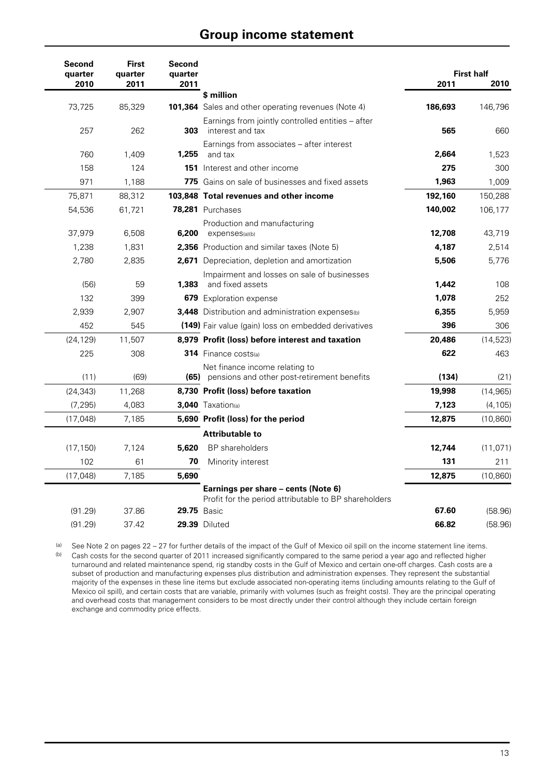## **Group income statement**

| Second<br>quarter | <b>First</b><br>quarter | <b>Second</b><br>quarter |                                                                                              |         | <b>First half</b> |
|-------------------|-------------------------|--------------------------|----------------------------------------------------------------------------------------------|---------|-------------------|
| 2010              | 2011                    | 2011                     |                                                                                              | 2011    | 2010              |
|                   |                         |                          | \$ million                                                                                   |         |                   |
| 73,725            | 85,329                  |                          | 101,364 Sales and other operating revenues (Note 4)                                          | 186,693 | 146,796           |
| 257               | 262                     | 303                      | Earnings from jointly controlled entities - after<br>interest and tax                        | 565     | 660               |
| 760               | 1,409                   | 1,255                    | Earnings from associates – after interest<br>and tax                                         | 2,664   | 1,523             |
| 158               | 124                     |                          | <b>151</b> Interest and other income                                                         | 275     | 300               |
| 971               | 1.188                   |                          | <b>775</b> Gains on sale of businesses and fixed assets                                      | 1.963   | 1,009             |
| 75,871            | 88,312                  |                          | 103,848 Total revenues and other income                                                      | 192,160 | 150,288           |
| 54,536            | 61,721                  |                          | 78,281 Purchases                                                                             | 140,002 | 106,177           |
| 37,979            | 6,508                   | 6,200                    | Production and manufacturing<br>expenses(a)(b)                                               | 12,708  | 43,719            |
| 1,238             | 1,831                   |                          | <b>2,356</b> Production and similar taxes (Note 5)                                           | 4,187   | 2,514             |
| 2,780             | 2,835                   |                          | <b>2,671</b> Depreciation, depletion and amortization                                        | 5,506   | 5,776             |
| (56)              | 59                      | 1.383                    | Impairment and losses on sale of businesses<br>and fixed assets                              | 1,442   | 108               |
| 132               | 399                     |                          | 679 Exploration expense                                                                      | 1,078   | 252               |
| 2,939             | 2,907                   |                          | 3,448 Distribution and administration expenses(b)                                            | 6.355   | 5,959             |
| 452               | 545                     |                          | (149) Fair value (gain) loss on embedded derivatives                                         | 396     | 306               |
| (24, 129)         | 11,507                  |                          | 8,979 Profit (loss) before interest and taxation                                             | 20,486  | (14, 523)         |
| 225               | 308                     |                          | <b>314</b> Finance costs(a)                                                                  | 622     | 463               |
| (11)              | (69)                    |                          | Net finance income relating to<br>(65) pensions and other post-retirement benefits           | (134)   | (21)              |
| (24, 343)         | 11,268                  |                          | 8,730 Profit (loss) before taxation                                                          | 19.998  | (14, 965)         |
| (7, 295)          | 4,083                   |                          | $3,040$ Taxation(a)                                                                          | 7,123   | (4, 105)          |
| (17,048)          | 7,185                   |                          | 5,690 Profit (loss) for the period                                                           | 12,875  | (10, 860)         |
|                   |                         |                          | <b>Attributable to</b>                                                                       |         |                   |
| (17, 150)         | 7,124                   | 5,620                    | <b>BP</b> shareholders                                                                       | 12,744  | (11, 071)         |
| 102               | 61                      | 70                       | Minority interest                                                                            | 131     | 211               |
| (17, 048)         | 7,185                   | 5.690                    |                                                                                              | 12,875  | (10, 860)         |
|                   |                         |                          | Earnings per share – cents (Note 6)<br>Profit for the period attributable to BP shareholders |         |                   |
| (91.29)           | 37.86                   |                          | <b>29.75 Basic</b>                                                                           | 67.60   | (58.96)           |
| (91.29)           | 37.42                   |                          | <b>29.39 Diluted</b>                                                                         | 66.82   | (58.96)           |

(a) See Note 2 on pages  $22 - 27$  for further details of the impact of the Gulf of Mexico oil spill on the income statement line items. (b) Cash costs for the second quarter of 2011 increased significantly compared to the same period a year ago and reflected higher turnaround and related maintenance spend, rig standby costs in the Gulf of Mexico and certain one-off charges. Cash costs are a subset of production and manufacturing expenses plus distribution and administration expenses. They represent the substantial majority of the expenses in these line items but exclude associated non-operating items (including amounts relating to the Gulf of Mexico oil spill), and certain costs that are variable, primarily with volumes (such as freight costs). They are the principal operating and overhead costs that management considers to be most directly under their control although they include certain foreign exchange and commodity price effects.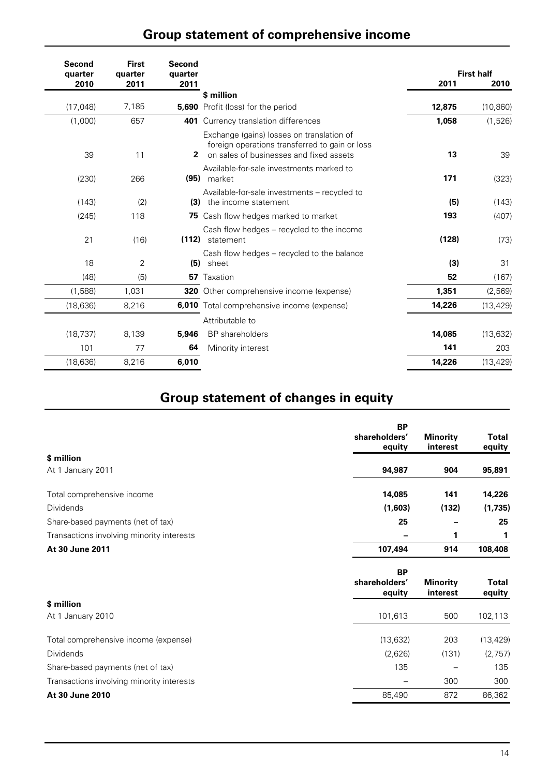| <b>Group statement of comprehensive income</b> |  |  |
|------------------------------------------------|--|--|
|                                                |  |  |

| Second          | <b>First</b>    | Second          |                                                                                                                                        |        | <b>First half</b> |
|-----------------|-----------------|-----------------|----------------------------------------------------------------------------------------------------------------------------------------|--------|-------------------|
| quarter<br>2010 | quarter<br>2011 | quarter<br>2011 |                                                                                                                                        | 2011   | 2010              |
|                 |                 |                 | \$ million                                                                                                                             |        |                   |
| (17, 048)       | 7,185           |                 | <b>5,690</b> Profit (loss) for the period                                                                                              | 12,875 | (10, 860)         |
| (1,000)         | 657             |                 | <b>401</b> Currency translation differences                                                                                            | 1,058  | (1,526)           |
| 39              | 11              | $\mathbf{2}$    | Exchange (gains) losses on translation of<br>foreign operations transferred to gain or loss<br>on sales of businesses and fixed assets | 13     | 39                |
| (230)           | 266             |                 | Available-for-sale investments marked to<br>$(95)$ market                                                                              | 171    | (323)             |
| (143)           | (2)             |                 | Available-for-sale investments – recycled to<br>(3) the income statement                                                               | (5)    | (143)             |
| (245)           | 118             |                 | 75 Cash flow hedges marked to market                                                                                                   | 193    | (407)             |
| 21              | (16)            |                 | Cash flow hedges – recycled to the income<br>(112) statement                                                                           | (128)  | (73)              |
| 18              | 2               |                 | Cash flow hedges – recycled to the balance<br>$(5)$ sheet                                                                              | (3)    | 31                |
| (48)            | (5)             |                 | <b>57</b> Taxation                                                                                                                     | 52     | (167)             |
| (1,588)         | 1,031           |                 | <b>320</b> Other comprehensive income (expense)                                                                                        | 1,351  | (2,569)           |
| (18, 636)       | 8,216           |                 | <b>6,010</b> Total comprehensive income (expense)                                                                                      | 14,226 | (13, 429)         |
|                 |                 |                 | Attributable to                                                                                                                        |        |                   |
| (18, 737)       | 8,139           | 5,946           | <b>BP</b> shareholders                                                                                                                 | 14,085 | (13, 632)         |
| 101             | 77              | 64              | Minority interest                                                                                                                      | 141    | 203               |
| (18, 636)       | 8,216           | 6,010           |                                                                                                                                        | 14,226 | (13, 429)         |

## **Group statement of changes in equity**

|                                           | <b>BP</b><br>shareholders'<br>equity | <b>Minority</b><br>interest | <b>Total</b><br>equity |
|-------------------------------------------|--------------------------------------|-----------------------------|------------------------|
| \$ million                                |                                      |                             |                        |
| At 1 January 2011                         | 94,987                               | 904                         | 95,891                 |
| Total comprehensive income                | 14,085                               | 141                         | 14,226                 |
| <b>Dividends</b>                          | (1,603)                              | (132)                       | (1,735)                |
| Share-based payments (net of tax)         | 25                                   |                             | 25                     |
| Transactions involving minority interests |                                      | 1                           | 1                      |
| At 30 June 2011                           | 107,494                              | 914                         | 108,408                |
|                                           | <b>BP</b><br>shareholders'<br>equity | <b>Minority</b><br>interest | <b>Total</b><br>equity |
| \$ million                                |                                      |                             |                        |
| At 1 January 2010                         | 101,613                              | 500                         | 102,113                |
| Total comprehensive income (expense)      | (13, 632)                            | 203                         | (13, 429)              |
| <b>Dividends</b>                          | (2,626)                              | (131)                       | (2,757)                |
| Share-based payments (net of tax)         | 135                                  |                             | 135                    |
| Transactions involving minority interests |                                      | 300                         | 300                    |
| At 30 June 2010                           | 85,490                               | 872                         | 86,362                 |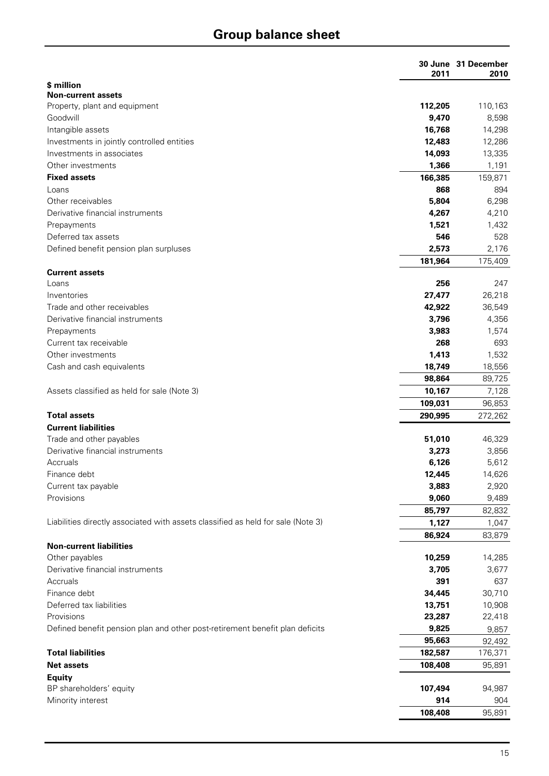## **Group balance sheet**

|                                                                                  | 2011    | 30 June 31 December<br>2010 |
|----------------------------------------------------------------------------------|---------|-----------------------------|
| \$ million                                                                       |         |                             |
| <b>Non-current assets</b>                                                        |         |                             |
| Property, plant and equipment                                                    | 112,205 | 110,163                     |
| Goodwill                                                                         | 9,470   | 8,598                       |
| Intangible assets                                                                | 16,768  | 14,298                      |
| Investments in jointly controlled entities                                       | 12,483  | 12,286                      |
| Investments in associates                                                        | 14,093  | 13,335                      |
| Other investments                                                                | 1,366   | 1,191                       |
| <b>Fixed assets</b>                                                              | 166,385 | 159,871                     |
| Loans                                                                            | 868     | 894                         |
| Other receivables                                                                | 5,804   | 6,298                       |
| Derivative financial instruments                                                 | 4,267   | 4,210                       |
| Prepayments                                                                      | 1,521   | 1,432                       |
| Deferred tax assets                                                              | 546     | 528                         |
| Defined benefit pension plan surpluses                                           | 2,573   | 2,176                       |
| <b>Current assets</b>                                                            | 181,964 | 175,409                     |
| Loans                                                                            | 256     | 247                         |
| Inventories                                                                      | 27,477  | 26,218                      |
| Trade and other receivables                                                      | 42,922  | 36,549                      |
| Derivative financial instruments                                                 | 3,796   | 4,356                       |
| Prepayments                                                                      | 3,983   | 1,574                       |
| Current tax receivable                                                           | 268     | 693                         |
| Other investments                                                                | 1,413   | 1,532                       |
| Cash and cash equivalents                                                        | 18,749  | 18,556                      |
|                                                                                  | 98,864  | 89,725                      |
| Assets classified as held for sale (Note 3)                                      | 10,167  | 7,128                       |
|                                                                                  | 109,031 | 96,853                      |
| <b>Total assets</b>                                                              | 290,995 | 272,262                     |
| <b>Current liabilities</b>                                                       |         |                             |
| Trade and other payables                                                         | 51,010  | 46,329                      |
| Derivative financial instruments                                                 | 3,273   | 3,856                       |
| Accruals                                                                         | 6,126   | 5,612                       |
| Finance debt                                                                     | 12,445  | 14,626                      |
| Current tax payable                                                              | 3,883   | 2,920                       |
| Provisions                                                                       | 9,060   | 9,489                       |
|                                                                                  | 85,797  | 82,832                      |
| Liabilities directly associated with assets classified as held for sale (Note 3) | 1,127   | 1,047                       |
|                                                                                  | 86,924  | 83,879                      |
| <b>Non-current liabilities</b>                                                   |         |                             |
| Other payables                                                                   | 10,259  | 14,285                      |
| Derivative financial instruments                                                 | 3,705   | 3,677                       |
| Accruals                                                                         | 391     | 637                         |
| Finance debt                                                                     | 34,445  | 30,710                      |
| Deferred tax liabilities                                                         | 13,751  | 10,908                      |
| Provisions                                                                       | 23,287  | 22,418                      |
| Defined benefit pension plan and other post-retirement benefit plan deficits     | 9,825   | 9,857                       |
|                                                                                  | 95,663  | 92,492                      |
| <b>Total liabilities</b>                                                         | 182,587 | 176,371                     |
| <b>Net assets</b>                                                                | 108,408 | 95,891                      |
| <b>Equity</b><br>BP shareholders' equity                                         | 107,494 | 94,987                      |
| Minority interest                                                                | 914     | 904                         |
|                                                                                  | 108,408 | 95,891                      |
|                                                                                  |         |                             |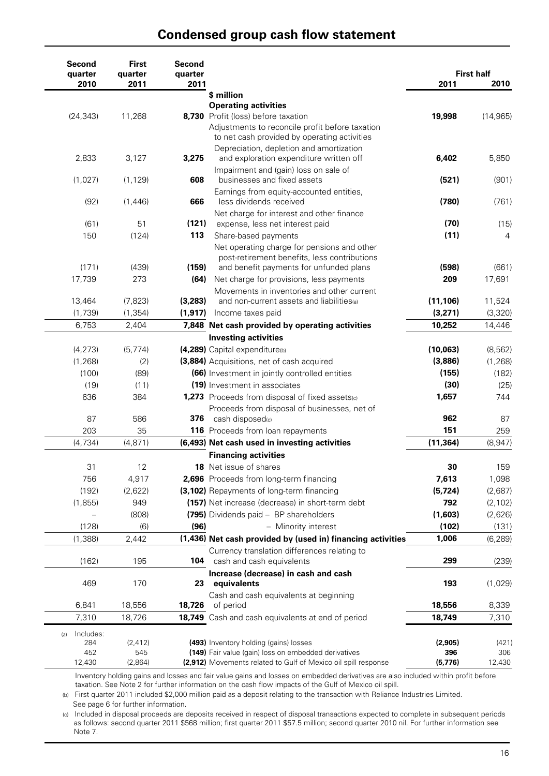## **Condensed group cash flow statement**

| Second<br>quarter | <b>First</b><br>quarter | Second<br>quarter |                                                                                                                                             |                | <b>First half</b> |
|-------------------|-------------------------|-------------------|---------------------------------------------------------------------------------------------------------------------------------------------|----------------|-------------------|
| 2010              | 2011                    | 2011              | \$ million                                                                                                                                  | 2011           | 2010              |
|                   |                         |                   | <b>Operating activities</b>                                                                                                                 |                |                   |
| (24, 343)         | 11,268                  |                   | 8,730 Profit (loss) before taxation                                                                                                         | 19,998         | (14, 965)         |
|                   |                         |                   | Adjustments to reconcile profit before taxation<br>to net cash provided by operating activities<br>Depreciation, depletion and amortization |                |                   |
| 2,833             | 3,127                   | 3,275             | and exploration expenditure written off<br>Impairment and (gain) loss on sale of                                                            | 6,402          | 5,850             |
| (1,027)           | (1, 129)                | 608               | businesses and fixed assets<br>Earnings from equity-accounted entities,                                                                     | (521)          | (901)             |
| (92)              | (1, 446)                | 666               | less dividends received                                                                                                                     | (780)          | (761)             |
|                   |                         |                   | Net charge for interest and other finance                                                                                                   |                |                   |
| (61)              | 51                      | (121)             | expense, less net interest paid                                                                                                             | (70)           | (15)              |
| 150               | (124)                   | 113               | Share-based payments<br>Net operating charge for pensions and other<br>post-retirement benefits, less contributions                         | (11)           | 4                 |
| (171)             | (439)                   | (159)             | and benefit payments for unfunded plans                                                                                                     | (598)          | (661)             |
| 17,739            | 273                     | (64)              | Net charge for provisions, less payments                                                                                                    | 209            | 17,691            |
|                   |                         |                   | Movements in inventories and other current                                                                                                  |                |                   |
| 13,464            | (7, 823)                | (3, 283)          | and non-current assets and liabilities(a)                                                                                                   | (11, 106)      | 11,524            |
| (1,739)           | (1, 354)                | (1,917)           | Income taxes paid                                                                                                                           | (3,271)        | (3, 320)          |
| 6,753             | 2,404                   |                   | 7,848 Net cash provided by operating activities                                                                                             | 10,252         | 14,446            |
|                   |                         |                   | <b>Investing activities</b>                                                                                                                 |                |                   |
| (4, 273)          | (5, 774)                |                   | (4,289) Capital expenditure(b)                                                                                                              | (10,063)       | (8, 562)          |
| (1, 268)          | (2)                     |                   | (3,884) Acquisitions, net of cash acquired                                                                                                  | (3,886)        | (1, 268)          |
| (100)             | (89)                    |                   | (66) Investment in jointly controlled entities                                                                                              | (155)          | (182)             |
| (19)              | (11)                    |                   | (19) Investment in associates                                                                                                               | (30)           | (25)              |
| 636               | 384                     |                   | 1,273 Proceeds from disposal of fixed assets(c)                                                                                             | 1,657          | 744               |
|                   |                         |                   | Proceeds from disposal of businesses, net of                                                                                                |                |                   |
| 87                | 586                     | 376               | cash disposed(c)                                                                                                                            | 962            | 87                |
| 203               | 35                      |                   | 116 Proceeds from loan repayments                                                                                                           | 151            | 259               |
| (4, 734)          | (4, 871)                |                   | (6,493) Net cash used in investing activities                                                                                               | (11, 364)      | (8,947)           |
|                   |                         |                   | <b>Financing activities</b>                                                                                                                 |                |                   |
| 31                | 12                      |                   | 18 Net issue of shares                                                                                                                      | 30             | 159               |
| 756               | 4,917                   |                   | 2,696 Proceeds from long-term financing                                                                                                     | 7,613          | 1,098             |
| (192)             | (2,622)                 |                   | (3,102) Repayments of long-term financing                                                                                                   | (5, 724)       | (2,687)           |
| (1, 855)          | 949                     |                   | (157) Net increase (decrease) in short-term debt                                                                                            | 792            | (2, 102)          |
|                   | (808)                   |                   | (795) Dividends paid - BP shareholders                                                                                                      | (1,603)        | (2,626)           |
| (128)             | (6)                     | (96)              | - Minority interest                                                                                                                         | (102)          | (131)             |
| (1, 388)          | 2,442                   |                   | (1,436) Net cash provided by (used in) financing activities                                                                                 | 1,006          | (6, 289)          |
| (162)             | 195                     | 104               | Currency translation differences relating to<br>cash and cash equivalents                                                                   | 299            | (239)             |
|                   |                         |                   | Increase (decrease) in cash and cash                                                                                                        |                |                   |
| 469               | 170                     | 23                | equivalents                                                                                                                                 | 193            | (1,029)           |
|                   |                         |                   | Cash and cash equivalents at beginning                                                                                                      |                |                   |
| 6,841             | 18,556                  | 18,726            | of period                                                                                                                                   | 18,556         | 8,339             |
| 7,310             | 18,726                  |                   | 18,749 Cash and cash equivalents at end of period                                                                                           | 18,749         | 7,310             |
| Includes:<br>(a)  |                         |                   |                                                                                                                                             |                |                   |
| 284<br>452        | (2, 412)<br>545         |                   | (493) Inventory holding (gains) losses<br>(149) Fair value (gain) loss on embedded derivatives                                              | (2,905)<br>396 | (421)<br>306      |
| 12,430            | (2,864)                 |                   | (2,912) Movements related to Gulf of Mexico oil spill response                                                                              | (5,776)        | 12,430            |

 Inventory holding gains and losses and fair value gains and losses on embedded derivatives are also included within profit before taxation. See Note 2 for further information on the cash flow impacts of the Gulf of Mexico oil spill.

 (b) First quarter 2011 included \$2,000 million paid as a deposit relating to the transaction with Reliance Industries Limited. See page 6 for further information.

 (c) Included in disposal proceeds are deposits received in respect of disposal transactions expected to complete in subsequent periods as follows: second quarter 2011 \$568 million; first quarter 2011 \$57.5 million; second quarter 2010 nil. For further information see Note 7.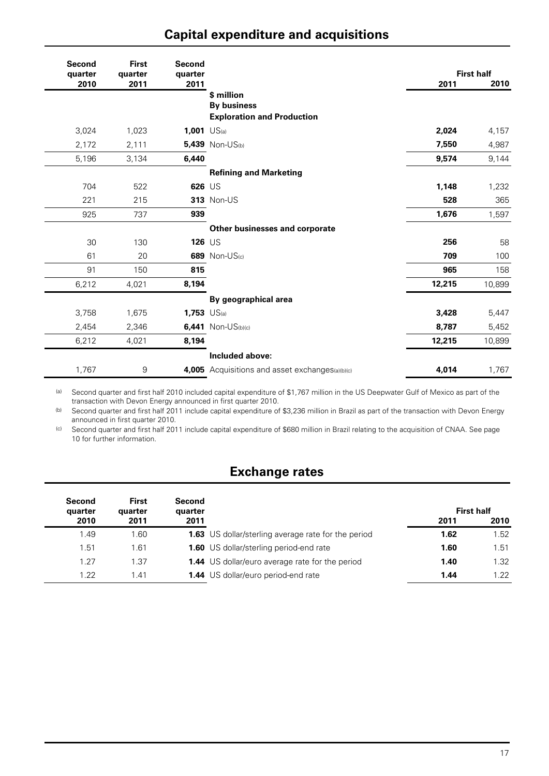| <b>First</b><br>Second<br>Second                      |                                                    |        |                           |
|-------------------------------------------------------|----------------------------------------------------|--------|---------------------------|
| quarter<br>quarter<br>quarter<br>2010<br>2011<br>2011 |                                                    | 2011   | <b>First half</b><br>2010 |
|                                                       | \$ million<br><b>By business</b>                   |        |                           |
|                                                       | <b>Exploration and Production</b>                  |        |                           |
| 3,024<br>$1,001$ US(a)<br>1,023                       |                                                    | 2,024  | 4,157                     |
| 2,172<br>2,111                                        | 5,439 Non-US(b)                                    | 7,550  | 4,987                     |
| 5,196<br>6,440<br>3,134                               |                                                    | 9,574  | 9,144                     |
|                                                       | <b>Refining and Marketing</b>                      |        |                           |
| 704<br>522<br>626 US                                  |                                                    | 1,148  | 1,232                     |
| 221<br>215                                            | <b>313 Non-US</b>                                  | 528    | 365                       |
| 925<br>737<br>939                                     |                                                    | 1,676  | 1,597                     |
|                                                       | Other businesses and corporate                     |        |                           |
| 30<br>130                                             | 126 US                                             | 256    | 58                        |
| 61<br>20                                              | 689 Non-US(c)                                      | 709    | 100                       |
| 91<br>150<br>815                                      |                                                    | 965    | 158                       |
| 6,212<br>8,194<br>4,021                               |                                                    | 12,215 | 10,899                    |
|                                                       | By geographical area                               |        |                           |
| 3,758<br>1,675<br>1,753 $US_{(a)}$                    |                                                    | 3,428  | 5,447                     |
| 2,454<br>2,346                                        | $6,441$ Non-US(b)(c)                               | 8,787  | 5,452                     |
| 6,212<br>4,021<br>8,194                               |                                                    | 12,215 | 10,899                    |
|                                                       | Included above:                                    |        |                           |
| 1,767<br>9                                            | 4,005 Acquisitions and asset exchanges (a) (b) (c) | 4,014  | 1,767                     |

## **Capital expenditure and acquisitions**

(a) Second quarter and first half 2010 included capital expenditure of \$1,767 million in the US Deepwater Gulf of Mexico as part of the transaction with Devon Energy announced in first quarter 2010.

(b) Second quarter and first half 2011 include capital expenditure of \$3,236 million in Brazil as part of the transaction with Devon Energy announced in first quarter 2010.

(c) Second quarter and first half 2011 include capital expenditure of \$680 million in Brazil relating to the acquisition of CNAA. See page 10 for further information.

## **Exchange rates**

| <b>Second</b><br>quarter | <b>First</b><br>quarter | Second<br>quarter |                                                            |      | <b>First half</b> |
|--------------------------|-------------------------|-------------------|------------------------------------------------------------|------|-------------------|
| 2010                     | 2011                    | 2011              |                                                            | 2011 | 2010              |
| 1.49                     | 1.60                    |                   | <b>1.63</b> US dollar/sterling average rate for the period | 1.62 | 1.52              |
| 1.51                     | 1.61                    |                   | 1.60 US dollar/sterling period-end rate                    | 1.60 | 1.51              |
| 1.27                     | 1.37                    |                   | <b>1.44</b> US dollar/euro average rate for the period     | 1.40 | 1.32              |
| 1.22                     | 1.41                    |                   | <b>1.44</b> US dollar/euro period-end rate                 | 1.44 | 1.22              |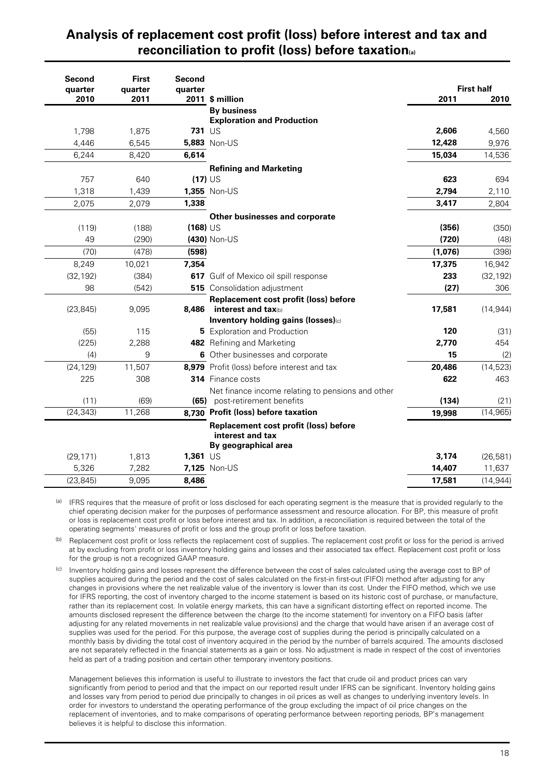| Second<br>quarter | <b>First</b><br>quarter | Second<br>quarter |                                                   |         | <b>First half</b> |
|-------------------|-------------------------|-------------------|---------------------------------------------------|---------|-------------------|
| 2010              | 2011                    |                   | 2011 \$ million                                   | 2011    | 2010              |
|                   |                         |                   | <b>By business</b>                                |         |                   |
|                   |                         |                   | <b>Exploration and Production</b>                 |         |                   |
| 1,798             | 1,875                   | <b>731 US</b>     |                                                   | 2,606   | 4,560             |
| 4,446             | 6,545                   |                   | 5,883 Non-US                                      | 12,428  | 9,976             |
| 6,244             | 8,420                   | 6,614             |                                                   | 15,034  | 14,536            |
|                   |                         |                   | <b>Refining and Marketing</b>                     |         |                   |
| 757               | 640                     | $(17)$ US         |                                                   | 623     | 694               |
| 1,318             | 1,439                   |                   | 1,355 Non-US                                      | 2,794   | 2,110             |
| 2,075             | 2,079                   | 1,338             |                                                   | 3,417   | 2,804             |
|                   |                         |                   | Other businesses and corporate                    |         |                   |
| (119)             | (188)                   | $(168)$ US        |                                                   | (356)   | (350)             |
| 49                | (290)                   |                   | (430) Non-US                                      | (720)   | (48)              |
| (70)              | (478)                   | (598)             |                                                   | (1,076) | (398)             |
| 8,249             | 10,021                  | 7,354             |                                                   | 17,375  | 16,942            |
| (32, 192)         | (384)                   |                   | 617 Gulf of Mexico oil spill response             | 233     | (32, 192)         |
| 98                | (542)                   |                   | <b>515</b> Consolidation adjustment               | (27)    | 306               |
|                   |                         |                   | Replacement cost profit (loss) before             |         |                   |
| (23, 845)         | 9,095                   | 8.486             | interest and tax(b)                               | 17,581  | (14, 944)         |
|                   |                         |                   | Inventory holding gains (losses)(c)               |         |                   |
| (55)              | 115                     |                   | 5 Exploration and Production                      | 120     | (31)              |
| (225)             | 2,288                   |                   | 482 Refining and Marketing                        | 2,770   | 454               |
| (4)               | 9                       |                   | 6 Other businesses and corporate                  | 15      | (2)               |
| (24, 129)         | 11,507                  |                   | 8,979 Profit (loss) before interest and tax       | 20,486  | (14, 523)         |
| 225               | 308                     |                   | 314 Finance costs                                 | 622     | 463               |
|                   |                         |                   | Net finance income relating to pensions and other |         |                   |
| (11)              | (69)                    |                   | (65) post-retirement benefits                     | (134)   | (21)              |
| (24, 343)         | 11,268                  |                   | 8,730 Profit (loss) before taxation               | 19,998  | (14, 965)         |
|                   |                         |                   | Replacement cost profit (loss) before             |         |                   |
|                   |                         |                   | interest and tax                                  |         |                   |
| (29, 171)         | 1,813                   | $1,361$ US        | By geographical area                              | 3,174   | (26, 581)         |
| 5,326             | 7,282                   |                   | 7,125 Non-US                                      | 14,407  | 11,637            |
|                   |                         |                   |                                                   |         |                   |
| (23, 845)         | 9,095                   | 8,486             |                                                   | 17,581  | (14, 944)         |

## **Analysis of replacement cost profit (loss) before interest and tax and reconciliation to profit (loss) before taxation(a)**

(a) IFRS requires that the measure of profit or loss disclosed for each operating segment is the measure that is provided regularly to the chief operating decision maker for the purposes of performance assessment and resource allocation. For BP, this measure of profit or loss is replacement cost profit or loss before interest and tax. In addition, a reconciliation is required between the total of the operating segments' measures of profit or loss and the group profit or loss before taxation.

(b) Replacement cost profit or loss reflects the replacement cost of supplies. The replacement cost profit or loss for the period is arrived at by excluding from profit or loss inventory holding gains and losses and their associated tax effect. Replacement cost profit or loss for the group is not a recognized GAAP measure.

(c) Inventory holding gains and losses represent the difference between the cost of sales calculated using the average cost to BP of supplies acquired during the period and the cost of sales calculated on the first-in first-out (FIFO) method after adjusting for any changes in provisions where the net realizable value of the inventory is lower than its cost. Under the FIFO method, which we use for IFRS reporting, the cost of inventory charged to the income statement is based on its historic cost of purchase, or manufacture, rather than its replacement cost. In volatile energy markets, this can have a significant distorting effect on reported income. The amounts disclosed represent the difference between the charge (to the income statement) for inventory on a FIFO basis (after adjusting for any related movements in net realizable value provisions) and the charge that would have arisen if an average cost of supplies was used for the period. For this purpose, the average cost of supplies during the period is principally calculated on a monthly basis by dividing the total cost of inventory acquired in the period by the number of barrels acquired. The amounts disclosed are not separately reflected in the financial statements as a gain or loss. No adjustment is made in respect of the cost of inventories held as part of a trading position and certain other temporary inventory positions.

Management believes this information is useful to illustrate to investors the fact that crude oil and product prices can vary significantly from period to period and that the impact on our reported result under IFRS can be significant. Inventory holding gains and losses vary from period to period due principally to changes in oil prices as well as changes to underlying inventory levels. In order for investors to understand the operating performance of the group excluding the impact of oil price changes on the replacement of inventories, and to make comparisons of operating performance between reporting periods, BP's management believes it is helpful to disclose this information.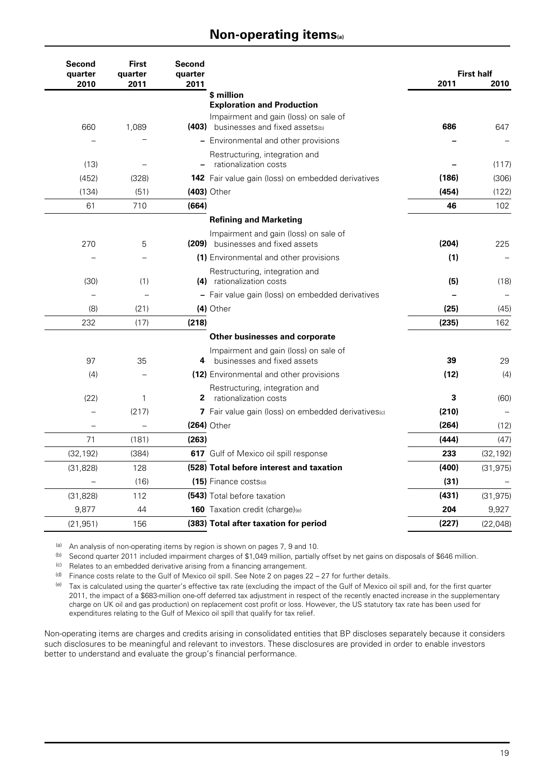## **Non-operating items(a)**

| Second<br>quarter | <b>First</b><br>quarter | Second<br>quarter |                                                                               |       | <b>First half</b> |
|-------------------|-------------------------|-------------------|-------------------------------------------------------------------------------|-------|-------------------|
| 2010              | 2011                    | 2011              |                                                                               | 2011  | 2010              |
|                   |                         |                   | \$ million<br><b>Exploration and Production</b>                               |       |                   |
| 660               | 1,089                   |                   | Impairment and gain (loss) on sale of<br>(403) businesses and fixed assets(b) | 686   | 647               |
|                   |                         |                   | - Environmental and other provisions                                          |       |                   |
| (13)              |                         |                   | Restructuring, integration and<br>rationalization costs                       |       | (117)             |
| (452)             | (328)                   |                   | <b>142</b> Fair value gain (loss) on embedded derivatives                     | (186) | (306)             |
| (134)             | (51)                    |                   | (403) Other                                                                   | (454) | (122)             |
| 61                | 710                     | (664)             |                                                                               | 46    | 102               |
|                   |                         |                   | <b>Refining and Marketing</b>                                                 |       |                   |
| 270               | 5                       |                   | Impairment and gain (loss) on sale of<br>(209) businesses and fixed assets    | (204) | 225               |
|                   |                         |                   | (1) Environmental and other provisions                                        | (1)   |                   |
| (30)              | (1)                     |                   | Restructuring, integration and<br>(4) rationalization costs                   | (5)   | (18)              |
|                   |                         |                   | - Fair value gain (loss) on embedded derivatives                              |       |                   |
| (8)               | (21)                    |                   | (4) Other                                                                     | (25)  | (45)              |
| 232               | (17)                    | (218)             |                                                                               | (235) | 162               |
|                   |                         |                   | Other businesses and corporate                                                |       |                   |
| 97                | 35                      |                   | Impairment and gain (loss) on sale of<br>4 businesses and fixed assets        | 39    | 29                |
| (4)               |                         |                   | (12) Environmental and other provisions                                       | (12)  | (4)               |
| (22)              | 1                       |                   | Restructuring, integration and<br><b>2</b> rationalization costs              | 3     | (60)              |
|                   | (217)                   |                   | 7 Fair value gain (loss) on embedded derivatives(c)                           | (210) |                   |
|                   |                         |                   | (264) Other                                                                   | (264) | (12)              |
| 71                | (181)                   | (263)             |                                                                               | (444) | (47)              |
| (32, 192)         | (384)                   |                   | 617 Gulf of Mexico oil spill response                                         | 233   | (32, 192)         |
| (31, 828)         | 128                     |                   | (528) Total before interest and taxation                                      | (400) | (31, 975)         |
|                   | (16)                    |                   | $(15)$ Finance costs $(d)$                                                    | (31)  |                   |
| (31, 828)         | 112                     |                   | (543) Total before taxation                                                   | (431) | (31, 975)         |
| 9,877             | 44                      |                   | <b>160</b> Taxation credit (charge)(e)                                        | 204   | 9,927             |
| (21, 951)         | 156                     |                   | (383) Total after taxation for period                                         | (227) | (22,048)          |

(a) An analysis of non-operating items by region is shown on pages 7, 9 and 10.

(b) Second quarter 2011 included impairment charges of \$1,049 million, partially offset by net gains on disposals of \$646 million.

(c) Relates to an embedded derivative arising from a financing arrangement.

(d) Finance costs relate to the Gulf of Mexico oil spill. See Note 2 on pages  $22 - 27$  for further details.

(e) Tax is calculated using the quarter's effective tax rate (excluding the impact of the Gulf of Mexico oil spill and, for the first quarter 2011, the impact of a \$683-million one-off deferred tax adjustment in respect of the recently enacted increase in the supplementary charge on UK oil and gas production) on replacement cost profit or loss. However, the US statutory tax rate has been used for expenditures relating to the Gulf of Mexico oil spill that qualify for tax relief.

Non-operating items are charges and credits arising in consolidated entities that BP discloses separately because it considers such disclosures to be meaningful and relevant to investors. These disclosures are provided in order to enable investors better to understand and evaluate the group's financial performance.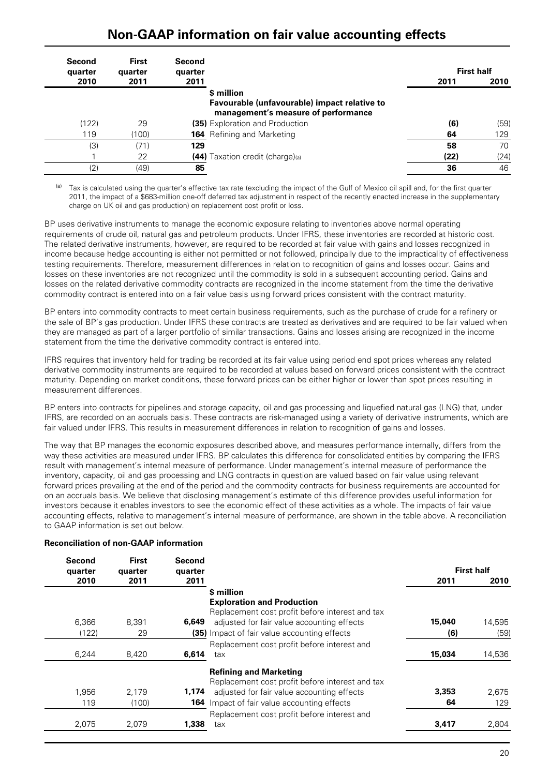## **Non-GAAP information on fair value accounting effects**

| Second<br>quarter | <b>First</b><br>quarter | Second<br>quarter |                                                                                     |      | <b>First half</b> |
|-------------------|-------------------------|-------------------|-------------------------------------------------------------------------------------|------|-------------------|
| 2010              | 2011                    | 2011              |                                                                                     | 2011 | 2010              |
|                   |                         |                   | \$ million                                                                          |      |                   |
|                   |                         |                   | Favourable (unfavourable) impact relative to<br>management's measure of performance |      |                   |
| (122)             | 29                      |                   | (35) Exploration and Production                                                     | (6)  | (59)              |
| 119               | (100)                   |                   | <b>164</b> Refining and Marketing                                                   | 64   | 129               |
| (3)               | (71)                    | 129               |                                                                                     | 58   | 70                |
|                   | 22                      |                   | (44) Taxation credit (charge)(a)                                                    | (22) | (24)              |
| (2)               | (49)                    | 85                |                                                                                     | 36   | 46                |

(a) Tax is calculated using the quarter's effective tax rate (excluding the impact of the Gulf of Mexico oil spill and, for the first quarter 2011, the impact of a \$683-million one-off deferred tax adjustment in respect of the recently enacted increase in the supplementary charge on UK oil and gas production) on replacement cost profit or loss.

BP uses derivative instruments to manage the economic exposure relating to inventories above normal operating requirements of crude oil, natural gas and petroleum products. Under IFRS, these inventories are recorded at historic cost. The related derivative instruments, however, are required to be recorded at fair value with gains and losses recognized in income because hedge accounting is either not permitted or not followed, principally due to the impracticality of effectiveness testing requirements. Therefore, measurement differences in relation to recognition of gains and losses occur. Gains and losses on these inventories are not recognized until the commodity is sold in a subsequent accounting period. Gains and losses on the related derivative commodity contracts are recognized in the income statement from the time the derivative commodity contract is entered into on a fair value basis using forward prices consistent with the contract maturity.

BP enters into commodity contracts to meet certain business requirements, such as the purchase of crude for a refinery or the sale of BP's gas production. Under IFRS these contracts are treated as derivatives and are required to be fair valued when they are managed as part of a larger portfolio of similar transactions. Gains and losses arising are recognized in the income statement from the time the derivative commodity contract is entered into.

IFRS requires that inventory held for trading be recorded at its fair value using period end spot prices whereas any related derivative commodity instruments are required to be recorded at values based on forward prices consistent with the contract maturity. Depending on market conditions, these forward prices can be either higher or lower than spot prices resulting in measurement differences.

BP enters into contracts for pipelines and storage capacity, oil and gas processing and liquefied natural gas (LNG) that, under IFRS, are recorded on an accruals basis. These contracts are risk-managed using a variety of derivative instruments, which are fair valued under IFRS. This results in measurement differences in relation to recognition of gains and losses.

The way that BP manages the economic exposures described above, and measures performance internally, differs from the way these activities are measured under IFRS. BP calculates this difference for consolidated entities by comparing the IFRS result with management's internal measure of performance. Under management's internal measure of performance the inventory, capacity, oil and gas processing and LNG contracts in question are valued based on fair value using relevant forward prices prevailing at the end of the period and the commodity contracts for business requirements are accounted for on an accruals basis. We believe that disclosing management's estimate of this difference provides useful information for investors because it enables investors to see the economic effect of these activities as a whole. The impacts of fair value accounting effects, relative to management's internal measure of performance, are shown in the table above. A reconciliation to GAAP information is set out below.

## **Reconciliation of non-GAAP information**

| Second<br>quarter | <b>First</b><br>quarter | Second<br>quarter |                                                                                                    |        | <b>First half</b> |
|-------------------|-------------------------|-------------------|----------------------------------------------------------------------------------------------------|--------|-------------------|
| 2010              | 2011                    | 2011              |                                                                                                    | 2011   | 2010              |
|                   |                         |                   | \$ million<br><b>Exploration and Production</b><br>Replacement cost profit before interest and tax |        |                   |
| 6,366             | 8.391                   | 6.649             | adjusted for fair value accounting effects                                                         | 15,040 | 14,595            |
| (122)             | 29                      |                   | (35) Impact of fair value accounting effects                                                       | (6)    | (59)              |
| 6.244             | 8,420                   | 6,614             | Replacement cost profit before interest and<br>tax                                                 | 15,034 | 14,536            |
|                   |                         |                   | <b>Refining and Marketing</b><br>Replacement cost profit before interest and tax                   |        |                   |
| 1.956             | 2.179                   | 1,174             | adjusted for fair value accounting effects                                                         | 3.353  | 2.675             |
| 119               | (100)                   |                   | <b>164</b> Impact of fair value accounting effects                                                 | 64     | 129               |
| 2,075             | 2,079                   | 1,338             | Replacement cost profit before interest and<br>tax                                                 | 3,417  | 2,804             |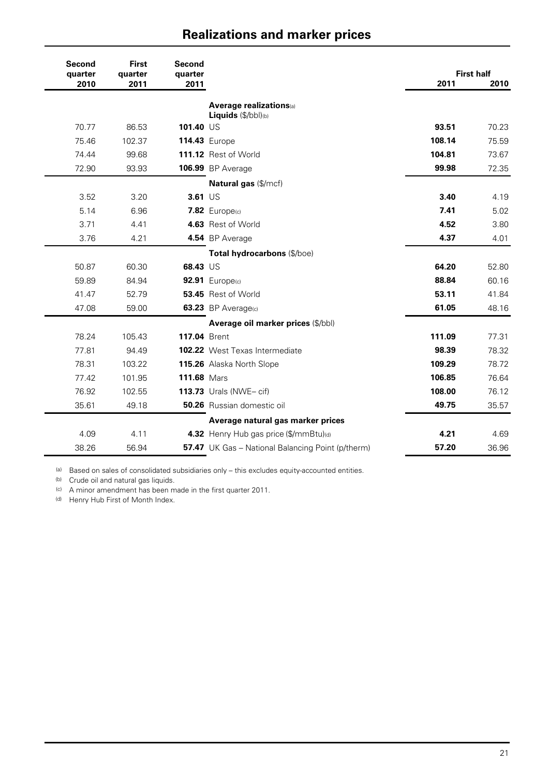## **Realizations and marker prices**

| <b>Second</b><br>quarter | <b>First</b><br>quarter | <b>Second</b><br>quarter |                                                   |        | <b>First half</b> |
|--------------------------|-------------------------|--------------------------|---------------------------------------------------|--------|-------------------|
|                          | 2010<br>2011            | 2011                     |                                                   | 2011   | 2010              |
|                          |                         |                          | <b>Average realizations</b> (a)                   |        |                   |
|                          |                         |                          | Liquids (\$/bbl)(b)                               |        |                   |
|                          | 70.77<br>86.53          | 101.40 US                |                                                   | 93.51  | 70.23             |
|                          | 102.37<br>75.46         |                          | <b>114.43 Europe</b>                              | 108.14 | 75.59             |
|                          | 74.44<br>99.68          |                          | 111.12 Rest of World                              | 104.81 | 73.67             |
|                          | 72.90<br>93.93          |                          | 106.99 BP Average                                 | 99.98  | 72.35             |
|                          |                         |                          | Natural gas (\$/mcf)                              |        |                   |
|                          | 3.20<br>3.52            | 3.61 US                  |                                                   | 3.40   | 4.19              |
|                          | 6.96<br>5.14            |                          | $7.82$ Europe(c)                                  | 7.41   | 5.02              |
|                          | 3.71<br>4.41            |                          | 4.63 Rest of World                                | 4.52   | 3.80              |
|                          | 3.76<br>4.21            |                          | 4.54 BP Average                                   | 4.37   | 4.01              |
|                          |                         |                          | Total hydrocarbons (\$/boe)                       |        |                   |
|                          | 50.87<br>60.30          | 68.43 US                 |                                                   | 64.20  | 52.80             |
|                          | 59.89<br>84.94          |                          | 92.91 Europe(c)                                   | 88.84  | 60.16             |
|                          | 41.47<br>52.79          |                          | 53.45 Rest of World                               | 53.11  | 41.84             |
|                          | 47.08<br>59.00          |                          | 63.23 BP Average(c)                               | 61.05  | 48.16             |
|                          |                         |                          | Average oil marker prices (\$/bbl)                |        |                   |
|                          | 78.24<br>105.43         | 117.04 Brent             |                                                   | 111.09 | 77.31             |
| 77.81                    | 94.49                   |                          | <b>102.22</b> West Texas Intermediate             | 98.39  | 78.32             |
| 78.31                    | 103.22                  |                          | 115.26 Alaska North Slope                         | 109.29 | 78.72             |
|                          | 77.42<br>101.95         | 111.68 Mars              |                                                   | 106.85 | 76.64             |
|                          | 76.92<br>102.55         |                          | <b>113.73</b> Urals (NWE-cif)                     | 108.00 | 76.12             |
| 35.61                    | 49.18                   |                          | <b>50.26</b> Russian domestic oil                 | 49.75  | 35.57             |
|                          |                         |                          | Average natural gas marker prices                 |        |                   |
|                          | 4.09<br>4.11            |                          | 4.32 Henry Hub gas price (\$/mmBtu)(d)            | 4.21   | 4.69              |
|                          | 38.26<br>56.94          |                          | 57.47 UK Gas - National Balancing Point (p/therm) | 57.20  | 36.96             |

(a) Based on sales of consolidated subsidiaries only – this excludes equity-accounted entities.

(b) Crude oil and natural gas liquids.

(c) A minor amendment has been made in the first quarter 2011.

(d) Henry Hub First of Month Index.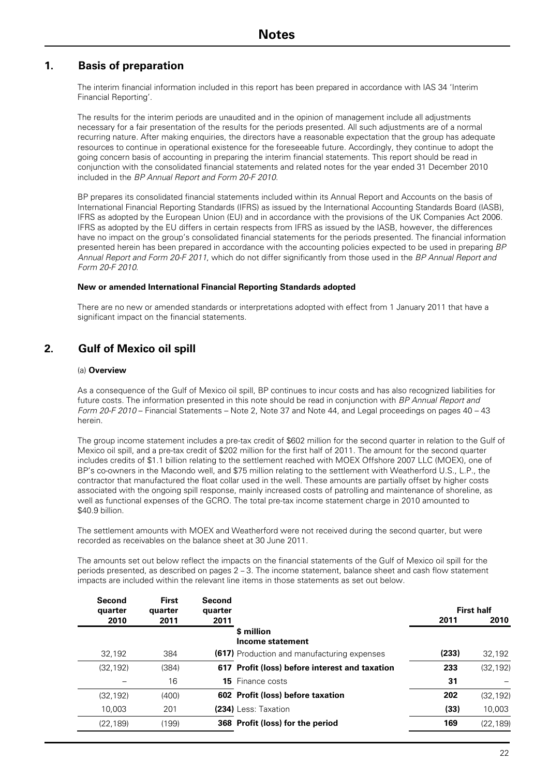## **1. Basis of preparation**

The interim financial information included in this report has been prepared in accordance with IAS 34 'Interim Financial Reporting'.

The results for the interim periods are unaudited and in the opinion of management include all adjustments necessary for a fair presentation of the results for the periods presented. All such adjustments are of a normal recurring nature. After making enquiries, the directors have a reasonable expectation that the group has adequate resources to continue in operational existence for the foreseeable future. Accordingly, they continue to adopt the going concern basis of accounting in preparing the interim financial statements. This report should be read in conjunction with the consolidated financial statements and related notes for the year ended 31 December 2010 included in the *BP Annual Report and Form 20-F 2010*.

BP prepares its consolidated financial statements included within its Annual Report and Accounts on the basis of International Financial Reporting Standards (IFRS) as issued by the International Accounting Standards Board (IASB), IFRS as adopted by the European Union (EU) and in accordance with the provisions of the UK Companies Act 2006. IFRS as adopted by the EU differs in certain respects from IFRS as issued by the IASB, however, the differences have no impact on the group's consolidated financial statements for the periods presented. The financial information presented herein has been prepared in accordance with the accounting policies expected to be used in preparing *BP Annual Report and Form 20-F 2011*, which do not differ significantly from those used in the *BP Annual Report and Form 20-F 2010*.

## **New or amended International Financial Reporting Standards adopted**

There are no new or amended standards or interpretations adopted with effect from 1 January 2011 that have a significant impact on the financial statements.

## **2. Gulf of Mexico oil spill**

### (a) **Overview**

As a consequence of the Gulf of Mexico oil spill, BP continues to incur costs and has also recognized liabilities for future costs. The information presented in this note should be read in conjunction with *BP Annual Report and Form 20-F 2010* – Financial Statements – Note 2, Note 37 and Note 44, and Legal proceedings on pages 40 – 43 herein.

The group income statement includes a pre-tax credit of \$602 million for the second quarter in relation to the Gulf of Mexico oil spill, and a pre-tax credit of \$202 million for the first half of 2011. The amount for the second quarter includes credits of \$1.1 billion relating to the settlement reached with MOEX Offshore 2007 LLC (MOEX), one of BP's co-owners in the Macondo well, and \$75 million relating to the settlement with Weatherford U.S., L.P., the contractor that manufactured the float collar used in the well. These amounts are partially offset by higher costs associated with the ongoing spill response, mainly increased costs of patrolling and maintenance of shoreline, as well as functional expenses of the GCRO. The total pre-tax income statement charge in 2010 amounted to \$40.9 billion.

The settlement amounts with MOEX and Weatherford were not received during the second quarter, but were recorded as receivables on the balance sheet at 30 June 2011.

The amounts set out below reflect the impacts on the financial statements of the Gulf of Mexico oil spill for the periods presented, as described on pages 2 – 3. The income statement, balance sheet and cash flow statement impacts are included within the relevant line items in those statements as set out below.

| Second<br>quarter | <b>First</b><br>quarter | Second<br>quarter |                                                    |       | <b>First half</b> |
|-------------------|-------------------------|-------------------|----------------------------------------------------|-------|-------------------|
| 2010              | 2011                    | 2011              |                                                    | 2011  | 2010              |
|                   |                         |                   | \$ million<br>Income statement                     |       |                   |
| 32,192            | 384                     |                   | <b>(617)</b> Production and manufacturing expenses | (233) | 32,192            |
| (32, 192)         | (384)                   |                   | 617 Profit (loss) before interest and taxation     | 233   | (32.192)          |
|                   | 16                      |                   | <b>15</b> Finance costs                            | 31    |                   |
| (32, 192)         | (400)                   |                   | 602 Profit (loss) before taxation                  | 202   | (32, 192)         |
| 10,003            | 201                     |                   | (234) Less: Taxation                               | (33)  | 10,003            |
| (22, 189)         | (199)                   |                   | 368 Profit (loss) for the period                   | 169   | (22, 189)         |
|                   |                         |                   |                                                    |       |                   |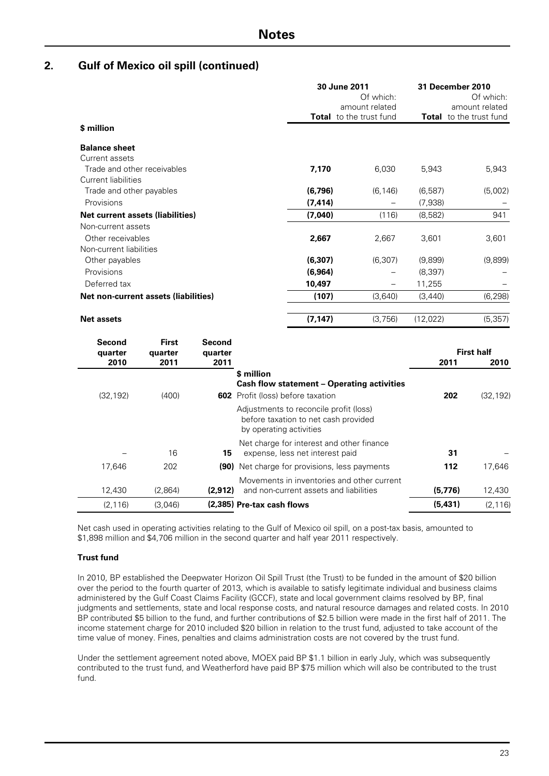|                                      | 30 June 2011<br>Of which:<br>amount related<br><b>Total</b> to the trust fund |          |           | 31 December 2010<br>Of which:<br>amount related<br><b>Total</b> to the trust fund |
|--------------------------------------|-------------------------------------------------------------------------------|----------|-----------|-----------------------------------------------------------------------------------|
| \$ million                           |                                                                               |          |           |                                                                                   |
| <b>Balance sheet</b>                 |                                                                               |          |           |                                                                                   |
| Current assets                       |                                                                               |          |           |                                                                                   |
| Trade and other receivables          | 7,170                                                                         | 6,030    | 5,943     | 5,943                                                                             |
| Current liabilities                  |                                                                               |          |           |                                                                                   |
| Trade and other payables             | (6,796)                                                                       | (6, 146) | (6,587)   | (5,002)                                                                           |
| Provisions                           | (7, 414)                                                                      |          | (7,938)   |                                                                                   |
| Net current assets (liabilities)     | (7,040)                                                                       | (116)    | (8,582)   | 941                                                                               |
| Non-current assets                   |                                                                               |          |           |                                                                                   |
| Other receivables                    | 2,667                                                                         | 2,667    | 3,601     | 3,601                                                                             |
| Non-current liabilities              |                                                                               |          |           |                                                                                   |
| Other payables                       | (6, 307)                                                                      | (6, 307) | (9,899)   | (9,899)                                                                           |
| Provisions                           | (6, 964)                                                                      |          | (8,397)   |                                                                                   |
| Deferred tax                         | 10,497                                                                        | -        | 11,255    |                                                                                   |
| Net non-current assets (liabilities) | (107)                                                                         | (3,640)  | (3,440)   | (6, 298)                                                                          |
| <b>Net assets</b>                    | (7, 147)                                                                      | (3,756)  | (12, 022) | (5, 357)                                                                          |

| Second<br>quarter | quarter | <b>First</b><br>Second<br>quarter |                                                                                                           |         | <b>First half</b> |
|-------------------|---------|-----------------------------------|-----------------------------------------------------------------------------------------------------------|---------|-------------------|
| 2010              |         | 2011<br>2011                      |                                                                                                           | 2011    | 2010              |
| (32, 192)         |         | (400)                             | \$ million<br>Cash flow statement – Operating activities<br><b>602</b> Profit (loss) before taxation      | 202     | (32.192)          |
|                   |         |                                   | Adjustments to reconcile profit (loss)<br>before taxation to net cash provided<br>by operating activities |         |                   |
|                   |         | 16<br>15                          | Net charge for interest and other finance<br>expense, less net interest paid                              | 31      |                   |
| 17,646            |         | 202                               | (90) Net charge for provisions, less payments                                                             | 112     | 17,646            |
| 12,430            |         | (2,864)<br>(2.912)                | Movements in inventories and other current<br>and non-current assets and liabilities                      | (5,776) | 12,430            |
| (2, 116)          | (3.046) |                                   | (2,385) Pre-tax cash flows                                                                                | (5,431) | (2, 116)          |

Net cash used in operating activities relating to the Gulf of Mexico oil spill, on a post-tax basis, amounted to \$1,898 million and \$4,706 million in the second quarter and half year 2011 respectively.

## **Trust fund**

In 2010, BP established the Deepwater Horizon Oil Spill Trust (the Trust) to be funded in the amount of \$20 billion over the period to the fourth quarter of 2013, which is available to satisfy legitimate individual and business claims administered by the Gulf Coast Claims Facility (GCCF), state and local government claims resolved by BP, final judgments and settlements, state and local response costs, and natural resource damages and related costs. In 2010 BP contributed \$5 billion to the fund, and further contributions of \$2.5 billion were made in the first half of 2011. The income statement charge for 2010 included \$20 billion in relation to the trust fund, adjusted to take account of the time value of money. Fines, penalties and claims administration costs are not covered by the trust fund.

Under the settlement agreement noted above, MOEX paid BP \$1.1 billion in early July, which was subsequently contributed to the trust fund, and Weatherford have paid BP \$75 million which will also be contributed to the trust fund.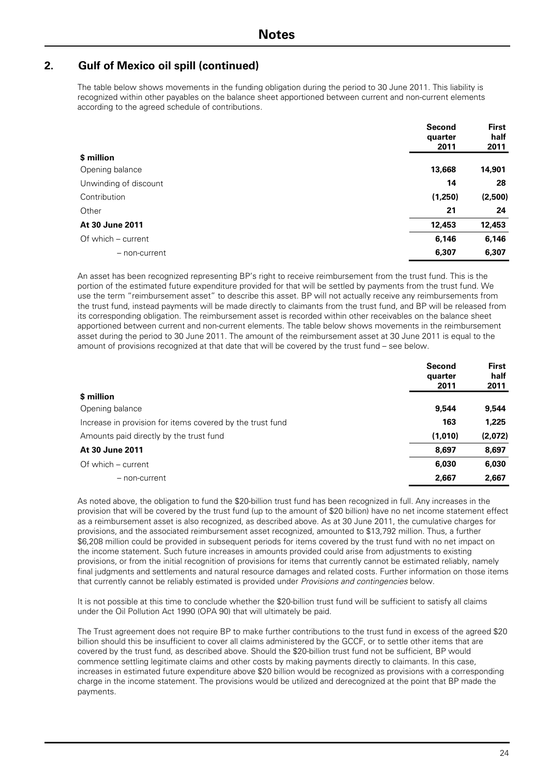The table below shows movements in the funding obligation during the period to 30 June 2011. This liability is recognized within other payables on the balance sheet apportioned between current and non-current elements according to the agreed schedule of contributions.

|                       | Second<br>quarter<br>2011 | First<br>half<br>2011 |
|-----------------------|---------------------------|-----------------------|
| \$ million            |                           |                       |
| Opening balance       | 13,668                    | 14,901                |
| Unwinding of discount | 14                        | 28                    |
| Contribution          | (1,250)                   | (2,500)               |
| Other                 | 21                        | 24                    |
| At 30 June 2011       | 12,453                    | 12,453                |
| Of which - current    | 6,146                     | 6,146                 |
| - non-current         | 6,307                     | 6,307                 |
|                       |                           |                       |

An asset has been recognized representing BP's right to receive reimbursement from the trust fund. This is the portion of the estimated future expenditure provided for that will be settled by payments from the trust fund. We use the term "reimbursement asset" to describe this asset. BP will not actually receive any reimbursements from the trust fund, instead payments will be made directly to claimants from the trust fund, and BP will be released from its corresponding obligation. The reimbursement asset is recorded within other receivables on the balance sheet apportioned between current and non-current elements. The table below shows movements in the reimbursement asset during the period to 30 June 2011. The amount of the reimbursement asset at 30 June 2011 is equal to the amount of provisions recognized at that date that will be covered by the trust fund – see below.

|                                                           | Second<br>quarter | <b>First</b><br>half |
|-----------------------------------------------------------|-------------------|----------------------|
|                                                           | 2011              | 2011                 |
| \$ million                                                |                   |                      |
| Opening balance                                           | 9.544             | 9,544                |
| Increase in provision for items covered by the trust fund | 163               | 1,225                |
| Amounts paid directly by the trust fund                   | (1,010)           | (2,072)              |
| At 30 June 2011                                           | 8,697             | 8,697                |
| Of which – current                                        | 6,030             | 6,030                |
| - non-current                                             | 2,667             | 2,667                |

As noted above, the obligation to fund the \$20-billion trust fund has been recognized in full. Any increases in the provision that will be covered by the trust fund (up to the amount of \$20 billion) have no net income statement effect as a reimbursement asset is also recognized, as described above. As at 30 June 2011, the cumulative charges for provisions, and the associated reimbursement asset recognized, amounted to \$13,792 million. Thus, a further \$6,208 million could be provided in subsequent periods for items covered by the trust fund with no net impact on the income statement. Such future increases in amounts provided could arise from adjustments to existing provisions, or from the initial recognition of provisions for items that currently cannot be estimated reliably, namely final judgments and settlements and natural resource damages and related costs. Further information on those items that currently cannot be reliably estimated is provided under *Provisions and contingencies* below.

It is not possible at this time to conclude whether the \$20-billion trust fund will be sufficient to satisfy all claims under the Oil Pollution Act 1990 (OPA 90) that will ultimately be paid.

The Trust agreement does not require BP to make further contributions to the trust fund in excess of the agreed \$20 billion should this be insufficient to cover all claims administered by the GCCF, or to settle other items that are covered by the trust fund, as described above. Should the \$20-billion trust fund not be sufficient, BP would commence settling legitimate claims and other costs by making payments directly to claimants. In this case, increases in estimated future expenditure above \$20 billion would be recognized as provisions with a corresponding charge in the income statement. The provisions would be utilized and derecognized at the point that BP made the payments.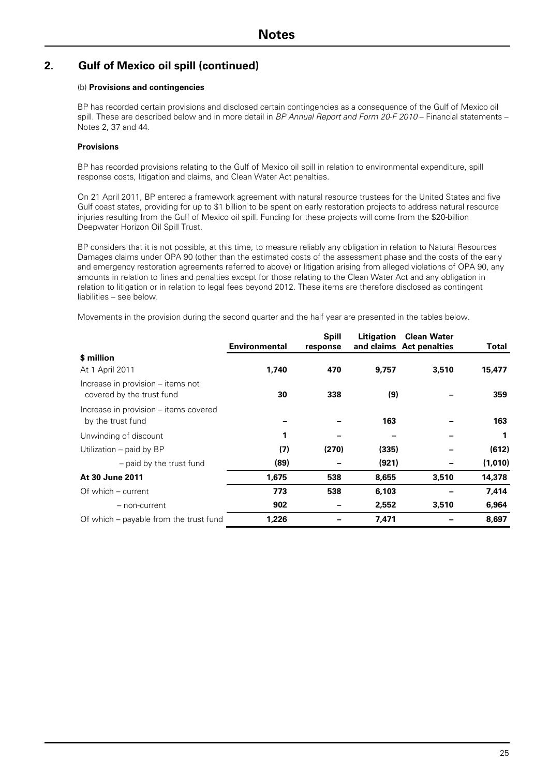### (b) **Provisions and contingencies**

BP has recorded certain provisions and disclosed certain contingencies as a consequence of the Gulf of Mexico oil spill. These are described below and in more detail in *BP Annual Report and Form 20-F 2010* – Financial statements – Notes 2, 37 and 44.

## **Provisions**

BP has recorded provisions relating to the Gulf of Mexico oil spill in relation to environmental expenditure, spill response costs, litigation and claims, and Clean Water Act penalties.

On 21 April 2011, BP entered a framework agreement with natural resource trustees for the United States and five Gulf coast states, providing for up to \$1 billion to be spent on early restoration projects to address natural resource injuries resulting from the Gulf of Mexico oil spill. Funding for these projects will come from the \$20-billion Deepwater Horizon Oil Spill Trust.

BP considers that it is not possible, at this time, to measure reliably any obligation in relation to Natural Resources Damages claims under OPA 90 (other than the estimated costs of the assessment phase and the costs of the early and emergency restoration agreements referred to above) or litigation arising from alleged violations of OPA 90, any amounts in relation to fines and penalties except for those relating to the Clean Water Act and any obligation in relation to litigation or in relation to legal fees beyond 2012. These items are therefore disclosed as contingent liabilities – see below.

Movements in the provision during the second quarter and the half year are presented in the tables below.

|                                                                | <b>Environmental</b> | <b>Spill</b><br>response | Litigation | <b>Clean Water</b><br>and claims Act penalties | Total   |
|----------------------------------------------------------------|----------------------|--------------------------|------------|------------------------------------------------|---------|
| \$ million                                                     |                      |                          |            |                                                |         |
| At 1 April 2011                                                | 1,740                | 470                      | 9,757      | 3,510                                          | 15,477  |
| Increase in provision – items not<br>covered by the trust fund | 30                   | 338                      | (9)        |                                                | 359     |
| Increase in provision – items covered<br>by the trust fund     |                      |                          | 163        |                                                | 163     |
| Unwinding of discount                                          |                      |                          |            |                                                |         |
| Utilization – paid by BP                                       | (7)                  | (270)                    | (335)      |                                                | (612)   |
| - paid by the trust fund                                       | (89)                 |                          | (921)      |                                                | (1,010) |
| At 30 June 2011                                                | 1,675                | 538                      | 8,655      | 3,510                                          | 14,378  |
| Of which – current                                             | 773                  | 538                      | 6,103      |                                                | 7,414   |
| - non-current                                                  | 902                  |                          | 2,552      | 3,510                                          | 6,964   |
| Of which – payable from the trust fund                         | 1,226                |                          | 7,471      |                                                | 8,697   |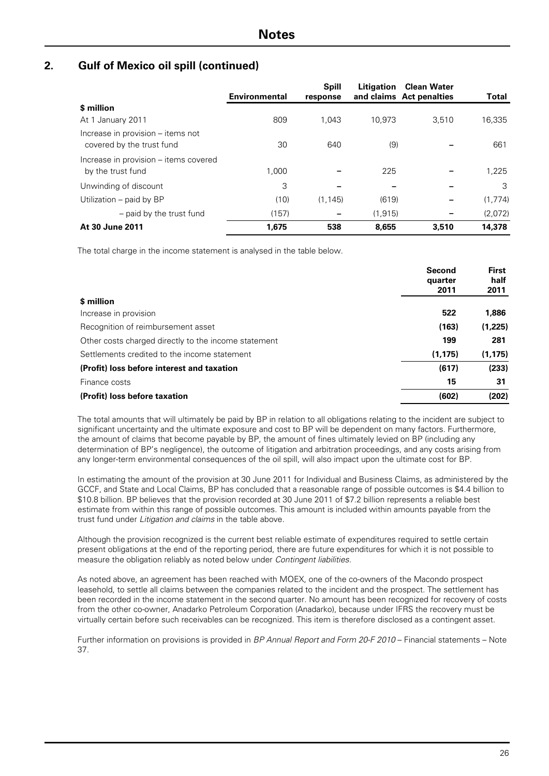|                                                                | <b>Environmental</b> | <b>Spill</b><br>response | Litigation | <b>Clean Water</b><br>and claims Act penalties | Total   |
|----------------------------------------------------------------|----------------------|--------------------------|------------|------------------------------------------------|---------|
| \$ million                                                     |                      |                          |            |                                                |         |
| At 1 January 2011                                              | 809                  | 1.043                    | 10.973     | 3.510                                          | 16,335  |
| Increase in provision – items not<br>covered by the trust fund | 30                   | 640                      | (9)        |                                                | 661     |
| Increase in provision – items covered<br>by the trust fund     | 1.000                |                          | 225        |                                                | 1.225   |
| Unwinding of discount                                          | 3                    |                          |            |                                                | 3       |
| Utilization – paid by BP                                       | (10)                 | (1, 145)                 | (619)      |                                                | (1,774) |
| - paid by the trust fund                                       | (157)                |                          | (1, 915)   |                                                | (2,072) |
| At 30 June 2011                                                | 1.675                | 538                      | 8.655      | 3.510                                          | 14.378  |

The total charge in the income statement is analysed in the table below.

|                                                      | Second<br>quarter | <b>First</b><br>half |
|------------------------------------------------------|-------------------|----------------------|
|                                                      | 2011              | 2011                 |
| \$ million                                           |                   |                      |
| Increase in provision                                | 522               | 1,886                |
| Recognition of reimbursement asset                   | (163)             | (1,225)              |
| Other costs charged directly to the income statement | 199               | 281                  |
| Settlements credited to the income statement         | (1, 175)          | (1, 175)             |
| (Profit) loss before interest and taxation           | (617)             | (233)                |
| Finance costs                                        | 15                | 31                   |
| (Profit) loss before taxation                        | (602)             | (202)                |

The total amounts that will ultimately be paid by BP in relation to all obligations relating to the incident are subject to significant uncertainty and the ultimate exposure and cost to BP will be dependent on many factors. Furthermore, the amount of claims that become payable by BP, the amount of fines ultimately levied on BP (including any determination of BP's negligence), the outcome of litigation and arbitration proceedings, and any costs arising from any longer-term environmental consequences of the oil spill, will also impact upon the ultimate cost for BP.

In estimating the amount of the provision at 30 June 2011 for Individual and Business Claims, as administered by the GCCF, and State and Local Claims, BP has concluded that a reasonable range of possible outcomes is \$4.4 billion to \$10.8 billion. BP believes that the provision recorded at 30 June 2011 of \$7.2 billion represents a reliable best estimate from within this range of possible outcomes. This amount is included within amounts payable from the trust fund under *Litigation and claims* in the table above.

Although the provision recognized is the current best reliable estimate of expenditures required to settle certain present obligations at the end of the reporting period, there are future expenditures for which it is not possible to measure the obligation reliably as noted below under *Contingent liabilities*.

As noted above, an agreement has been reached with MOEX, one of the co-owners of the Macondo prospect leasehold, to settle all claims between the companies related to the incident and the prospect. The settlement has been recorded in the income statement in the second quarter. No amount has been recognized for recovery of costs from the other co-owner, Anadarko Petroleum Corporation (Anadarko), because under IFRS the recovery must be virtually certain before such receivables can be recognized. This item is therefore disclosed as a contingent asset.

Further information on provisions is provided in *BP Annual Report and Form 20-F 2010* – Financial statements – Note 37.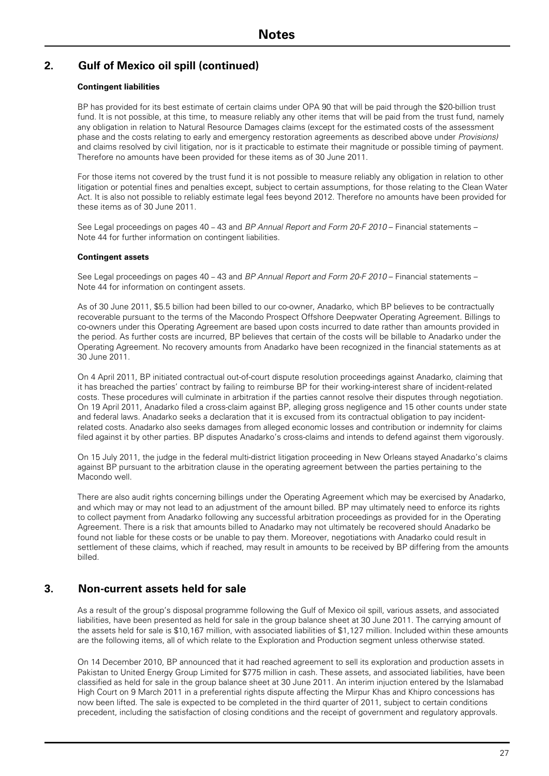## **Contingent liabilities**

BP has provided for its best estimate of certain claims under OPA 90 that will be paid through the \$20-billion trust fund. It is not possible, at this time, to measure reliably any other items that will be paid from the trust fund, namely any obligation in relation to Natural Resource Damages claims (except for the estimated costs of the assessment phase and the costs relating to early and emergency restoration agreements as described above under *Provisions)* and claims resolved by civil litigation, nor is it practicable to estimate their magnitude or possible timing of payment. Therefore no amounts have been provided for these items as of 30 June 2011.

For those items not covered by the trust fund it is not possible to measure reliably any obligation in relation to other litigation or potential fines and penalties except, subject to certain assumptions, for those relating to the Clean Water Act. It is also not possible to reliably estimate legal fees beyond 2012. Therefore no amounts have been provided for these items as of 30 June 2011.

See Legal proceedings on pages 40 – 43 and *BP Annual Report and Form 20-F 2010* – Financial statements – Note 44 for further information on contingent liabilities.

## **Contingent assets**

See Legal proceedings on pages 40 – 43 and *BP Annual Report and Form 20-F 2010* – Financial statements – Note 44 for information on contingent assets.

As of 30 June 2011, \$5.5 billion had been billed to our co-owner, Anadarko, which BP believes to be contractually recoverable pursuant to the terms of the Macondo Prospect Offshore Deepwater Operating Agreement. Billings to co-owners under this Operating Agreement are based upon costs incurred to date rather than amounts provided in the period. As further costs are incurred, BP believes that certain of the costs will be billable to Anadarko under the Operating Agreement. No recovery amounts from Anadarko have been recognized in the financial statements as at 30 June 2011.

On 4 April 2011, BP initiated contractual out-of-court dispute resolution proceedings against Anadarko, claiming that it has breached the parties' contract by failing to reimburse BP for their working-interest share of incident-related costs. These procedures will culminate in arbitration if the parties cannot resolve their disputes through negotiation. On 19 April 2011, Anadarko filed a cross-claim against BP, alleging gross negligence and 15 other counts under state and federal laws. Anadarko seeks a declaration that it is excused from its contractual obligation to pay incidentrelated costs. Anadarko also seeks damages from alleged economic losses and contribution or indemnity for claims filed against it by other parties. BP disputes Anadarko's cross-claims and intends to defend against them vigorously.

On 15 July 2011, the judge in the federal multi-district litigation proceeding in New Orleans stayed Anadarko's claims against BP pursuant to the arbitration clause in the operating agreement between the parties pertaining to the Macondo well.

There are also audit rights concerning billings under the Operating Agreement which may be exercised by Anadarko, and which may or may not lead to an adjustment of the amount billed. BP may ultimately need to enforce its rights to collect payment from Anadarko following any successful arbitration proceedings as provided for in the Operating Agreement. There is a risk that amounts billed to Anadarko may not ultimately be recovered should Anadarko be found not liable for these costs or be unable to pay them. Moreover, negotiations with Anadarko could result in settlement of these claims, which if reached, may result in amounts to be received by BP differing from the amounts billed.

## **3. Non-current assets held for sale**

As a result of the group's disposal programme following the Gulf of Mexico oil spill, various assets, and associated liabilities, have been presented as held for sale in the group balance sheet at 30 June 2011. The carrying amount of the assets held for sale is \$10,167 million, with associated liabilities of \$1,127 million. Included within these amounts are the following items, all of which relate to the Exploration and Production segment unless otherwise stated.

On 14 December 2010, BP announced that it had reached agreement to sell its exploration and production assets in Pakistan to United Energy Group Limited for \$775 million in cash. These assets, and associated liabilities, have been classified as held for sale in the group balance sheet at 30 June 2011. An interim injuction entered by the Islamabad High Court on 9 March 2011 in a preferential rights dispute affecting the Mirpur Khas and Khipro concessions has now been lifted. The sale is expected to be completed in the third quarter of 2011, subject to certain conditions precedent, including the satisfaction of closing conditions and the receipt of government and regulatory approvals.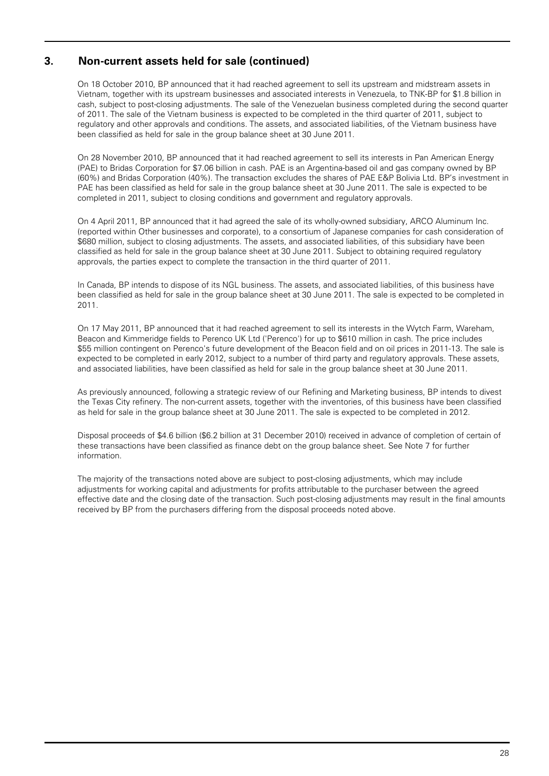## **3. Non-current assets held for sale (continued)**

On 18 October 2010, BP announced that it had reached agreement to sell its upstream and midstream assets in Vietnam, together with its upstream businesses and associated interests in Venezuela, to TNK-BP for \$1.8 billion in cash, subject to post-closing adjustments. The sale of the Venezuelan business completed during the second quarter of 2011. The sale of the Vietnam business is expected to be completed in the third quarter of 2011, subject to regulatory and other approvals and conditions. The assets, and associated liabilities, of the Vietnam business have been classified as held for sale in the group balance sheet at 30 June 2011.

On 28 November 2010, BP announced that it had reached agreement to sell its interests in Pan American Energy (PAE) to Bridas Corporation for \$7.06 billion in cash. PAE is an Argentina-based oil and gas company owned by BP (60%) and Bridas Corporation (40%). The transaction excludes the shares of PAE E&P Bolivia Ltd. BP's investment in PAE has been classified as held for sale in the group balance sheet at 30 June 2011. The sale is expected to be completed in 2011, subject to closing conditions and government and regulatory approvals.

On 4 April 2011, BP announced that it had agreed the sale of its wholly-owned subsidiary, ARCO Aluminum Inc. (reported within Other businesses and corporate), to a consortium of Japanese companies for cash consideration of \$680 million, subject to closing adjustments. The assets, and associated liabilities, of this subsidiary have been classified as held for sale in the group balance sheet at 30 June 2011. Subject to obtaining required regulatory approvals, the parties expect to complete the transaction in the third quarter of 2011.

In Canada, BP intends to dispose of its NGL business. The assets, and associated liabilities, of this business have been classified as held for sale in the group balance sheet at 30 June 2011. The sale is expected to be completed in 2011.

On 17 May 2011, BP announced that it had reached agreement to sell its interests in the Wytch Farm, Wareham, Beacon and Kimmeridge fields to Perenco UK Ltd ('Perenco') for up to \$610 million in cash. The price includes \$55 million contingent on Perenco's future development of the Beacon field and on oil prices in 2011-13. The sale is expected to be completed in early 2012, subject to a number of third party and regulatory approvals. These assets, and associated liabilities, have been classified as held for sale in the group balance sheet at 30 June 2011.

As previously announced, following a strategic review of our Refining and Marketing business, BP intends to divest the Texas City refinery. The non-current assets, together with the inventories, of this business have been classified as held for sale in the group balance sheet at 30 June 2011. The sale is expected to be completed in 2012.

Disposal proceeds of \$4.6 billion (\$6.2 billion at 31 December 2010) received in advance of completion of certain of these transactions have been classified as finance debt on the group balance sheet. See Note 7 for further information.

The majority of the transactions noted above are subject to post-closing adjustments, which may include adjustments for working capital and adjustments for profits attributable to the purchaser between the agreed effective date and the closing date of the transaction. Such post-closing adjustments may result in the final amounts received by BP from the purchasers differing from the disposal proceeds noted above.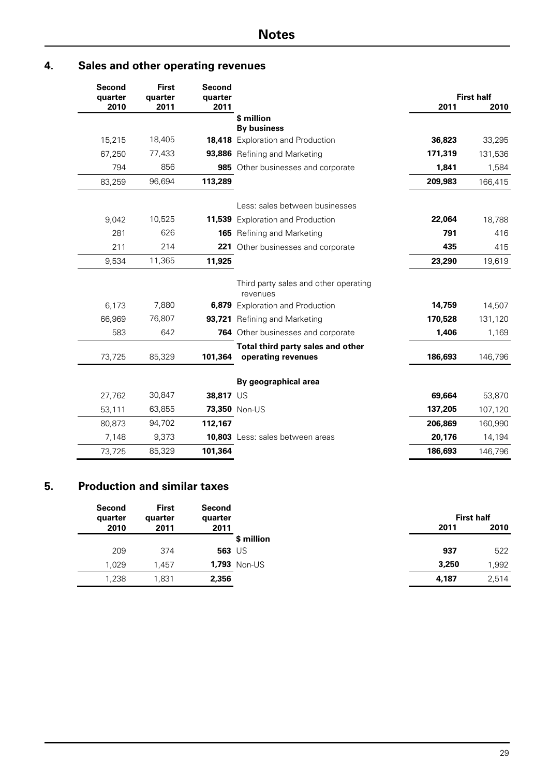| Second<br>quarter | <b>First</b><br>quarter | Second<br>quarter |                                                         |         | <b>First half</b> |
|-------------------|-------------------------|-------------------|---------------------------------------------------------|---------|-------------------|
| 2010              | 2011                    | 2011              |                                                         | 2011    | 2010              |
|                   |                         |                   | \$ million<br><b>By business</b>                        |         |                   |
| 15,215            | 18,405                  |                   | 18,418 Exploration and Production                       | 36,823  | 33,295            |
| 67,250            | 77,433                  |                   | 93,886 Refining and Marketing                           | 171,319 | 131,536           |
| 794               | 856                     |                   | <b>985</b> Other businesses and corporate               | 1,841   | 1,584             |
| 83,259            | 96,694                  | 113,289           |                                                         | 209,983 | 166,415           |
|                   |                         |                   | Less: sales between businesses                          |         |                   |
| 9,042             | 10,525                  |                   | <b>11,539</b> Exploration and Production                | 22,064  | 18,788            |
| 281               | 626                     |                   | <b>165</b> Refining and Marketing                       | 791     | 416               |
| 211               | 214                     |                   | 221 Other businesses and corporate                      | 435     | 415               |
| 9,534             | 11,365                  | 11,925            |                                                         | 23,290  | 19,619            |
|                   |                         |                   | Third party sales and other operating<br>revenues       |         |                   |
| 6,173             | 7,880                   |                   | 6,879 Exploration and Production                        | 14,759  | 14,507            |
| 66,969            | 76,807                  |                   | 93,721 Refining and Marketing                           | 170,528 | 131,120           |
| 583               | 642                     |                   | <b>764</b> Other businesses and corporate               | 1,406   | 1,169             |
| 73,725            | 85,329                  | 101,364           | Total third party sales and other<br>operating revenues | 186,693 | 146,796           |
|                   |                         |                   | By geographical area                                    |         |                   |
| 27,762            | 30,847                  | 38,817 US         |                                                         | 69,664  | 53,870            |
| 53,111            | 63,855                  |                   | 73,350 Non-US                                           | 137,205 | 107,120           |
| 80,873            | 94,702                  | 112,167           |                                                         | 206,869 | 160,990           |
| 7,148             | 9,373                   |                   | <b>10,803</b> Less: sales between areas                 | 20,176  | 14,194            |
| 73,725            | 85,329                  | 101,364           |                                                         | 186,693 | 146,796           |

## **4. Sales and other operating revenues**

## **5. Production and similar taxes**

| <b>Second</b><br>quarter | <b>First</b><br>quarter | <b>Second</b><br>quarter |                     | <b>First half</b> |       |
|--------------------------|-------------------------|--------------------------|---------------------|-------------------|-------|
| 2010                     | 2011                    | 2011                     |                     | 2011              | 2010  |
|                          |                         |                          | \$ million          |                   |       |
| 209                      | 374                     | <b>563 US</b>            |                     | 937               | 522   |
| 1.029                    | .457                    |                          | <b>1,793 Non-US</b> | 3,250             | 1,992 |
| 1,238                    | .831                    | 2,356                    |                     | 4,187             | 2,514 |
|                          |                         |                          |                     |                   |       |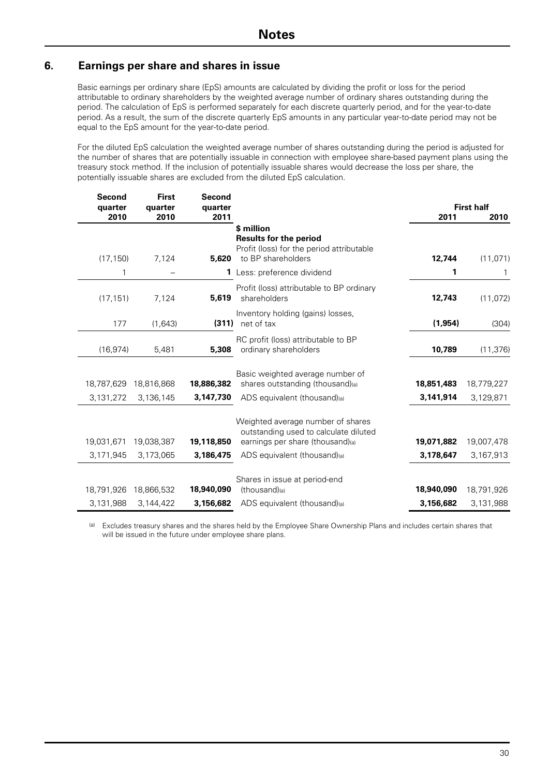## **6. Earnings per share and shares in issue**

Basic earnings per ordinary share (EpS) amounts are calculated by dividing the profit or loss for the period attributable to ordinary shareholders by the weighted average number of ordinary shares outstanding during the period. The calculation of EpS is performed separately for each discrete quarterly period, and for the year-to-date period. As a result, the sum of the discrete quarterly EpS amounts in any particular year-to-date period may not be equal to the EpS amount for the year-to-date period.

For the diluted EpS calculation the weighted average number of shares outstanding during the period is adjusted for the number of shares that are potentially issuable in connection with employee share-based payment plans using the treasury stock method. If the inclusion of potentially issuable shares would decrease the loss per share, the potentially issuable shares are excluded from the diluted EpS calculation.

| Second                  | <b>First</b>            | Second                  |                                                                                                                                                |                         |                           |
|-------------------------|-------------------------|-------------------------|------------------------------------------------------------------------------------------------------------------------------------------------|-------------------------|---------------------------|
| quarter<br>2010         | quarter<br>2010         | quarter<br>2011         |                                                                                                                                                | 2011                    | <b>First half</b><br>2010 |
| (17, 150)               | 7,124                   | 5,620                   | \$ million<br><b>Results for the period</b><br>Profit (loss) for the period attributable<br>to BP shareholders                                 | 12,744                  | (11, 071)                 |
| 1                       |                         |                         | 1 Less: preference dividend                                                                                                                    | 1                       | 1                         |
| (17, 151)               | 7,124                   | 5,619                   | Profit (loss) attributable to BP ordinary<br>shareholders                                                                                      | 12,743                  | (11, 072)                 |
| 177                     | (1,643)                 | (311)                   | Inventory holding (gains) losses,<br>net of tax                                                                                                | (1, 954)                | (304)                     |
| (16, 974)               | 5,481                   | 5,308                   | RC profit (loss) attributable to BP<br>ordinary shareholders                                                                                   | 10,789                  | (11, 376)                 |
| 18,787,629<br>3,131,272 | 18,816,868<br>3,136,145 | 18,886,382<br>3,147,730 | Basic weighted average number of<br>shares outstanding (thousand)(a)<br>ADS equivalent (thousand)(a)                                           | 18,851,483<br>3,141,914 | 18,779,227<br>3,129,871   |
| 19,031,671<br>3,171,945 | 19,038,387<br>3,173,065 | 19,118,850<br>3,186,475 | Weighted average number of shares<br>outstanding used to calculate diluted<br>earnings per share (thousand)(a)<br>ADS equivalent (thousand)(a) | 19,071,882<br>3,178,647 | 19,007,478<br>3,167,913   |
| 18,791,926<br>3,131,988 | 18,866,532<br>3,144,422 | 18,940,090<br>3,156,682 | Shares in issue at period-end<br>(thousand)(a)<br>ADS equivalent (thousand)(a)                                                                 | 18,940,090<br>3,156,682 | 18,791,926<br>3,131,988   |

(a) Excludes treasury shares and the shares held by the Employee Share Ownership Plans and includes certain shares that will be issued in the future under employee share plans.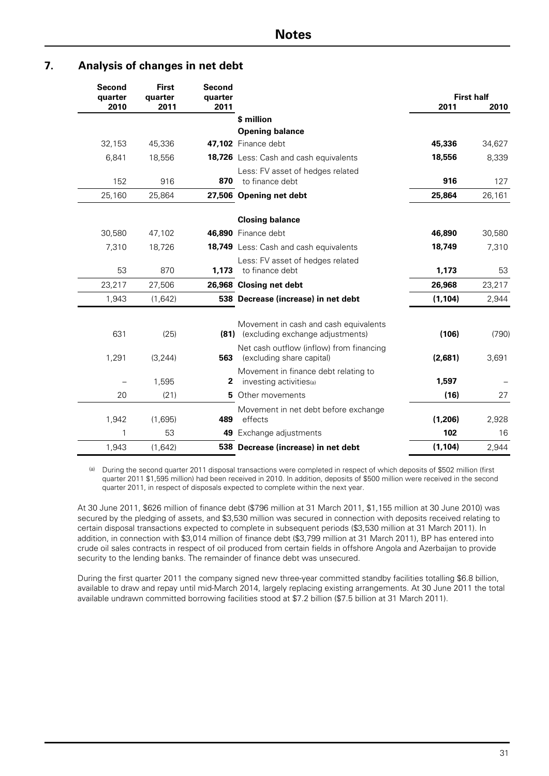| <b>Second</b>   | <b>First</b>    | Second          |                                                                                |          | <b>First half</b> |
|-----------------|-----------------|-----------------|--------------------------------------------------------------------------------|----------|-------------------|
| quarter<br>2010 | quarter<br>2011 | quarter<br>2011 |                                                                                | 2011     | 2010              |
|                 |                 |                 | \$ million                                                                     |          |                   |
|                 |                 |                 | <b>Opening balance</b>                                                         |          |                   |
| 32,153          | 45,336          |                 | 47,102 Finance debt                                                            | 45,336   | 34,627            |
| 6,841           | 18,556          |                 | 18,726 Less: Cash and cash equivalents                                         | 18,556   | 8,339             |
|                 |                 |                 | Less: FV asset of hedges related                                               |          |                   |
| 152             | 916             | 870             | to finance debt                                                                | 916      | 127               |
| 25,160          | 25,864          |                 | 27,506 Opening net debt                                                        | 25,864   | 26,161            |
|                 |                 |                 | <b>Closing balance</b>                                                         |          |                   |
| 30,580          | 47,102          |                 | 46,890 Finance debt                                                            | 46,890   | 30,580            |
| 7,310           | 18,726          |                 | <b>18,749</b> Less: Cash and cash equivalents                                  | 18,749   | 7,310             |
|                 |                 |                 | Less: FV asset of hedges related                                               |          |                   |
| 53              | 870             | 1,173           | to finance debt                                                                | 1,173    | 53                |
| 23,217          | 27,506          |                 | 26,968 Closing net debt                                                        | 26,968   | 23,217            |
| 1,943           | (1,642)         |                 | 538 Decrease (increase) in net debt                                            | (1, 104) | 2,944             |
| 631             | (25)            |                 | Movement in cash and cash equivalents<br>(81) (excluding exchange adjustments) | (106)    | (790)             |
| 1,291           | (3, 244)        | 563             | Net cash outflow (inflow) from financing<br>(excluding share capital)          | (2,681)  | 3,691             |
|                 | 1,595           | 2               | Movement in finance debt relating to<br>investing activities(a)                | 1,597    |                   |
| 20              | (21)            | 5.              | Other movements                                                                | (16)     | 27                |
| 1,942           | (1,695)         | 489             | Movement in net debt before exchange<br>effects                                | (1, 206) | 2,928             |
| 1               | 53              |                 | 49 Exchange adjustments                                                        | 102      | 16                |
| 1,943           | (1,642)         |                 | 538 Decrease (increase) in net debt                                            | (1, 104) | 2,944             |

## **7. Analysis of changes in net debt**

(a) During the second quarter 2011 disposal transactions were completed in respect of which deposits of \$502 million (first quarter 2011 \$1,595 million) had been received in 2010. In addition, deposits of \$500 million were received in the second quarter 2011, in respect of disposals expected to complete within the next year.

At 30 June 2011, \$626 million of finance debt (\$796 million at 31 March 2011, \$1,155 million at 30 June 2010) was secured by the pledging of assets, and \$3,530 million was secured in connection with deposits received relating to certain disposal transactions expected to complete in subsequent periods (\$3,530 million at 31 March 2011). In addition, in connection with \$3,014 million of finance debt (\$3,799 million at 31 March 2011), BP has entered into crude oil sales contracts in respect of oil produced from certain fields in offshore Angola and Azerbaijan to provide security to the lending banks. The remainder of finance debt was unsecured.

During the first quarter 2011 the company signed new three-year committed standby facilities totalling \$6.8 billion, available to draw and repay until mid-March 2014, largely replacing existing arrangements. At 30 June 2011 the total available undrawn committed borrowing facilities stood at \$7.2 billion (\$7.5 billion at 31 March 2011).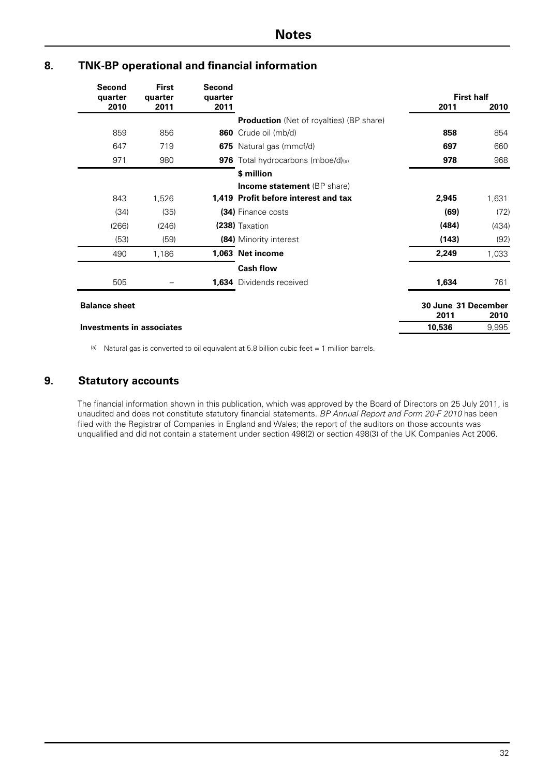| <b>Second</b>             | <b>First</b>    | <b>Second</b>   |                                                 | <b>First half</b>           |       |
|---------------------------|-----------------|-----------------|-------------------------------------------------|-----------------------------|-------|
| quarter<br>2010           | quarter<br>2011 | quarter<br>2011 |                                                 | 2011                        | 2010  |
|                           |                 |                 | <b>Production</b> (Net of royalties) (BP share) |                             |       |
| 859                       | 856             |                 | 860 Crude oil (mb/d)                            | 858                         | 854   |
| 647                       | 719             |                 | <b>675</b> Natural gas (mmcf/d)                 | 697                         | 660   |
| 971                       | 980             |                 | 976 Total hydrocarbons (mboe/d)(a)              | 978                         | 968   |
|                           |                 |                 | \$ million                                      |                             |       |
|                           |                 |                 | <b>Income statement</b> (BP share)              |                             |       |
| 843                       | 1,526           |                 | 1,419 Profit before interest and tax            | 2,945                       | 1,631 |
| (34)                      | (35)            |                 | (34) Finance costs                              | (69)                        | (72)  |
| (266)                     | (246)           |                 | $(238)$ Taxation                                | (484)                       | (434) |
| (53)                      | (59)            |                 | (84) Minority interest                          | (143)                       | (92)  |
| 490                       | 1,186           |                 | 1,063 Net income                                | 2,249                       | 1,033 |
|                           |                 |                 | <b>Cash flow</b>                                |                             |       |
| 505                       |                 |                 | <b>1,634</b> Dividends received                 | 1,634                       | 761   |
| <b>Balance sheet</b>      |                 |                 |                                                 | 30 June 31 December<br>2011 | 2010  |
| Investments in associates |                 |                 |                                                 | 10,536                      | 9,995 |

## **8. TNK-BP operational and financial information**

(a) Natural gas is converted to oil equivalent at 5.8 billion cubic feet = 1 million barrels.

## **9. Statutory accounts**

The financial information shown in this publication, which was approved by the Board of Directors on 25 July 2011, is unaudited and does not constitute statutory financial statements. *BP Annual Report and Form 20-F 2010* has been filed with the Registrar of Companies in England and Wales; the report of the auditors on those accounts was unqualified and did not contain a statement under section 498(2) or section 498(3) of the UK Companies Act 2006.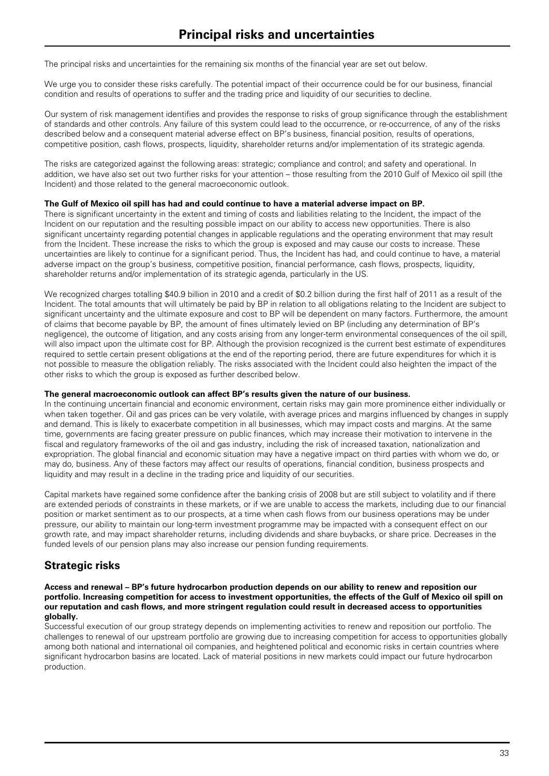The principal risks and uncertainties for the remaining six months of the financial year are set out below.

We urge you to consider these risks carefully. The potential impact of their occurrence could be for our business, financial condition and results of operations to suffer and the trading price and liquidity of our securities to decline.

Our system of risk management identifies and provides the response to risks of group significance through the establishment of standards and other controls. Any failure of this system could lead to the occurrence, or re-occurrence, of any of the risks described below and a consequent material adverse effect on BP's business, financial position, results of operations, competitive position, cash flows, prospects, liquidity, shareholder returns and/or implementation of its strategic agenda.

The risks are categorized against the following areas: strategic; compliance and control; and safety and operational. In addition, we have also set out two further risks for your attention – those resulting from the 2010 Gulf of Mexico oil spill (the Incident) and those related to the general macroeconomic outlook.

## **The Gulf of Mexico oil spill has had and could continue to have a material adverse impact on BP.**

There is significant uncertainty in the extent and timing of costs and liabilities relating to the Incident, the impact of the Incident on our reputation and the resulting possible impact on our ability to access new opportunities. There is also significant uncertainty regarding potential changes in applicable regulations and the operating environment that may result from the Incident. These increase the risks to which the group is exposed and may cause our costs to increase. These uncertainties are likely to continue for a significant period. Thus, the Incident has had, and could continue to have, a material adverse impact on the group's business, competitive position, financial performance, cash flows, prospects, liquidity, shareholder returns and/or implementation of its strategic agenda, particularly in the US.

We recognized charges totalling \$40.9 billion in 2010 and a credit of \$0.2 billion during the first half of 2011 as a result of the Incident. The total amounts that will ultimately be paid by BP in relation to all obligations relating to the Incident are subject to significant uncertainty and the ultimate exposure and cost to BP will be dependent on many factors. Furthermore, the amount of claims that become payable by BP, the amount of fines ultimately levied on BP (including any determination of BP's negligence), the outcome of litigation, and any costs arising from any longer-term environmental consequences of the oil spill, will also impact upon the ultimate cost for BP. Although the provision recognized is the current best estimate of expenditures required to settle certain present obligations at the end of the reporting period, there are future expenditures for which it is not possible to measure the obligation reliably. The risks associated with the Incident could also heighten the impact of the other risks to which the group is exposed as further described below.

## **The general macroeconomic outlook can affect BP's results given the nature of our business.**

In the continuing uncertain financial and economic environment, certain risks may gain more prominence either individually or when taken together. Oil and gas prices can be very volatile, with average prices and margins influenced by changes in supply and demand. This is likely to exacerbate competition in all businesses, which may impact costs and margins. At the same time, governments are facing greater pressure on public finances, which may increase their motivation to intervene in the fiscal and regulatory frameworks of the oil and gas industry, including the risk of increased taxation, nationalization and expropriation. The global financial and economic situation may have a negative impact on third parties with whom we do, or may do, business. Any of these factors may affect our results of operations, financial condition, business prospects and liquidity and may result in a decline in the trading price and liquidity of our securities.

Capital markets have regained some confidence after the banking crisis of 2008 but are still subject to volatility and if there are extended periods of constraints in these markets, or if we are unable to access the markets, including due to our financial position or market sentiment as to our prospects, at a time when cash flows from our business operations may be under pressure, our ability to maintain our long-term investment programme may be impacted with a consequent effect on our growth rate, and may impact shareholder returns, including dividends and share buybacks, or share price. Decreases in the funded levels of our pension plans may also increase our pension funding requirements.

## **Strategic risks**

#### **Access and renewal – BP's future hydrocarbon production depends on our ability to renew and reposition our portfolio. Increasing competition for access to investment opportunities, the effects of the Gulf of Mexico oil spill on our reputation and cash flows, and more stringent regulation could result in decreased access to opportunities globally.**

Successful execution of our group strategy depends on implementing activities to renew and reposition our portfolio. The challenges to renewal of our upstream portfolio are growing due to increasing competition for access to opportunities globally among both national and international oil companies, and heightened political and economic risks in certain countries where significant hydrocarbon basins are located. Lack of material positions in new markets could impact our future hydrocarbon production.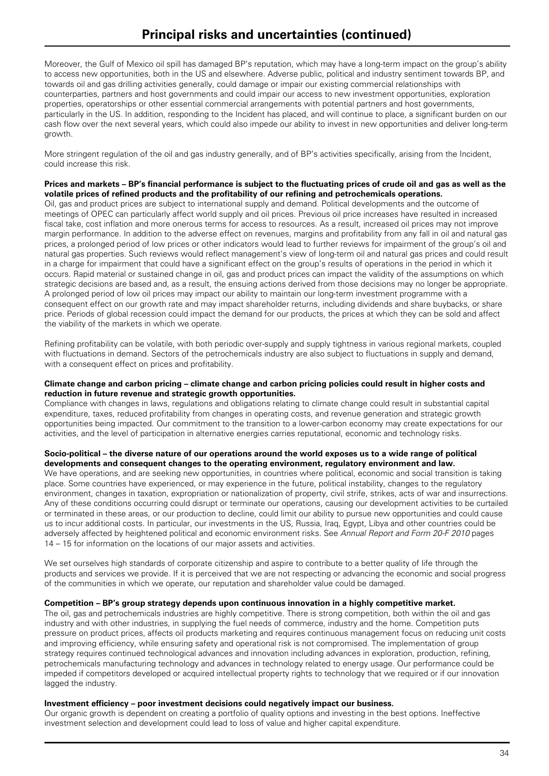Moreover, the Gulf of Mexico oil spill has damaged BP's reputation, which may have a long-term impact on the group's ability to access new opportunities, both in the US and elsewhere. Adverse public, political and industry sentiment towards BP, and towards oil and gas drilling activities generally, could damage or impair our existing commercial relationships with counterparties, partners and host governments and could impair our access to new investment opportunities, exploration properties, operatorships or other essential commercial arrangements with potential partners and host governments, particularly in the US. In addition, responding to the Incident has placed, and will continue to place, a significant burden on our cash flow over the next several years, which could also impede our ability to invest in new opportunities and deliver long-term growth.

More stringent regulation of the oil and gas industry generally, and of BP's activities specifically, arising from the Incident, could increase this risk.

## **Prices and markets – BP's financial performance is subject to the fluctuating prices of crude oil and gas as well as the volatile prices of refined products and the profitability of our refining and petrochemicals operations.**

Oil, gas and product prices are subject to international supply and demand. Political developments and the outcome of meetings of OPEC can particularly affect world supply and oil prices. Previous oil price increases have resulted in increased fiscal take, cost inflation and more onerous terms for access to resources. As a result, increased oil prices may not improve margin performance. In addition to the adverse effect on revenues, margins and profitability from any fall in oil and natural gas prices, a prolonged period of low prices or other indicators would lead to further reviews for impairment of the group's oil and natural gas properties. Such reviews would reflect management's view of long-term oil and natural gas prices and could result in a charge for impairment that could have a significant effect on the group's results of operations in the period in which it occurs. Rapid material or sustained change in oil, gas and product prices can impact the validity of the assumptions on which strategic decisions are based and, as a result, the ensuing actions derived from those decisions may no longer be appropriate. A prolonged period of low oil prices may impact our ability to maintain our long-term investment programme with a consequent effect on our growth rate and may impact shareholder returns, including dividends and share buybacks, or share price. Periods of global recession could impact the demand for our products, the prices at which they can be sold and affect the viability of the markets in which we operate.

Refining profitability can be volatile, with both periodic over-supply and supply tightness in various regional markets, coupled with fluctuations in demand. Sectors of the petrochemicals industry are also subject to fluctuations in supply and demand, with a consequent effect on prices and profitability.

### **Climate change and carbon pricing – climate change and carbon pricing policies could result in higher costs and reduction in future revenue and strategic growth opportunities.**

Compliance with changes in laws, regulations and obligations relating to climate change could result in substantial capital expenditure, taxes, reduced profitability from changes in operating costs, and revenue generation and strategic growth opportunities being impacted. Our commitment to the transition to a lower-carbon economy may create expectations for our activities, and the level of participation in alternative energies carries reputational, economic and technology risks.

### **Socio-political – the diverse nature of our operations around the world exposes us to a wide range of political developments and consequent changes to the operating environment, regulatory environment and law.**

We have operations, and are seeking new opportunities, in countries where political, economic and social transition is taking place. Some countries have experienced, or may experience in the future, political instability, changes to the regulatory environment, changes in taxation, expropriation or nationalization of property, civil strife, strikes, acts of war and insurrections. Any of these conditions occurring could disrupt or terminate our operations, causing our development activities to be curtailed or terminated in these areas, or our production to decline, could limit our ability to pursue new opportunities and could cause us to incur additional costs. In particular, our investments in the US, Russia, Iraq, Egypt, Libya and other countries could be adversely affected by heightened political and economic environment risks. See *Annual Report and Form 20-F 2010* pages 14 – 15 for information on the locations of our major assets and activities.

We set ourselves high standards of corporate citizenship and aspire to contribute to a better quality of life through the products and services we provide. If it is perceived that we are not respecting or advancing the economic and social progress of the communities in which we operate, our reputation and shareholder value could be damaged.

## **Competition – BP's group strategy depends upon continuous innovation in a highly competitive market.**

The oil, gas and petrochemicals industries are highly competitive. There is strong competition, both within the oil and gas industry and with other industries, in supplying the fuel needs of commerce, industry and the home. Competition puts pressure on product prices, affects oil products marketing and requires continuous management focus on reducing unit costs and improving efficiency, while ensuring safety and operational risk is not compromised. The implementation of group strategy requires continued technological advances and innovation including advances in exploration, production, refining, petrochemicals manufacturing technology and advances in technology related to energy usage. Our performance could be impeded if competitors developed or acquired intellectual property rights to technology that we required or if our innovation lagged the industry.

## **Investment efficiency – poor investment decisions could negatively impact our business.**

Our organic growth is dependent on creating a portfolio of quality options and investing in the best options. Ineffective investment selection and development could lead to loss of value and higher capital expenditure.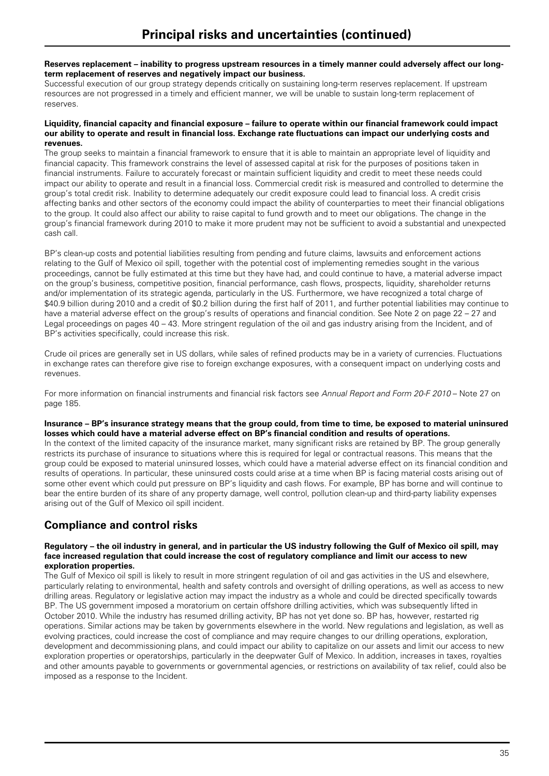#### **Reserves replacement – inability to progress upstream resources in a timely manner could adversely affect our longterm replacement of reserves and negatively impact our business.**

Successful execution of our group strategy depends critically on sustaining long-term reserves replacement. If upstream resources are not progressed in a timely and efficient manner, we will be unable to sustain long-term replacement of reserves.

#### **Liquidity, financial capacity and financial exposure – failure to operate within our financial framework could impact our ability to operate and result in financial loss. Exchange rate fluctuations can impact our underlying costs and revenues.**

The group seeks to maintain a financial framework to ensure that it is able to maintain an appropriate level of liquidity and financial capacity. This framework constrains the level of assessed capital at risk for the purposes of positions taken in financial instruments. Failure to accurately forecast or maintain sufficient liquidity and credit to meet these needs could impact our ability to operate and result in a financial loss. Commercial credit risk is measured and controlled to determine the group's total credit risk. Inability to determine adequately our credit exposure could lead to financial loss. A credit crisis affecting banks and other sectors of the economy could impact the ability of counterparties to meet their financial obligations to the group. It could also affect our ability to raise capital to fund growth and to meet our obligations. The change in the group's financial framework during 2010 to make it more prudent may not be sufficient to avoid a substantial and unexpected cash call.

BP's clean-up costs and potential liabilities resulting from pending and future claims, lawsuits and enforcement actions relating to the Gulf of Mexico oil spill, together with the potential cost of implementing remedies sought in the various proceedings, cannot be fully estimated at this time but they have had, and could continue to have, a material adverse impact on the group's business, competitive position, financial performance, cash flows, prospects, liquidity, shareholder returns and/or implementation of its strategic agenda, particularly in the US. Furthermore, we have recognized a total charge of \$40.9 billion during 2010 and a credit of \$0.2 billion during the first half of 2011, and further potential liabilities may continue to have a material adverse effect on the group's results of operations and financial condition. See Note 2 on page 22 - 27 and Legal proceedings on pages 40 – 43. More stringent regulation of the oil and gas industry arising from the Incident, and of BP's activities specifically, could increase this risk.

Crude oil prices are generally set in US dollars, while sales of refined products may be in a variety of currencies. Fluctuations in exchange rates can therefore give rise to foreign exchange exposures, with a consequent impact on underlying costs and revenues.

For more information on financial instruments and financial risk factors see *Annual Report and Form 20-F 2010* – Note 27 on page 185.

#### **Insurance – BP's insurance strategy means that the group could, from time to time, be exposed to material uninsured losses which could have a material adverse effect on BP's financial condition and results of operations.**

In the context of the limited capacity of the insurance market, many significant risks are retained by BP. The group generally restricts its purchase of insurance to situations where this is required for legal or contractual reasons. This means that the group could be exposed to material uninsured losses, which could have a material adverse effect on its financial condition and results of operations. In particular, these uninsured costs could arise at a time when BP is facing material costs arising out of some other event which could put pressure on BP's liquidity and cash flows. For example, BP has borne and will continue to bear the entire burden of its share of any property damage, well control, pollution clean-up and third-party liability expenses arising out of the Gulf of Mexico oil spill incident.

## **Compliance and control risks**

#### **Regulatory – the oil industry in general, and in particular the US industry following the Gulf of Mexico oil spill, may face increased regulation that could increase the cost of regulatory compliance and limit our access to new exploration properties.**

The Gulf of Mexico oil spill is likely to result in more stringent regulation of oil and gas activities in the US and elsewhere, particularly relating to environmental, health and safety controls and oversight of drilling operations, as well as access to new drilling areas. Regulatory or legislative action may impact the industry as a whole and could be directed specifically towards BP. The US government imposed a moratorium on certain offshore drilling activities, which was subsequently lifted in October 2010. While the industry has resumed drilling activity, BP has not yet done so. BP has, however, restarted rig operations. Similar actions may be taken by governments elsewhere in the world. New regulations and legislation, as well as evolving practices, could increase the cost of compliance and may require changes to our drilling operations, exploration, development and decommissioning plans, and could impact our ability to capitalize on our assets and limit our access to new exploration properties or operatorships, particularly in the deepwater Gulf of Mexico. In addition, increases in taxes, royalties and other amounts payable to governments or governmental agencies, or restrictions on availability of tax relief, could also be imposed as a response to the Incident.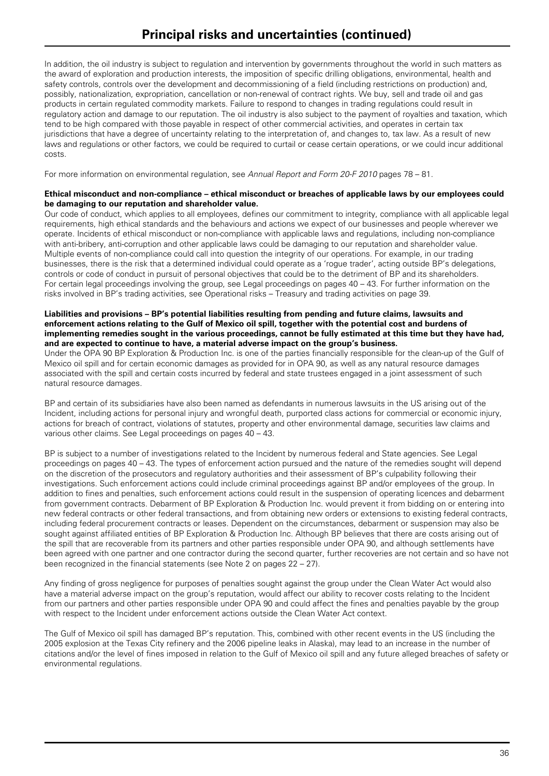In addition, the oil industry is subject to regulation and intervention by governments throughout the world in such matters as the award of exploration and production interests, the imposition of specific drilling obligations, environmental, health and safety controls, controls over the development and decommissioning of a field (including restrictions on production) and, possibly, nationalization, expropriation, cancellation or non-renewal of contract rights. We buy, sell and trade oil and gas products in certain regulated commodity markets. Failure to respond to changes in trading regulations could result in regulatory action and damage to our reputation. The oil industry is also subject to the payment of royalties and taxation, which tend to be high compared with those payable in respect of other commercial activities, and operates in certain tax jurisdictions that have a degree of uncertainty relating to the interpretation of, and changes to, tax law. As a result of new laws and regulations or other factors, we could be required to curtail or cease certain operations, or we could incur additional costs.

For more information on environmental regulation, see *Annual Report and Form 20-F 2010* pages 78 – 81.

## **Ethical misconduct and non-compliance – ethical misconduct or breaches of applicable laws by our employees could be damaging to our reputation and shareholder value.**

Our code of conduct, which applies to all employees, defines our commitment to integrity, compliance with all applicable legal requirements, high ethical standards and the behaviours and actions we expect of our businesses and people wherever we operate. Incidents of ethical misconduct or non-compliance with applicable laws and regulations, including non-compliance with anti-bribery, anti-corruption and other applicable laws could be damaging to our reputation and shareholder value. Multiple events of non-compliance could call into question the integrity of our operations. For example, in our trading businesses, there is the risk that a determined individual could operate as a 'rogue trader', acting outside BP's delegations, controls or code of conduct in pursuit of personal objectives that could be to the detriment of BP and its shareholders. For certain legal proceedings involving the group, see Legal proceedings on pages 40 – 43. For further information on the risks involved in BP's trading activities, see Operational risks – Treasury and trading activities on page 39.

### **Liabilities and provisions – BP's potential liabilities resulting from pending and future claims, lawsuits and enforcement actions relating to the Gulf of Mexico oil spill, together with the potential cost and burdens of implementing remedies sought in the various proceedings, cannot be fully estimated at this time but they have had, and are expected to continue to have, a material adverse impact on the group's business.**

Under the OPA 90 BP Exploration & Production Inc. is one of the parties financially responsible for the clean-up of the Gulf of Mexico oil spill and for certain economic damages as provided for in OPA 90, as well as any natural resource damages associated with the spill and certain costs incurred by federal and state trustees engaged in a joint assessment of such natural resource damages.

BP and certain of its subsidiaries have also been named as defendants in numerous lawsuits in the US arising out of the Incident, including actions for personal injury and wrongful death, purported class actions for commercial or economic injury, actions for breach of contract, violations of statutes, property and other environmental damage, securities law claims and various other claims. See Legal proceedings on pages 40 – 43.

BP is subject to a number of investigations related to the Incident by numerous federal and State agencies. See Legal proceedings on pages 40 – 43. The types of enforcement action pursued and the nature of the remedies sought will depend on the discretion of the prosecutors and regulatory authorities and their assessment of BP's culpability following their investigations. Such enforcement actions could include criminal proceedings against BP and/or employees of the group. In addition to fines and penalties, such enforcement actions could result in the suspension of operating licences and debarment from government contracts. Debarment of BP Exploration & Production Inc. would prevent it from bidding on or entering into new federal contracts or other federal transactions, and from obtaining new orders or extensions to existing federal contracts, including federal procurement contracts or leases. Dependent on the circumstances, debarment or suspension may also be sought against affiliated entities of BP Exploration & Production Inc. Although BP believes that there are costs arising out of the spill that are recoverable from its partners and other parties responsible under OPA 90, and although settlements have been agreed with one partner and one contractor during the second quarter, further recoveries are not certain and so have not been recognized in the financial statements (see Note 2 on pages 22 – 27).

Any finding of gross negligence for purposes of penalties sought against the group under the Clean Water Act would also have a material adverse impact on the group's reputation, would affect our ability to recover costs relating to the Incident from our partners and other parties responsible under OPA 90 and could affect the fines and penalties payable by the group with respect to the Incident under enforcement actions outside the Clean Water Act context.

The Gulf of Mexico oil spill has damaged BP's reputation. This, combined with other recent events in the US (including the 2005 explosion at the Texas City refinery and the 2006 pipeline leaks in Alaska), may lead to an increase in the number of citations and/or the level of fines imposed in relation to the Gulf of Mexico oil spill and any future alleged breaches of safety or environmental regulations.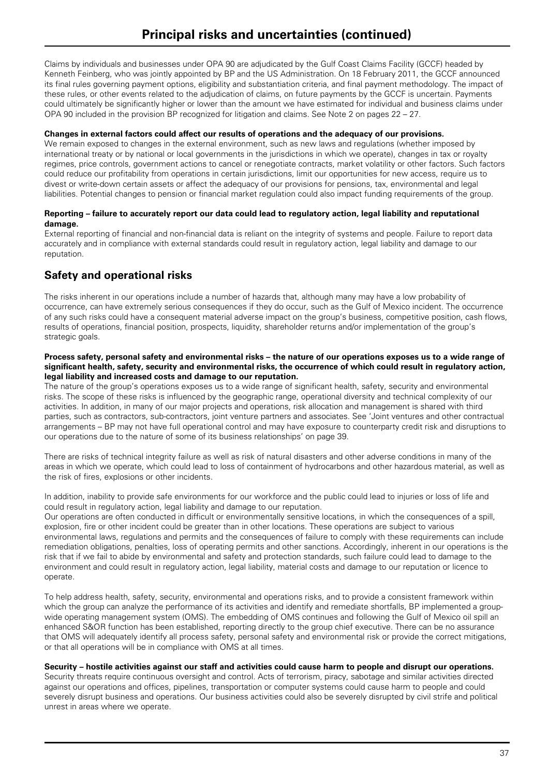Claims by individuals and businesses under OPA 90 are adjudicated by the Gulf Coast Claims Facility (GCCF) headed by Kenneth Feinberg, who was jointly appointed by BP and the US Administration. On 18 February 2011, the GCCF announced its final rules governing payment options, eligibility and substantiation criteria, and final payment methodology. The impact of these rules, or other events related to the adjudication of claims, on future payments by the GCCF is uncertain. Payments could ultimately be significantly higher or lower than the amount we have estimated for individual and business claims under OPA 90 included in the provision BP recognized for litigation and claims. See Note 2 on pages  $22 - 27$ .

## **Changes in external factors could affect our results of operations and the adequacy of our provisions.**

We remain exposed to changes in the external environment, such as new laws and regulations (whether imposed by international treaty or by national or local governments in the jurisdictions in which we operate), changes in tax or royalty regimes, price controls, government actions to cancel or renegotiate contracts, market volatility or other factors. Such factors could reduce our profitability from operations in certain jurisdictions, limit our opportunities for new access, require us to divest or write-down certain assets or affect the adequacy of our provisions for pensions, tax, environmental and legal liabilities. Potential changes to pension or financial market regulation could also impact funding requirements of the group.

### **Reporting – failure to accurately report our data could lead to regulatory action, legal liability and reputational damage.**

External reporting of financial and non-financial data is reliant on the integrity of systems and people. Failure to report data accurately and in compliance with external standards could result in regulatory action, legal liability and damage to our reputation.

## **Safety and operational risks**

The risks inherent in our operations include a number of hazards that, although many may have a low probability of occurrence, can have extremely serious consequences if they do occur, such as the Gulf of Mexico incident. The occurrence of any such risks could have a consequent material adverse impact on the group's business, competitive position, cash flows, results of operations, financial position, prospects, liquidity, shareholder returns and/or implementation of the group's strategic goals.

#### **Process safety, personal safety and environmental risks – the nature of our operations exposes us to a wide range of significant health, safety, security and environmental risks, the occurrence of which could result in regulatory action, legal liability and increased costs and damage to our reputation.**

The nature of the group's operations exposes us to a wide range of significant health, safety, security and environmental risks. The scope of these risks is influenced by the geographic range, operational diversity and technical complexity of our activities. In addition, in many of our major projects and operations, risk allocation and management is shared with third parties, such as contractors, sub-contractors, joint venture partners and associates. See 'Joint ventures and other contractual arrangements – BP may not have full operational control and may have exposure to counterparty credit risk and disruptions to our operations due to the nature of some of its business relationships' on page 39.

There are risks of technical integrity failure as well as risk of natural disasters and other adverse conditions in many of the areas in which we operate, which could lead to loss of containment of hydrocarbons and other hazardous material, as well as the risk of fires, explosions or other incidents.

In addition, inability to provide safe environments for our workforce and the public could lead to injuries or loss of life and could result in regulatory action, legal liability and damage to our reputation.

Our operations are often conducted in difficult or environmentally sensitive locations, in which the consequences of a spill, explosion, fire or other incident could be greater than in other locations. These operations are subject to various environmental laws, regulations and permits and the consequences of failure to comply with these requirements can include remediation obligations, penalties, loss of operating permits and other sanctions. Accordingly, inherent in our operations is the risk that if we fail to abide by environmental and safety and protection standards, such failure could lead to damage to the environment and could result in regulatory action, legal liability, material costs and damage to our reputation or licence to operate.

To help address health, safety, security, environmental and operations risks, and to provide a consistent framework within which the group can analyze the performance of its activities and identify and remediate shortfalls, BP implemented a groupwide operating management system (OMS). The embedding of OMS continues and following the Gulf of Mexico oil spill an enhanced S&OR function has been established, reporting directly to the group chief executive. There can be no assurance that OMS will adequately identify all process safety, personal safety and environmental risk or provide the correct mitigations, or that all operations will be in compliance with OMS at all times.

## **Security – hostile activities against our staff and activities could cause harm to people and disrupt our operations.**

Security threats require continuous oversight and control. Acts of terrorism, piracy, sabotage and similar activities directed against our operations and offices, pipelines, transportation or computer systems could cause harm to people and could severely disrupt business and operations. Our business activities could also be severely disrupted by civil strife and political unrest in areas where we operate.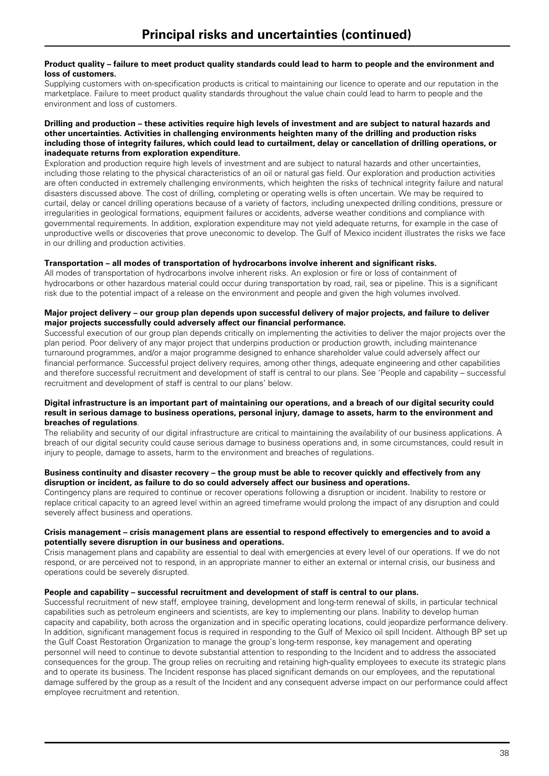### **Product quality – failure to meet product quality standards could lead to harm to people and the environment and loss of customers.**

Supplying customers with on-specification products is critical to maintaining our licence to operate and our reputation in the marketplace. Failure to meet product quality standards throughout the value chain could lead to harm to people and the environment and loss of customers.

#### **Drilling and production – these activities require high levels of investment and are subject to natural hazards and other uncertainties. Activities in challenging environments heighten many of the drilling and production risks including those of integrity failures, which could lead to curtailment, delay or cancellation of drilling operations, or inadequate returns from exploration expenditure.**

Exploration and production require high levels of investment and are subject to natural hazards and other uncertainties, including those relating to the physical characteristics of an oil or natural gas field. Our exploration and production activities are often conducted in extremely challenging environments, which heighten the risks of technical integrity failure and natural disasters discussed above. The cost of drilling, completing or operating wells is often uncertain. We may be required to curtail, delay or cancel drilling operations because of a variety of factors, including unexpected drilling conditions, pressure or irregularities in geological formations, equipment failures or accidents, adverse weather conditions and compliance with governmental requirements. In addition, exploration expenditure may not yield adequate returns, for example in the case of unproductive wells or discoveries that prove uneconomic to develop. The Gulf of Mexico incident illustrates the risks we face in our drilling and production activities.

## **Transportation – all modes of transportation of hydrocarbons involve inherent and significant risks.**

All modes of transportation of hydrocarbons involve inherent risks. An explosion or fire or loss of containment of hydrocarbons or other hazardous material could occur during transportation by road, rail, sea or pipeline. This is a significant risk due to the potential impact of a release on the environment and people and given the high volumes involved.

### **Major project delivery – our group plan depends upon successful delivery of major projects, and failure to deliver major projects successfully could adversely affect our financial performance.**

Successful execution of our group plan depends critically on implementing the activities to deliver the major projects over the plan period. Poor delivery of any major project that underpins production or production growth, including maintenance turnaround programmes, and/or a major programme designed to enhance shareholder value could adversely affect our financial performance. Successful project delivery requires, among other things, adequate engineering and other capabilities and therefore successful recruitment and development of staff is central to our plans. See 'People and capability – successful recruitment and development of staff is central to our plans' below.

#### **Digital infrastructure is an important part of maintaining our operations, and a breach of our digital security could result in serious damage to business operations, personal injury, damage to assets, harm to the environment and breaches of regulations**.

The reliability and security of our digital infrastructure are critical to maintaining the availability of our business applications. A breach of our digital security could cause serious damage to business operations and, in some circumstances, could result in injury to people, damage to assets, harm to the environment and breaches of regulations.

### **Business continuity and disaster recovery – the group must be able to recover quickly and effectively from any disruption or incident, as failure to do so could adversely affect our business and operations.**

Contingency plans are required to continue or recover operations following a disruption or incident. Inability to restore or replace critical capacity to an agreed level within an agreed timeframe would prolong the impact of any disruption and could severely affect business and operations.

### **Crisis management – crisis management plans are essential to respond effectively to emergencies and to avoid a potentially severe disruption in our business and operations.**

Crisis management plans and capability are essential to deal with emergencies at every level of our operations. If we do not respond, or are perceived not to respond, in an appropriate manner to either an external or internal crisis, our business and operations could be severely disrupted.

## **People and capability – successful recruitment and development of staff is central to our plans.**

Successful recruitment of new staff, employee training, development and long-term renewal of skills, in particular technical capabilities such as petroleum engineers and scientists, are key to implementing our plans. Inability to develop human capacity and capability, both across the organization and in specific operating locations, could jeopardize performance delivery. In addition, significant management focus is required in responding to the Gulf of Mexico oil spill Incident. Although BP set up the Gulf Coast Restoration Organization to manage the group's long-term response, key management and operating personnel will need to continue to devote substantial attention to responding to the Incident and to address the associated consequences for the group. The group relies on recruiting and retaining high-quality employees to execute its strategic plans and to operate its business. The Incident response has placed significant demands on our employees, and the reputational damage suffered by the group as a result of the Incident and any consequent adverse impact on our performance could affect employee recruitment and retention.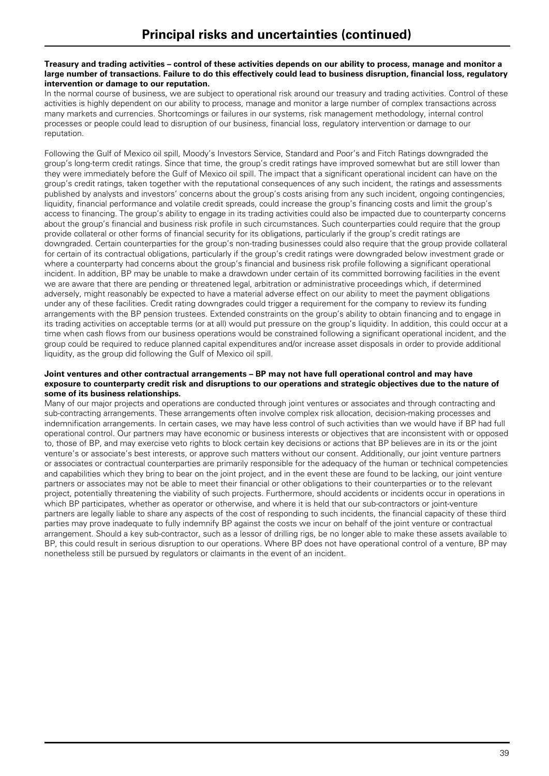#### **Treasury and trading activities – control of these activities depends on our ability to process, manage and monitor a large number of transactions. Failure to do this effectively could lead to business disruption, financial loss, regulatory intervention or damage to our reputation.**

In the normal course of business, we are subject to operational risk around our treasury and trading activities. Control of these activities is highly dependent on our ability to process, manage and monitor a large number of complex transactions across many markets and currencies. Shortcomings or failures in our systems, risk management methodology, internal control processes or people could lead to disruption of our business, financial loss, regulatory intervention or damage to our reputation.

Following the Gulf of Mexico oil spill, Moody's Investors Service, Standard and Poor's and Fitch Ratings downgraded the group's long-term credit ratings. Since that time, the group's credit ratings have improved somewhat but are still lower than they were immediately before the Gulf of Mexico oil spill. The impact that a significant operational incident can have on the group's credit ratings, taken together with the reputational consequences of any such incident, the ratings and assessments published by analysts and investors' concerns about the group's costs arising from any such incident, ongoing contingencies, liquidity, financial performance and volatile credit spreads, could increase the group's financing costs and limit the group's access to financing. The group's ability to engage in its trading activities could also be impacted due to counterparty concerns about the group's financial and business risk profile in such circumstances. Such counterparties could require that the group provide collateral or other forms of financial security for its obligations, particularly if the group's credit ratings are downgraded. Certain counterparties for the group's non-trading businesses could also require that the group provide collateral for certain of its contractual obligations, particularly if the group's credit ratings were downgraded below investment grade or where a counterparty had concerns about the group's financial and business risk profile following a significant operational incident. In addition, BP may be unable to make a drawdown under certain of its committed borrowing facilities in the event we are aware that there are pending or threatened legal, arbitration or administrative proceedings which, if determined adversely, might reasonably be expected to have a material adverse effect on our ability to meet the payment obligations under any of these facilities. Credit rating downgrades could trigger a requirement for the company to review its funding arrangements with the BP pension trustees. Extended constraints on the group's ability to obtain financing and to engage in its trading activities on acceptable terms (or at all) would put pressure on the group's liquidity. In addition, this could occur at a time when cash flows from our business operations would be constrained following a significant operational incident, and the group could be required to reduce planned capital expenditures and/or increase asset disposals in order to provide additional liquidity, as the group did following the Gulf of Mexico oil spill.

### **Joint ventures and other contractual arrangements – BP may not have full operational control and may have exposure to counterparty credit risk and disruptions to our operations and strategic objectives due to the nature of some of its business relationships.**

Many of our major projects and operations are conducted through joint ventures or associates and through contracting and sub-contracting arrangements. These arrangements often involve complex risk allocation, decision-making processes and indemnification arrangements. In certain cases, we may have less control of such activities than we would have if BP had full operational control. Our partners may have economic or business interests or objectives that are inconsistent with or opposed to, those of BP, and may exercise veto rights to block certain key decisions or actions that BP believes are in its or the joint venture's or associate's best interests, or approve such matters without our consent. Additionally, our joint venture partners or associates or contractual counterparties are primarily responsible for the adequacy of the human or technical competencies and capabilities which they bring to bear on the joint project, and in the event these are found to be lacking, our joint venture partners or associates may not be able to meet their financial or other obligations to their counterparties or to the relevant project, potentially threatening the viability of such projects. Furthermore, should accidents or incidents occur in operations in which BP participates, whether as operator or otherwise, and where it is held that our sub-contractors or joint-venture partners are legally liable to share any aspects of the cost of responding to such incidents, the financial capacity of these third parties may prove inadequate to fully indemnify BP against the costs we incur on behalf of the joint venture or contractual arrangement. Should a key sub-contractor, such as a lessor of drilling rigs, be no longer able to make these assets available to BP, this could result in serious disruption to our operations. Where BP does not have operational control of a venture, BP may nonetheless still be pursued by regulators or claimants in the event of an incident.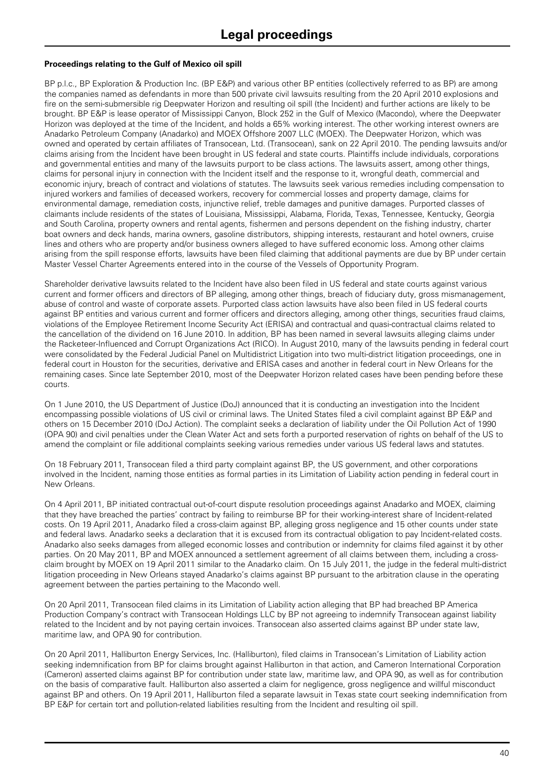## **Proceedings relating to the Gulf of Mexico oil spill**

BP p.l.c., BP Exploration & Production Inc. (BP E&P) and various other BP entities (collectively referred to as BP) are among the companies named as defendants in more than 500 private civil lawsuits resulting from the 20 April 2010 explosions and fire on the semi-submersible rig Deepwater Horizon and resulting oil spill (the Incident) and further actions are likely to be brought. BP E&P is lease operator of Mississippi Canyon, Block 252 in the Gulf of Mexico (Macondo), where the Deepwater Horizon was deployed at the time of the Incident, and holds a 65% working interest. The other working interest owners are Anadarko Petroleum Company (Anadarko) and MOEX Offshore 2007 LLC (MOEX). The Deepwater Horizon, which was owned and operated by certain affiliates of Transocean, Ltd. (Transocean), sank on 22 April 2010. The pending lawsuits and/or claims arising from the Incident have been brought in US federal and state courts. Plaintiffs include individuals, corporations and governmental entities and many of the lawsuits purport to be class actions. The lawsuits assert, among other things, claims for personal injury in connection with the Incident itself and the response to it, wrongful death, commercial and economic injury, breach of contract and violations of statutes. The lawsuits seek various remedies including compensation to injured workers and families of deceased workers, recovery for commercial losses and property damage, claims for environmental damage, remediation costs, injunctive relief, treble damages and punitive damages. Purported classes of claimants include residents of the states of Louisiana, Mississippi, Alabama, Florida, Texas, Tennessee, Kentucky, Georgia and South Carolina, property owners and rental agents, fishermen and persons dependent on the fishing industry, charter boat owners and deck hands, marina owners, gasoline distributors, shipping interests, restaurant and hotel owners, cruise lines and others who are property and/or business owners alleged to have suffered economic loss. Among other claims arising from the spill response efforts, lawsuits have been filed claiming that additional payments are due by BP under certain Master Vessel Charter Agreements entered into in the course of the Vessels of Opportunity Program.

Shareholder derivative lawsuits related to the Incident have also been filed in US federal and state courts against various current and former officers and directors of BP alleging, among other things, breach of fiduciary duty, gross mismanagement, abuse of control and waste of corporate assets. Purported class action lawsuits have also been filed in US federal courts against BP entities and various current and former officers and directors alleging, among other things, securities fraud claims, violations of the Employee Retirement Income Security Act (ERISA) and contractual and quasi-contractual claims related to the cancellation of the dividend on 16 June 2010. In addition, BP has been named in several lawsuits alleging claims under the Racketeer-Influenced and Corrupt Organizations Act (RICO). In August 2010, many of the lawsuits pending in federal court were consolidated by the Federal Judicial Panel on Multidistrict Litigation into two multi-district litigation proceedings, one in federal court in Houston for the securities, derivative and ERISA cases and another in federal court in New Orleans for the remaining cases. Since late September 2010, most of the Deepwater Horizon related cases have been pending before these courts.

On 1 June 2010, the US Department of Justice (DoJ) announced that it is conducting an investigation into the Incident encompassing possible violations of US civil or criminal laws. The United States filed a civil complaint against BP E&P and others on 15 December 2010 (DoJ Action). The complaint seeks a declaration of liability under the Oil Pollution Act of 1990 (OPA 90) and civil penalties under the Clean Water Act and sets forth a purported reservation of rights on behalf of the US to amend the complaint or file additional complaints seeking various remedies under various US federal laws and statutes.

On 18 February 2011, Transocean filed a third party complaint against BP, the US government, and other corporations involved in the Incident, naming those entities as formal parties in its Limitation of Liability action pending in federal court in New Orleans.

On 4 April 2011, BP initiated contractual out-of-court dispute resolution proceedings against Anadarko and MOEX, claiming that they have breached the parties' contract by failing to reimburse BP for their working-interest share of Incident-related costs. On 19 April 2011, Anadarko filed a cross-claim against BP, alleging gross negligence and 15 other counts under state and federal laws. Anadarko seeks a declaration that it is excused from its contractual obligation to pay Incident-related costs. Anadarko also seeks damages from alleged economic losses and contribution or indemnity for claims filed against it by other parties. On 20 May 2011, BP and MOEX announced a settlement agreement of all claims between them, including a crossclaim brought by MOEX on 19 April 2011 similar to the Anadarko claim. On 15 July 2011, the judge in the federal multi-district litigation proceeding in New Orleans stayed Anadarko's claims against BP pursuant to the arbitration clause in the operating agreement between the parties pertaining to the Macondo well.

On 20 April 2011, Transocean filed claims in its Limitation of Liability action alleging that BP had breached BP America Production Company's contract with Transocean Holdings LLC by BP not agreeing to indemnify Transocean against liability related to the Incident and by not paying certain invoices. Transocean also asserted claims against BP under state law, maritime law, and OPA 90 for contribution.

On 20 April 2011, Halliburton Energy Services, Inc. (Halliburton), filed claims in Transocean's Limitation of Liability action seeking indemnification from BP for claims brought against Halliburton in that action, and Cameron International Corporation (Cameron) asserted claims against BP for contribution under state law, maritime law, and OPA 90, as well as for contribution on the basis of comparative fault. Halliburton also asserted a claim for negligence, gross negligence and willful misconduct against BP and others. On 19 April 2011, Halliburton filed a separate lawsuit in Texas state court seeking indemnification from BP E&P for certain tort and pollution-related liabilities resulting from the Incident and resulting oil spill.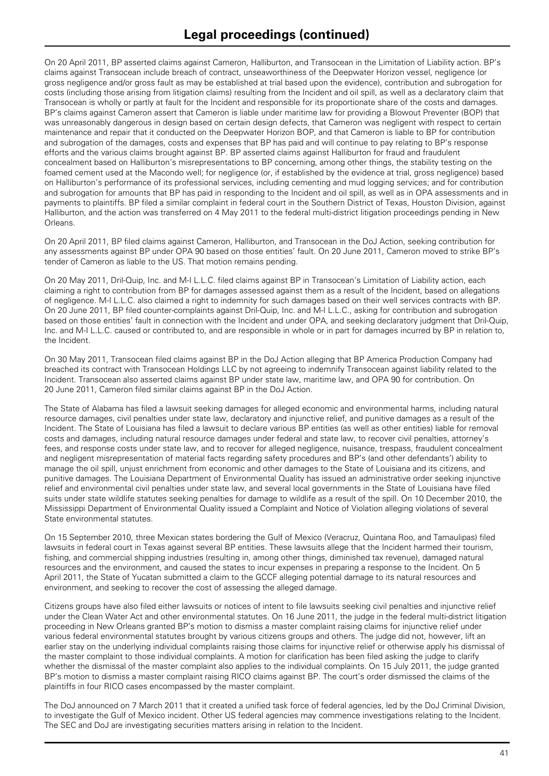On 20 April 2011, BP asserted claims against Cameron, Halliburton, and Transocean in the Limitation of Liability action. BP's claims against Transocean include breach of contract, unseaworthiness of the Deepwater Horizon vessel, negligence (or gross negligence and/or gross fault as may be established at trial based upon the evidence), contribution and subrogation for costs (including those arising from litigation claims) resulting from the Incident and oil spill, as well as a declaratory claim that Transocean is wholly or partly at fault for the Incident and responsible for its proportionate share of the costs and damages. BP's claims against Cameron assert that Cameron is liable under maritime law for providing a Blowout Preventer (BOP) that was unreasonably dangerous in design based on certain design defects, that Cameron was negligent with respect to certain maintenance and repair that it conducted on the Deepwater Horizon BOP, and that Cameron is liable to BP for contribution and subrogation of the damages, costs and expenses that BP has paid and will continue to pay relating to BP's response efforts and the various claims brought against BP. BP asserted claims against Halliburton for fraud and fraudulent concealment based on Halliburton's misrepresentations to BP concerning, among other things, the stability testing on the foamed cement used at the Macondo well; for negligence (or, if established by the evidence at trial, gross negligence) based on Halliburton's performance of its professional services, including cementing and mud logging services; and for contribution and subrogation for amounts that BP has paid in responding to the Incident and oil spill, as well as in OPA assessments and in payments to plaintiffs. BP filed a similar complaint in federal court in the Southern District of Texas, Houston Division, against Halliburton, and the action was transferred on 4 May 2011 to the federal multi-district litigation proceedings pending in New Orleans.

On 20 April 2011, BP filed claims against Cameron, Halliburton, and Transocean in the DoJ Action, seeking contribution for any assessments against BP under OPA 90 based on those entities' fault. On 20 June 2011, Cameron moved to strike BP's tender of Cameron as liable to the US. That motion remains pending.

On 20 May 2011, Dril-Quip, Inc. and M-I L.L.C. filed claims against BP in Transocean's Limitation of Liability action, each claiming a right to contribution from BP for damages assessed against them as a result of the Incident, based on allegations of negligence. M-I L.L.C. also claimed a right to indemnity for such damages based on their well services contracts with BP. On 20 June 2011, BP filed counter-complaints against Dril-Quip, Inc. and M-I L.L.C., asking for contribution and subrogation based on those entities' fault in connection with the Incident and under OPA, and seeking declaratory judgment that Dril-Quip, Inc. and M-I L.L.C. caused or contributed to, and are responsible in whole or in part for damages incurred by BP in relation to, the Incident.

On 30 May 2011, Transocean filed claims against BP in the DoJ Action alleging that BP America Production Company had breached its contract with Transocean Holdings LLC by not agreeing to indemnify Transocean against liability related to the Incident. Transocean also asserted claims against BP under state law, maritime law, and OPA 90 for contribution. On 20 June 2011, Cameron filed similar claims against BP in the DoJ Action.

The State of Alabama has filed a lawsuit seeking damages for alleged economic and environmental harms, including natural resource damages, civil penalties under state law, declaratory and injunctive relief, and punitive damages as a result of the Incident. The State of Louisiana has filed a lawsuit to declare various BP entities (as well as other entities) liable for removal costs and damages, including natural resource damages under federal and state law, to recover civil penalties, attorney's fees, and response costs under state law, and to recover for alleged negligence, nuisance, trespass, fraudulent concealment and negligent misrepresentation of material facts regarding safety procedures and BP's (and other defendants') ability to manage the oil spill, unjust enrichment from economic and other damages to the State of Louisiana and its citizens, and punitive damages. The Louisiana Department of Environmental Quality has issued an administrative order seeking injunctive relief and environmental civil penalties under state law, and several local governments in the State of Louisiana have filed suits under state wildlife statutes seeking penalties for damage to wildlife as a result of the spill. On 10 December 2010, the Mississippi Department of Environmental Quality issued a Complaint and Notice of Violation alleging violations of several State environmental statutes.

On 15 September 2010, three Mexican states bordering the Gulf of Mexico (Veracruz, Quintana Roo, and Tamaulipas) filed lawsuits in federal court in Texas against several BP entities. These lawsuits allege that the Incident harmed their tourism, fishing, and commercial shipping industries (resulting in, among other things, diminished tax revenue), damaged natural resources and the environment, and caused the states to incur expenses in preparing a response to the Incident. On 5 April 2011, the State of Yucatan submitted a claim to the GCCF alleging potential damage to its natural resources and environment, and seeking to recover the cost of assessing the alleged damage.

Citizens groups have also filed either lawsuits or notices of intent to file lawsuits seeking civil penalties and injunctive relief under the Clean Water Act and other environmental statutes. On 16 June 2011, the judge in the federal multi-district litigation proceeding in New Orleans granted BP's motion to dismiss a master complaint raising claims for injunctive relief under various federal environmental statutes brought by various citizens groups and others. The judge did not, however, lift an earlier stay on the underlying individual complaints raising those claims for injunctive relief or otherwise apply his dismissal of the master complaint to those individual complaints. A motion for clarification has been filed asking the judge to clarify whether the dismissal of the master complaint also applies to the individual complaints. On 15 July 2011, the judge granted BP's motion to dismiss a master complaint raising RICO claims against BP. The court's order dismissed the claims of the plaintiffs in four RICO cases encompassed by the master complaint.

The DoJ announced on 7 March 2011 that it created a unified task force of federal agencies, led by the DoJ Criminal Division, to investigate the Gulf of Mexico incident. Other US federal agencies may commence investigations relating to the Incident. The SEC and DoJ are investigating securities matters arising in relation to the Incident.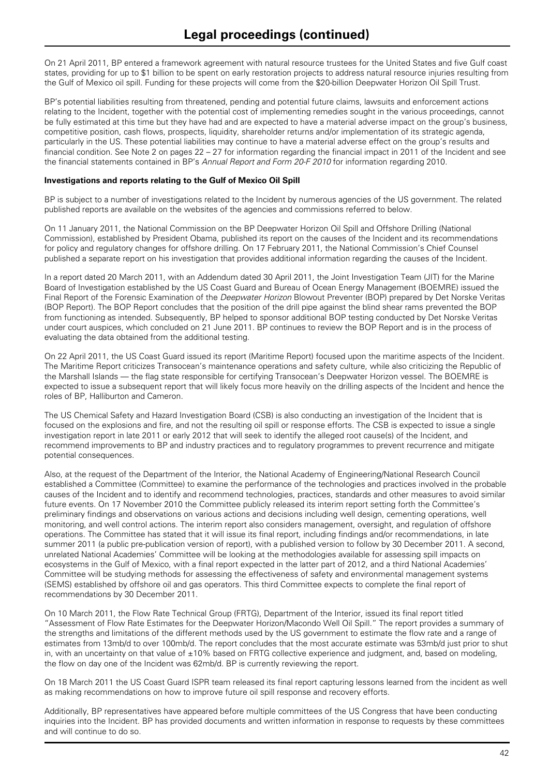On 21 April 2011, BP entered a framework agreement with natural resource trustees for the United States and five Gulf coast states, providing for up to \$1 billion to be spent on early restoration projects to address natural resource injuries resulting from the Gulf of Mexico oil spill. Funding for these projects will come from the \$20-billion Deepwater Horizon Oil Spill Trust.

BP's potential liabilities resulting from threatened, pending and potential future claims, lawsuits and enforcement actions relating to the Incident, together with the potential cost of implementing remedies sought in the various proceedings, cannot be fully estimated at this time but they have had and are expected to have a material adverse impact on the group's business, competitive position, cash flows, prospects, liquidity, shareholder returns and/or implementation of its strategic agenda, particularly in the US. These potential liabilities may continue to have a material adverse effect on the group's results and financial condition. See Note 2 on pages  $22 - 27$  for information regarding the financial impact in 2011 of the Incident and see the financial statements contained in BP's *Annual Report and Form 20-F 2010* for information regarding 2010*.* 

## **Investigations and reports relating to the Gulf of Mexico Oil Spill**

BP is subject to a number of investigations related to the Incident by numerous agencies of the US government. The related published reports are available on the websites of the agencies and commissions referred to below.

On 11 January 2011, the National Commission on the BP Deepwater Horizon Oil Spill and Offshore Drilling (National Commission), established by President Obama, published its report on the causes of the Incident and its recommendations for policy and regulatory changes for offshore drilling. On 17 February 2011, the National Commission's Chief Counsel published a separate report on his investigation that provides additional information regarding the causes of the Incident.

In a report dated 20 March 2011, with an Addendum dated 30 April 2011, the Joint Investigation Team (JIT) for the Marine Board of Investigation established by the US Coast Guard and Bureau of Ocean Energy Management (BOEMRE) issued the Final Report of the Forensic Examination of the *Deepwater Horizon* Blowout Preventer (BOP) prepared by Det Norske Veritas (BOP Report). The BOP Report concludes that the position of the drill pipe against the blind shear rams prevented the BOP from functioning as intended. Subsequently, BP helped to sponsor additional BOP testing conducted by Det Norske Veritas under court auspices, which concluded on 21 June 2011. BP continues to review the BOP Report and is in the process of evaluating the data obtained from the additional testing.

On 22 April 2011, the US Coast Guard issued its report (Maritime Report) focused upon the maritime aspects of the Incident. The Maritime Report criticizes Transocean's maintenance operations and safety culture, while also criticizing the Republic of the Marshall Islands — the flag state responsible for certifying Transocean's Deepwater Horizon vessel. The BOEMRE is expected to issue a subsequent report that will likely focus more heavily on the drilling aspects of the Incident and hence the roles of BP, Halliburton and Cameron.

The US Chemical Safety and Hazard Investigation Board (CSB) is also conducting an investigation of the Incident that is focused on the explosions and fire, and not the resulting oil spill or response efforts. The CSB is expected to issue a single investigation report in late 2011 or early 2012 that will seek to identify the alleged root cause(s) of the Incident, and recommend improvements to BP and industry practices and to regulatory programmes to prevent recurrence and mitigate potential consequences.

Also, at the request of the Department of the Interior, the National Academy of Engineering/National Research Council established a Committee (Committee) to examine the performance of the technologies and practices involved in the probable causes of the Incident and to identify and recommend technologies, practices, standards and other measures to avoid similar future events. On 17 November 2010 the Committee publicly released its interim report setting forth the Committee's preliminary findings and observations on various actions and decisions including well design, cementing operations, well monitoring, and well control actions. The interim report also considers management, oversight, and regulation of offshore operations. The Committee has stated that it will issue its final report, including findings and/or recommendations, in late summer 2011 (a public pre-publication version of report), with a published version to follow by 30 December 2011. A second, unrelated National Academies' Committee will be looking at the methodologies available for assessing spill impacts on ecosystems in the Gulf of Mexico, with a final report expected in the latter part of 2012, and a third National Academies' Committee will be studying methods for assessing the effectiveness of safety and environmental management systems (SEMS) established by offshore oil and gas operators. This third Committee expects to complete the final report of recommendations by 30 December 2011.

On 10 March 2011, the Flow Rate Technical Group (FRTG), Department of the Interior, issued its final report titled "Assessment of Flow Rate Estimates for the Deepwater Horizon/Macondo Well Oil Spill." The report provides a summary of the strengths and limitations of the different methods used by the US government to estimate the flow rate and a range of estimates from 13mb/d to over 100mb/d. The report concludes that the most accurate estimate was 53mb/d just prior to shut in, with an uncertainty on that value of  $\pm 10\%$  based on FRTG collective experience and judgment, and, based on modeling, the flow on day one of the Incident was 62mb/d. BP is currently reviewing the report.

On 18 March 2011 the US Coast Guard ISPR team released its final report capturing lessons learned from the incident as well as making recommendations on how to improve future oil spill response and recovery efforts.

Additionally, BP representatives have appeared before multiple committees of the US Congress that have been conducting inquiries into the Incident. BP has provided documents and written information in response to requests by these committees and will continue to do so.